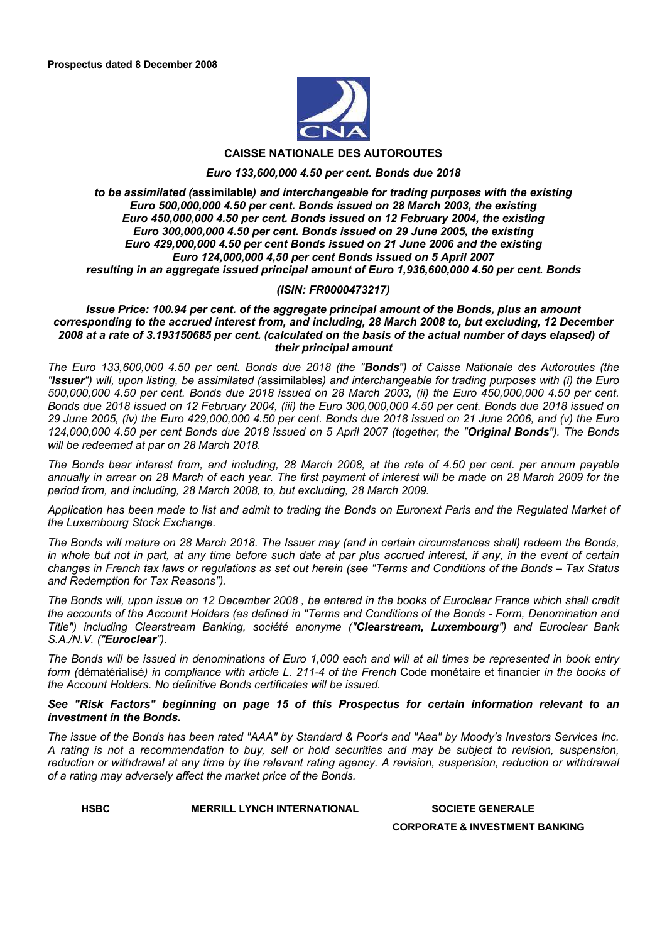

# **CAISSE NATIONALE DES AUTOROUTES**

#### *Euro 133,600,000 4.50 per cent. Bonds due 2018*

#### *to be assimilated (***assimilable***) and interchangeable for trading purposes with the existing Euro 500,000,000 4.50 per cent. Bonds issued on 28 March 2003, the existing Euro 450,000,000 4.50 per cent. Bonds issued on 12 February 2004, the existing Euro 300,000,000 4.50 per cent. Bonds issued on 29 June 2005, the existing Euro 429,000,000 4.50 per cent Bonds issued on 21 June 2006 and the existing Euro 124,000,000 4,50 per cent Bonds issued on 5 April 2007 resulting in an aggregate issued principal amount of Euro 1,936,600,000 4.50 per cent. Bonds*

#### *(ISIN: FR0000473217)*

*Issue Price: 100.94 per cent. of the aggregate principal amount of the Bonds, plus an amount corresponding to the accrued interest from, and including, 28 March 2008 to, but excluding, 12 December 2008 at a rate of 3.193150685 per cent. (calculated on the basis of the actual number of days elapsed) of their principal amount*

*The Euro 133,600,000 4.50 per cent. Bonds due 2018 (the "Bonds") of Caisse Nationale des Autoroutes (the "Issuer") will, upon listing, be assimilated (*assimilables*) and interchangeable for trading purposes with (i) the Euro 500,000,000 4.50 per cent. Bonds due 2018 issued on 28 March 2003, (ii) the Euro 450,000,000 4.50 per cent. Bonds due 2018 issued on 12 February 2004, (iii) the Euro 300,000,000 4.50 per cent. Bonds due 2018 issued on 29 June 2005, (iv) the Euro 429,000,000 4.50 per cent. Bonds due 2018 issued on 21 June 2006, and (v) the Euro 124,000,000 4.50 per cent Bonds due 2018 issued on 5 April 2007 (together, the "Original Bonds"). The Bonds will be redeemed at par on 28 March 2018.*

*The Bonds bear interest from, and including, 28 March 2008, at the rate of 4.50 per cent. per annum payable annually in arrear on 28 March of each year. The first payment of interest will be made on 28 March 2009 for the period from, and including, 28 March 2008, to, but excluding, 28 March 2009.*

*Application has been made to list and admit to trading the Bonds on Euronext Paris and the Regulated Market of the Luxembourg Stock Exchange.*

*The Bonds will mature on 28 March 2018. The Issuer may (and in certain circumstances shall) redeem the Bonds, in whole but not in part, at any time before such date at par plus accrued interest, if any, in the event of certain changes in French tax laws or regulations as set out herein (see "Terms and Conditions of the Bonds – Tax Status and Redemption for Tax Reasons").*

*The Bonds will, upon issue on 12 December 2008 , be entered in the books of Euroclear France which shall credit the accounts of the Account Holders (as defined in "Terms and Conditions of the Bonds - Form, Denomination and Title") including Clearstream Banking, société anonyme ("Clearstream, Luxembourg") and Euroclear Bank S.A./N.V. ("Euroclear").*

*The Bonds will be issued in denominations of Euro 1,000 each and will at all times be represented in book entry form (*dématérialisé*) in compliance with article L. 211-4 of the French* Code monétaire et financier *in the books of the Account Holders. No definitive Bonds certificates will be issued.*

#### *See "Risk Factors" beginning on page 15 of this Prospectus for certain information relevant to an investment in the Bonds.*

*The issue of the Bonds has been rated "AAA" by Standard & Poor's and "Aaa" by Moody's Investors Services Inc. A rating is not a recommendation to buy, sell or hold securities and may be subject to revision, suspension,*  reduction or withdrawal at any time by the relevant rating agency. A revision, suspension, reduction or withdrawal *of a rating may adversely affect the market price of the Bonds.*

**HSBC MERRILL LYNCH INTERNATIONAL SOCIETE GENERALE** 

**CORPORATE & INVESTMENT BANKING**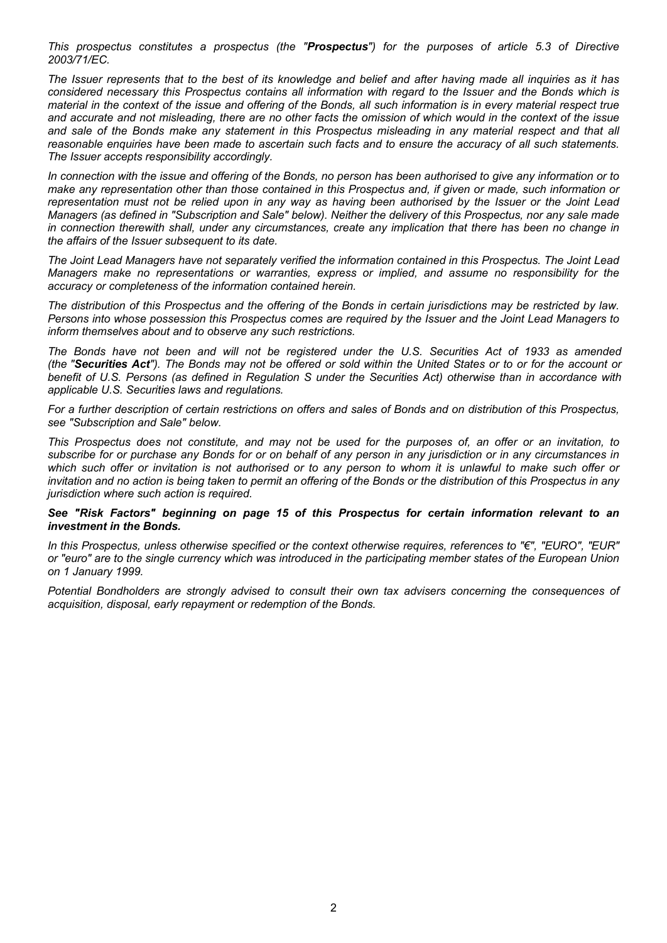*This prospectus constitutes a prospectus (the "Prospectus") for the purposes of article 5.3 of Directive 2003/71/EC.*

*The Issuer represents that to the best of its knowledge and belief and after having made all inquiries as it has considered necessary this Prospectus contains all information with regard to the Issuer and the Bonds which is material in the context of the issue and offering of the Bonds, all such information is in every material respect true and accurate and not misleading, there are no other facts the omission of which would in the context of the issue and sale of the Bonds make any statement in this Prospectus misleading in any material respect and that all reasonable enquiries have been made to ascertain such facts and to ensure the accuracy of all such statements. The Issuer accepts responsibility accordingly.*

*In connection with the issue and offering of the Bonds, no person has been authorised to give any information or to make any representation other than those contained in this Prospectus and, if given or made, such information or representation must not be relied upon in any way as having been authorised by the Issuer or the Joint Lead Managers (as defined in "Subscription and Sale" below). Neither the delivery of this Prospectus, nor any sale made in connection therewith shall, under any circumstances, create any implication that there has been no change in the affairs of the Issuer subsequent to its date.*

*The Joint Lead Managers have not separately verified the information contained in this Prospectus. The Joint Lead Managers make no representations or warranties, express or implied, and assume no responsibility for the accuracy or completeness of the information contained herein.*

*The distribution of this Prospectus and the offering of the Bonds in certain jurisdictions may be restricted by law. Persons into whose possession this Prospectus comes are required by the Issuer and the Joint Lead Managers to inform themselves about and to observe any such restrictions.* 

*The Bonds have not been and will not be registered under the U.S. Securities Act of 1933 as amended (the "Securities Act"). The Bonds may not be offered or sold within the United States or to or for the account or benefit of U.S. Persons (as defined in Regulation S under the Securities Act) otherwise than in accordance with applicable U.S. Securities laws and regulations.*

*For a further description of certain restrictions on offers and sales of Bonds and on distribution of this Prospectus, see "Subscription and Sale" below.*

*This Prospectus does not constitute, and may not be used for the purposes of, an offer or an invitation, to subscribe for or purchase any Bonds for or on behalf of any person in any jurisdiction or in any circumstances in which such offer or invitation is not authorised or to any person to whom it is unlawful to make such offer or invitation and no action is being taken to permit an offering of the Bonds or the distribution of this Prospectus in any jurisdiction where such action is required.*

#### *See "Risk Factors" beginning on page 15 of this Prospectus for certain information relevant to an investment in the Bonds.*

*In this Prospectus, unless otherwise specified or the context otherwise requires, references to "€", "EURO", "EUR" or "euro" are to the single currency which was introduced in the participating member states of the European Union on 1 January 1999.*

*Potential Bondholders are strongly advised to consult their own tax advisers concerning the consequences of acquisition, disposal, early repayment or redemption of the Bonds.*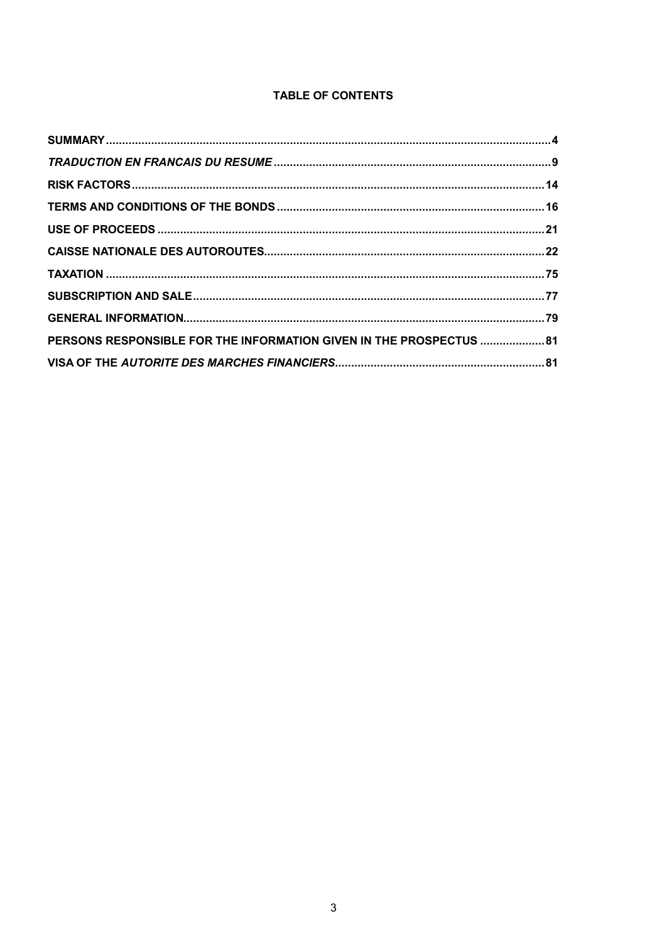# TABLE OF CONTENTS

| PERSONS RESPONSIBLE FOR THE INFORMATION GIVEN IN THE PROSPECTUS  81 |  |
|---------------------------------------------------------------------|--|
|                                                                     |  |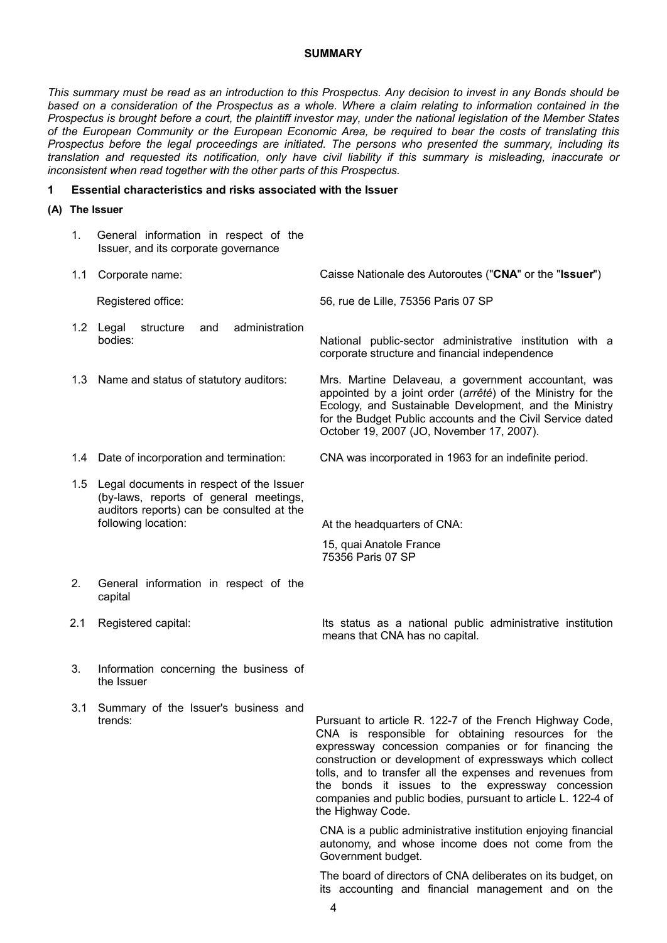#### **SUMMARY**

*This summary must be read as an introduction to this Prospectus. Any decision to invest in any Bonds should be based on a consideration of the Prospectus as a whole. Where a claim relating to information contained in the Prospectus is brought before a court, the plaintiff investor may, under the national legislation of the Member States of the European Community or the European Economic Area, be required to bear the costs of translating this Prospectus before the legal proceedings are initiated. The persons who presented the summary, including its translation and requested its notification, only have civil liability if this summary is misleading, inaccurate or inconsistent when read together with the other parts of this Prospectus.*

#### **1 Essential characteristics and risks associated with the Issuer**

**(A) The Issuer**

| 1.  | General information in respect of the<br>Issuer, and its corporate governance                                                                              |                                                                                                                                                                                                                                                                                                                                                                                                                                          |
|-----|------------------------------------------------------------------------------------------------------------------------------------------------------------|------------------------------------------------------------------------------------------------------------------------------------------------------------------------------------------------------------------------------------------------------------------------------------------------------------------------------------------------------------------------------------------------------------------------------------------|
| 1.1 | Corporate name:                                                                                                                                            | Caisse Nationale des Autoroutes ("CNA" or the "Issuer")                                                                                                                                                                                                                                                                                                                                                                                  |
|     | Registered office:                                                                                                                                         | 56, rue de Lille, 75356 Paris 07 SP                                                                                                                                                                                                                                                                                                                                                                                                      |
|     | 1.2 Legal<br>structure<br>administration<br>and<br>bodies:                                                                                                 | National public-sector administrative institution with a<br>corporate structure and financial independence                                                                                                                                                                                                                                                                                                                               |
|     | 1.3 Name and status of statutory auditors:                                                                                                                 | Mrs. Martine Delaveau, a government accountant, was<br>appointed by a joint order (arrêté) of the Ministry for the<br>Ecology, and Sustainable Development, and the Ministry<br>for the Budget Public accounts and the Civil Service dated<br>October 19, 2007 (JO, November 17, 2007).                                                                                                                                                  |
|     | 1.4 Date of incorporation and termination:                                                                                                                 | CNA was incorporated in 1963 for an indefinite period.                                                                                                                                                                                                                                                                                                                                                                                   |
|     | 1.5 Legal documents in respect of the Issuer<br>(by-laws, reports of general meetings,<br>auditors reports) can be consulted at the<br>following location: | At the headquarters of CNA:<br>15, quai Anatole France<br>75356 Paris 07 SP                                                                                                                                                                                                                                                                                                                                                              |
| 2.  | General information in respect of the<br>capital                                                                                                           |                                                                                                                                                                                                                                                                                                                                                                                                                                          |
| 2.1 | Registered capital:                                                                                                                                        | Its status as a national public administrative institution<br>means that CNA has no capital.                                                                                                                                                                                                                                                                                                                                             |
| 3.  | Information concerning the business of<br>the Issuer                                                                                                       |                                                                                                                                                                                                                                                                                                                                                                                                                                          |
| 3.1 | Summary of the Issuer's business and<br>trends:                                                                                                            | Pursuant to article R. 122-7 of the French Highway Code,<br>CNA is responsible for obtaining resources for the<br>expressway concession companies or for financing the<br>construction or development of expressways which collect<br>tolls, and to transfer all the expenses and revenues from<br>the bonds it issues to the expressway concession<br>companies and public bodies, pursuant to article L. 122-4 of<br>the Highway Code. |
|     |                                                                                                                                                            | CNA is a public administrative institution enjoying financial<br>autonomy, and whose income does not come from the<br>Government budget.                                                                                                                                                                                                                                                                                                 |
|     |                                                                                                                                                            | The board of directors of CNA deliberates on its budget, on                                                                                                                                                                                                                                                                                                                                                                              |

its accounting and financial management and on the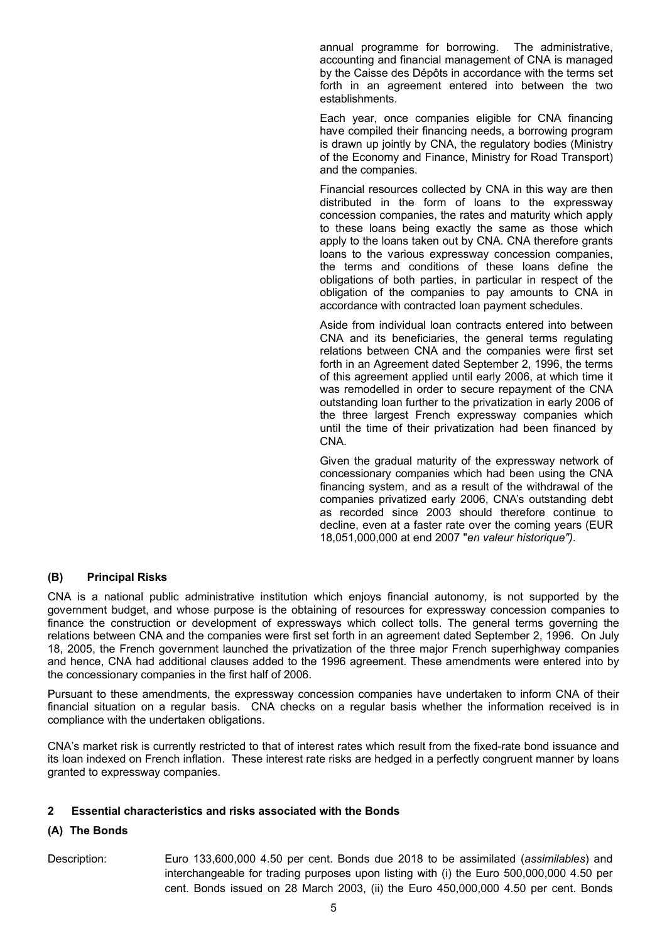annual programme for borrowing. The administrative, accounting and financial management of CNA is managed by the Caisse des Dépôts in accordance with the terms set forth in an agreement entered into between the two establishments.

Each year, once companies eligible for CNA financing have compiled their financing needs, a borrowing program is drawn up jointly by CNA, the regulatory bodies (Ministry of the Economy and Finance, Ministry for Road Transport) and the companies.

Financial resources collected by CNA in this way are then distributed in the form of loans to the expressway concession companies, the rates and maturity which apply to these loans being exactly the same as those which apply to the loans taken out by CNA. CNA therefore grants loans to the various expressway concession companies, the terms and conditions of these loans define the obligations of both parties, in particular in respect of the obligation of the companies to pay amounts to CNA in accordance with contracted loan payment schedules.

Aside from individual loan contracts entered into between CNA and its beneficiaries, the general terms regulating relations between CNA and the companies were first set forth in an Agreement dated September 2, 1996, the terms of this agreement applied until early 2006, at which time it was remodelled in order to secure repayment of the CNA outstanding loan further to the privatization in early 2006 of the three largest French expressway companies which until the time of their privatization had been financed by CNA.

Given the gradual maturity of the expressway network of concessionary companies which had been using the CNA financing system, and as a result of the withdrawal of the companies privatized early 2006, CNA's outstanding debt as recorded since 2003 should therefore continue to decline, even at a faster rate over the coming years (EUR 18,051,000,000 at end 2007 "*en valeur historique")*.

### **(B) Principal Risks**

CNA is a national public administrative institution which enjoys financial autonomy, is not supported by the government budget, and whose purpose is the obtaining of resources for expressway concession companies to finance the construction or development of expressways which collect tolls. The general terms governing the relations between CNA and the companies were first set forth in an agreement dated September 2, 1996. On July 18, 2005, the French government launched the privatization of the three major French superhighway companies and hence, CNA had additional clauses added to the 1996 agreement. These amendments were entered into by the concessionary companies in the first half of 2006.

Pursuant to these amendments, the expressway concession companies have undertaken to inform CNA of their financial situation on a regular basis. CNA checks on a regular basis whether the information received is in compliance with the undertaken obligations.

CNA's market risk is currently restricted to that of interest rates which result from the fixed-rate bond issuance and its loan indexed on French inflation. These interest rate risks are hedged in a perfectly congruent manner by loans granted to expressway companies.

#### **2 Essential characteristics and risks associated with the Bonds**

### **(A) The Bonds**

Description: Euro 133,600,000 4.50 per cent. Bonds due 2018 to be assimilated (*assimilables*) and interchangeable for trading purposes upon listing with (i) the Euro 500,000,000 4.50 per cent. Bonds issued on 28 March 2003, (ii) the Euro 450,000,000 4.50 per cent. Bonds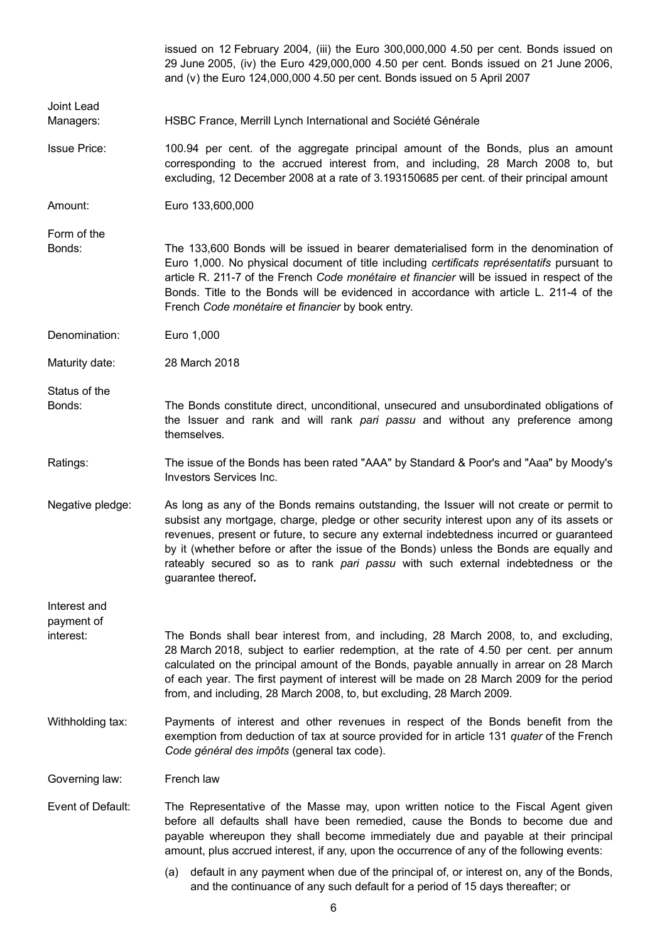|                         | issued on 12 February 2004, (iii) the Euro 300,000,000 4.50 per cent. Bonds issued on<br>29 June 2005, (iv) the Euro 429,000,000 4.50 per cent. Bonds issued on 21 June 2006,<br>and (v) the Euro 124,000,000 4.50 per cent. Bonds issued on 5 April 2007                                                                                                                                                                                                                             |
|-------------------------|---------------------------------------------------------------------------------------------------------------------------------------------------------------------------------------------------------------------------------------------------------------------------------------------------------------------------------------------------------------------------------------------------------------------------------------------------------------------------------------|
| Joint Lead              |                                                                                                                                                                                                                                                                                                                                                                                                                                                                                       |
| Managers:               | HSBC France, Merrill Lynch International and Société Générale                                                                                                                                                                                                                                                                                                                                                                                                                         |
| <b>Issue Price:</b>     | 100.94 per cent. of the aggregate principal amount of the Bonds, plus an amount<br>corresponding to the accrued interest from, and including, 28 March 2008 to, but<br>excluding, 12 December 2008 at a rate of 3.193150685 per cent. of their principal amount                                                                                                                                                                                                                       |
| Amount:                 | Euro 133,600,000                                                                                                                                                                                                                                                                                                                                                                                                                                                                      |
| Form of the<br>Bonds:   | The 133,600 Bonds will be issued in bearer dematerialised form in the denomination of<br>Euro 1,000. No physical document of title including certificats représentatifs pursuant to<br>article R. 211-7 of the French Code monétaire et financier will be issued in respect of the<br>Bonds. Title to the Bonds will be evidenced in accordance with article L. 211-4 of the<br>French Code monétaire et financier by book entry.                                                     |
| Denomination:           | Euro 1,000                                                                                                                                                                                                                                                                                                                                                                                                                                                                            |
| Maturity date:          | 28 March 2018                                                                                                                                                                                                                                                                                                                                                                                                                                                                         |
| Status of the<br>Bonds: | The Bonds constitute direct, unconditional, unsecured and unsubordinated obligations of<br>the Issuer and rank and will rank pari passu and without any preference among<br>themselves.                                                                                                                                                                                                                                                                                               |
| Ratings:                | The issue of the Bonds has been rated "AAA" by Standard & Poor's and "Aaa" by Moody's<br>Investors Services Inc.                                                                                                                                                                                                                                                                                                                                                                      |
| Negative pledge:        | As long as any of the Bonds remains outstanding, the Issuer will not create or permit to<br>subsist any mortgage, charge, pledge or other security interest upon any of its assets or<br>revenues, present or future, to secure any external indebtedness incurred or guaranteed<br>by it (whether before or after the issue of the Bonds) unless the Bonds are equally and<br>rateably secured so as to rank pari passu with such external indebtedness or the<br>guarantee thereof. |
| Interest and            |                                                                                                                                                                                                                                                                                                                                                                                                                                                                                       |
| payment of<br>interest: | The Bonds shall bear interest from, and including, 28 March 2008, to, and excluding,<br>28 March 2018, subject to earlier redemption, at the rate of 4.50 per cent. per annum<br>calculated on the principal amount of the Bonds, payable annually in arrear on 28 March<br>of each year. The first payment of interest will be made on 28 March 2009 for the period<br>from, and including, 28 March 2008, to, but excluding, 28 March 2009.                                         |
| Withholding tax:        | Payments of interest and other revenues in respect of the Bonds benefit from the<br>exemption from deduction of tax at source provided for in article 131 quater of the French<br>Code général des impôts (general tax code).                                                                                                                                                                                                                                                         |
| Governing law:          | French law                                                                                                                                                                                                                                                                                                                                                                                                                                                                            |
| Event of Default:       | The Representative of the Masse may, upon written notice to the Fiscal Agent given<br>before all defaults shall have been remedied, cause the Bonds to become due and<br>payable whereupon they shall become immediately due and payable at their principal<br>amount, plus accrued interest, if any, upon the occurrence of any of the following events:                                                                                                                             |
|                         | default in any payment when due of the principal of, or interest on, any of the Bonds,<br>(a)                                                                                                                                                                                                                                                                                                                                                                                         |

and the continuance of any such default for a period of 15 days thereafter; or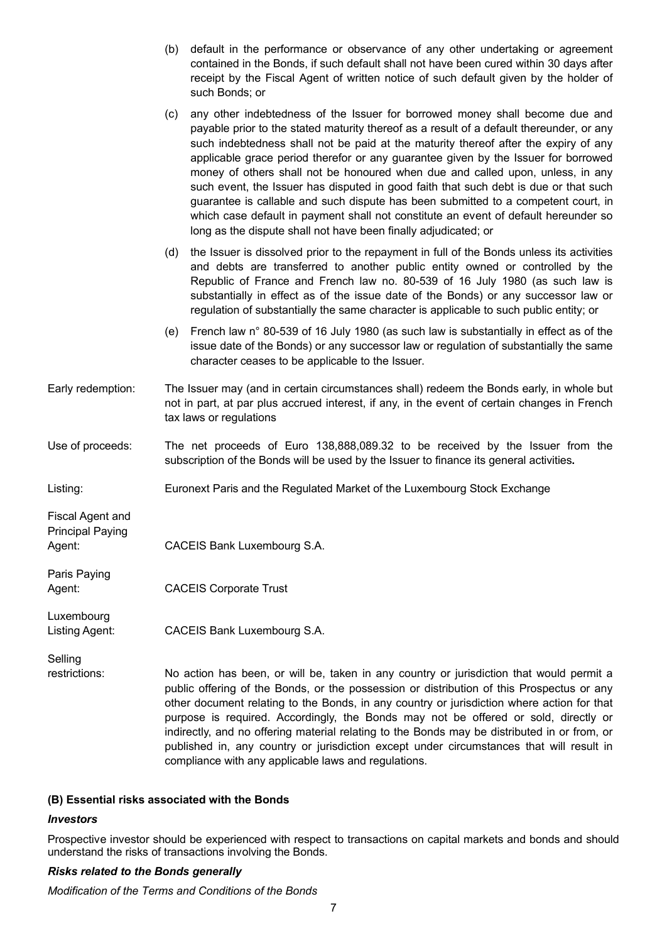(b) default in the performance or observance of any other undertaking or agreement contained in the Bonds, if such default shall not have been cured within 30 days after receipt by the Fiscal Agent of written notice of such default given by the holder of such Bonds; or

|                                                              | any other indebtedness of the Issuer for borrowed money shall become due and<br>(c)<br>payable prior to the stated maturity thereof as a result of a default thereunder, or any<br>such indebtedness shall not be paid at the maturity thereof after the expiry of any<br>applicable grace period therefor or any guarantee given by the Issuer for borrowed<br>money of others shall not be honoured when due and called upon, unless, in any<br>such event, the Issuer has disputed in good faith that such debt is due or that such<br>guarantee is callable and such dispute has been submitted to a competent court, in<br>which case default in payment shall not constitute an event of default hereunder so<br>long as the dispute shall not have been finally adjudicated; or |
|--------------------------------------------------------------|----------------------------------------------------------------------------------------------------------------------------------------------------------------------------------------------------------------------------------------------------------------------------------------------------------------------------------------------------------------------------------------------------------------------------------------------------------------------------------------------------------------------------------------------------------------------------------------------------------------------------------------------------------------------------------------------------------------------------------------------------------------------------------------|
|                                                              | the Issuer is dissolved prior to the repayment in full of the Bonds unless its activities<br>(d)<br>and debts are transferred to another public entity owned or controlled by the<br>Republic of France and French law no. 80-539 of 16 July 1980 (as such law is<br>substantially in effect as of the issue date of the Bonds) or any successor law or<br>regulation of substantially the same character is applicable to such public entity; or                                                                                                                                                                                                                                                                                                                                      |
|                                                              | French law n° 80-539 of 16 July 1980 (as such law is substantially in effect as of the<br>(e)<br>issue date of the Bonds) or any successor law or regulation of substantially the same<br>character ceases to be applicable to the Issuer.                                                                                                                                                                                                                                                                                                                                                                                                                                                                                                                                             |
| Early redemption:                                            | The Issuer may (and in certain circumstances shall) redeem the Bonds early, in whole but<br>not in part, at par plus accrued interest, if any, in the event of certain changes in French<br>tax laws or regulations                                                                                                                                                                                                                                                                                                                                                                                                                                                                                                                                                                    |
| Use of proceeds:                                             | The net proceeds of Euro 138,888,089.32 to be received by the Issuer from the<br>subscription of the Bonds will be used by the Issuer to finance its general activities.                                                                                                                                                                                                                                                                                                                                                                                                                                                                                                                                                                                                               |
| Listing:                                                     | Euronext Paris and the Regulated Market of the Luxembourg Stock Exchange                                                                                                                                                                                                                                                                                                                                                                                                                                                                                                                                                                                                                                                                                                               |
| <b>Fiscal Agent and</b><br><b>Principal Paying</b><br>Agent: | CACEIS Bank Luxembourg S.A.                                                                                                                                                                                                                                                                                                                                                                                                                                                                                                                                                                                                                                                                                                                                                            |
| Paris Paying<br>Agent:                                       | <b>CACEIS Corporate Trust</b>                                                                                                                                                                                                                                                                                                                                                                                                                                                                                                                                                                                                                                                                                                                                                          |
| Luxembourg<br>Listing Agent:                                 | CACEIS Bank Luxembourg S.A.                                                                                                                                                                                                                                                                                                                                                                                                                                                                                                                                                                                                                                                                                                                                                            |
| Selling<br>restrictions:                                     | No action has been, or will be, taken in any country or jurisdiction that would permit a<br>public offering of the Bonds, or the possession or distribution of this Prospectus or any<br>other document relating to the Bonds, in any country or jurisdiction where action for that<br>purpose is required. Accordingly, the Bonds may not be offered or sold, directly or                                                                                                                                                                                                                                                                                                                                                                                                             |

### **(B) Essential risks associated with the Bonds**

#### *Investors*

Prospective investor should be experienced with respect to transactions on capital markets and bonds and should understand the risks of transactions involving the Bonds.

compliance with any applicable laws and regulations.

indirectly, and no offering material relating to the Bonds may be distributed in or from, or published in, any country or jurisdiction except under circumstances that will result in

#### *Risks related to the Bonds generally*

*Modification of the Terms and Conditions of the Bonds*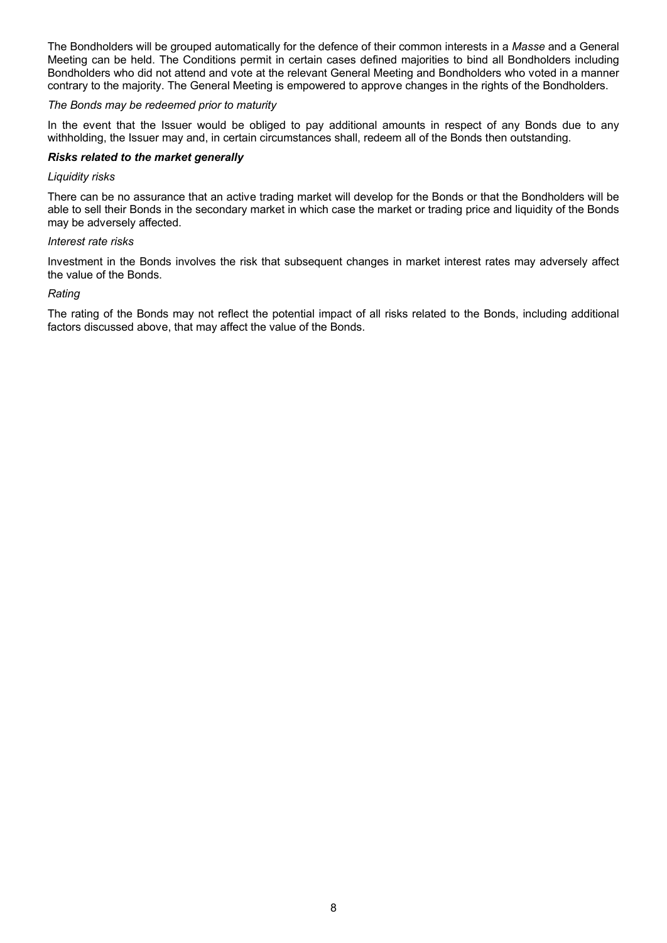The Bondholders will be grouped automatically for the defence of their common interests in a *Masse* and a General Meeting can be held. The Conditions permit in certain cases defined majorities to bind all Bondholders including Bondholders who did not attend and vote at the relevant General Meeting and Bondholders who voted in a manner contrary to the majority. The General Meeting is empowered to approve changes in the rights of the Bondholders.

### *The Bonds may be redeemed prior to maturity*

In the event that the Issuer would be obliged to pay additional amounts in respect of any Bonds due to any withholding, the Issuer may and, in certain circumstances shall, redeem all of the Bonds then outstanding.

### *Risks related to the market generally*

### *Liquidity risks*

There can be no assurance that an active trading market will develop for the Bonds or that the Bondholders will be able to sell their Bonds in the secondary market in which case the market or trading price and liquidity of the Bonds may be adversely affected.

#### *Interest rate risks*

Investment in the Bonds involves the risk that subsequent changes in market interest rates may adversely affect the value of the Bonds.

#### *Rating*

The rating of the Bonds may not reflect the potential impact of all risks related to the Bonds, including additional factors discussed above, that may affect the value of the Bonds.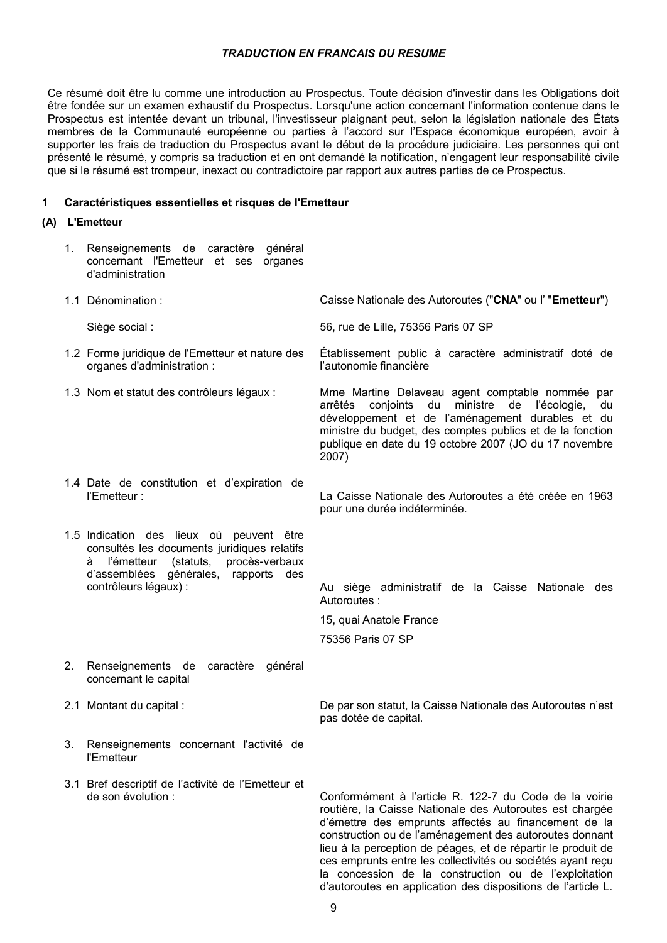### *TRADUCTION EN FRANCAIS DU RESUME*

Ce résumé doit être lu comme une introduction au Prospectus. Toute décision d'investir dans les Obligations doit être fondée sur un examen exhaustif du Prospectus. Lorsqu'une action concernant l'information contenue dans le Prospectus est intentée devant un tribunal, l'investisseur plaignant peut, selon la législation nationale des États membres de la Communauté européenne ou parties à l'accord sur l'Espace économique européen, avoir à supporter les frais de traduction du Prospectus avant le début de la procédure judiciaire. Les personnes qui ont présenté le résumé, y compris sa traduction et en ont demandé la notification, n'engagent leur responsabilité civile que si le résumé est trompeur, inexact ou contradictoire par rapport aux autres parties de ce Prospectus.

#### **1 Caractéristiques essentielles et risques de l'Emetteur**

#### **(A) L'Emetteur**

1. Renseignements de caractère général concernant l'Emetteur et ses organes d'administration 1.1 Dénomination : Caisse Nationale des Autoroutes ("**CNA**" ou l' "**Emetteur**") Siège social : 56, rue de Lille, 75356 Paris 07 SP 1.2 Forme juridique de l'Emetteur et nature des organes d'administration : Établissement public à caractère administratif doté de l'autonomie financière 1.3 Nom et statut des contrôleurs légaux : Mme Martine Delaveau agent comptable nommée par arrêtés conjoints du ministre de l'écologie, du développement et de l'aménagement durables et du ministre du budget, des comptes publics et de la fonction publique en date du 19 octobre 2007 (JO du 17 novembre 2007) 1.4 Date de constitution et d'expiration de l'Emetteur : La Caisse Nationale des Autoroutes a été créée en 1963 pour une durée indéterminée. 1.5 Indication des lieux où peuvent être consultés les documents juridiques relatifs à l'émetteur (statuts, procès-verbaux d'assemblées générales, rapports des<br>contrôleurs légaux) : Au siège administratif de la Caisse Nationale des Autoroutes : 15, quai Anatole France 75356 Paris 07 SP 2. Renseignements de caractère général concernant le capital 2.1 Montant du capital : De par son statut, la Caisse Nationale des Autoroutes n'est pas dotée de capital. 3. Renseignements concernant l'activité de l'Emetteur 3.1 Bref descriptif de l'activité de l'Emetteur et de son évolution : Conformément à l'article R. 122-7 du Code de la voirie routière, la Caisse Nationale des Autoroutes est chargée d'émettre des emprunts affectés au financement de la construction ou de l'aménagement des autoroutes donnant lieu à la perception de péages, et de répartir le produit de

ces emprunts entre les collectivités ou sociétés ayant reçu la concession de la construction ou de l'exploitation d'autoroutes en application des dispositions de l'article L.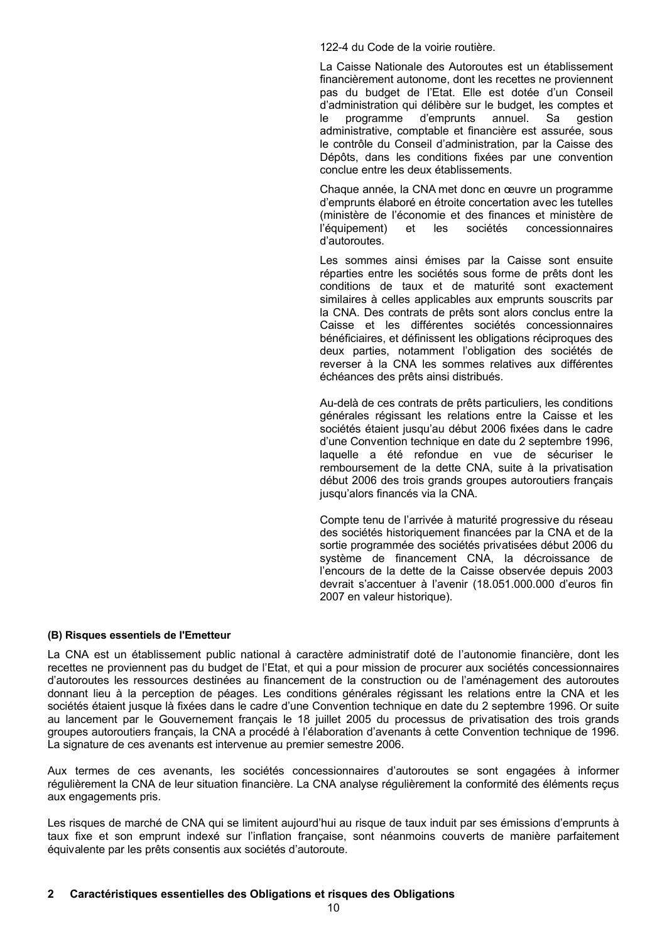122-4 du Code de la voirie routière.

La Caisse Nationale des Autoroutes est un établissement financièrement autonome, dont les recettes ne proviennent pas du budget de l'Etat. Elle est dotée d'un Conseil d'administration qui délibère sur le budget, les comptes et le programme d'emprunts annuel. Sa gestion administrative, comptable et financière est assurée, sous le contrôle du Conseil d'administration, par la Caisse des Dépôts, dans les conditions fixées par une convention conclue entre les deux établissements.

Chaque année, la CNA met donc en œuvre un programme d'emprunts élaboré en étroite concertation avec les tutelles (ministère de l'économie et des finances et ministère de l'équipement) et les sociétés concessionnaires d'autoroutes.

Les sommes ainsi émises par la Caisse sont ensuite réparties entre les sociétés sous forme de prêts dont les conditions de taux et de maturité sont exactement similaires à celles applicables aux emprunts souscrits par la CNA. Des contrats de prêts sont alors conclus entre la Caisse et les différentes sociétés concessionnaires bénéficiaires, et définissent les obligations réciproques des deux parties, notamment l'obligation des sociétés de reverser à la CNA les sommes relatives aux différentes échéances des prêts ainsi distribués.

Au-delà de ces contrats de prêts particuliers, les conditions générales régissant les relations entre la Caisse et les sociétés étaient jusqu'au début 2006 fixées dans le cadre d'une Convention technique en date du 2 septembre 1996, laquelle a été refondue en vue de sécuriser le remboursement de la dette CNA, suite à la privatisation début 2006 des trois grands groupes autoroutiers français jusqu'alors financés via la CNA.

Compte tenu de l'arrivée à maturité progressive du réseau des sociétés historiquement financées par la CNA et de la sortie programmée des sociétés privatisées début 2006 du système de financement CNA, la décroissance de l'encours de la dette de la Caisse observée depuis 2003 devrait s'accentuer à l'avenir (18.051.000.000 d'euros fin 2007 en valeur historique).

#### **(B) Risques essentiels de l'Emetteur**

La CNA est un établissement public national à caractère administratif doté de l'autonomie financière, dont les recettes ne proviennent pas du budget de l'Etat, et qui a pour mission de procurer aux sociétés concessionnaires d'autoroutes les ressources destinées au financement de la construction ou de l'aménagement des autoroutes donnant lieu à la perception de péages. Les conditions générales régissant les relations entre la CNA et les sociétés étaient jusque là fixées dans le cadre d'une Convention technique en date du 2 septembre 1996. Or suite au lancement par le Gouvernement français le 18 juillet 2005 du processus de privatisation des trois grands groupes autoroutiers français, la CNA a procédé à l'élaboration d'avenants à cette Convention technique de 1996. La signature de ces avenants est intervenue au premier semestre 2006.

Aux termes de ces avenants, les sociétés concessionnaires d'autoroutes se sont engagées à informer régulièrement la CNA de leur situation financière. La CNA analyse régulièrement la conformité des éléments reçus aux engagements pris.

Les risques de marché de CNA qui se limitent aujourd'hui au risque de taux induit par ses émissions d'emprunts à taux fixe et son emprunt indexé sur l'inflation française, sont néanmoins couverts de manière parfaitement équivalente par les prêts consentis aux sociétés d'autoroute.

### **2 Caractéristiques essentielles des Obligations et risques des Obligations**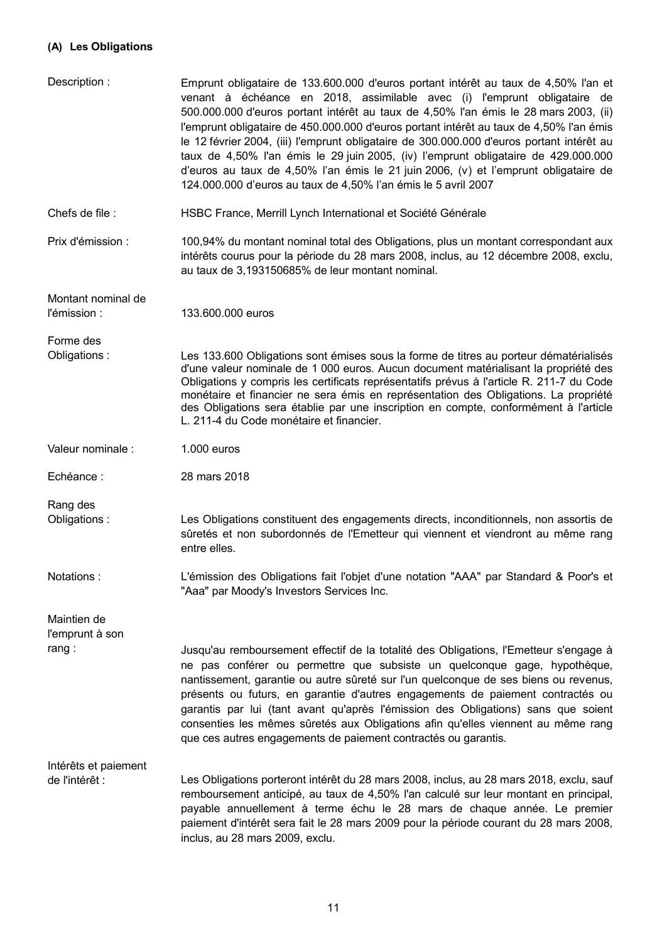## **(A) Les Obligations**

| Description:                            | Emprunt obligataire de 133.600.000 d'euros portant intérêt au taux de 4,50% l'an et<br>venant à échéance en 2018, assimilable avec (i) l'emprunt obligataire de<br>500.000.000 d'euros portant intérêt au taux de 4,50% l'an émis le 28 mars 2003, (ii)<br>l'emprunt obligataire de 450.000.000 d'euros portant intérêt au taux de 4,50% l'an émis<br>le 12 février 2004, (iii) l'emprunt obligataire de 300.000.000 d'euros portant intérêt au<br>taux de 4,50% l'an émis le 29 juin 2005, (iv) l'emprunt obligataire de 429.000.000<br>d'euros au taux de 4,50% l'an émis le 21 juin 2006, (v) et l'emprunt obligataire de<br>124.000.000 d'euros au taux de 4,50% l'an émis le 5 avril 2007 |
|-----------------------------------------|------------------------------------------------------------------------------------------------------------------------------------------------------------------------------------------------------------------------------------------------------------------------------------------------------------------------------------------------------------------------------------------------------------------------------------------------------------------------------------------------------------------------------------------------------------------------------------------------------------------------------------------------------------------------------------------------|
| Chefs de file :                         | HSBC France, Merrill Lynch International et Société Générale                                                                                                                                                                                                                                                                                                                                                                                                                                                                                                                                                                                                                                   |
| Prix d'émission :                       | 100,94% du montant nominal total des Obligations, plus un montant correspondant aux<br>intérêts courus pour la période du 28 mars 2008, inclus, au 12 décembre 2008, exclu,<br>au taux de 3,193150685% de leur montant nominal.                                                                                                                                                                                                                                                                                                                                                                                                                                                                |
| Montant nominal de<br>l'émission :      | 133.600.000 euros                                                                                                                                                                                                                                                                                                                                                                                                                                                                                                                                                                                                                                                                              |
| Forme des<br>Obligations:               | Les 133.600 Obligations sont émises sous la forme de titres au porteur dématérialisés<br>d'une valeur nominale de 1 000 euros. Aucun document matérialisant la propriété des<br>Obligations y compris les certificats représentatifs prévus à l'article R. 211-7 du Code<br>monétaire et financier ne sera émis en représentation des Obligations. La propriété<br>des Obligations sera établie par une inscription en compte, conformément à l'article<br>L. 211-4 du Code monétaire et financier.                                                                                                                                                                                            |
| Valeur nominale :                       | 1.000 euros                                                                                                                                                                                                                                                                                                                                                                                                                                                                                                                                                                                                                                                                                    |
| Echéance:                               | 28 mars 2018                                                                                                                                                                                                                                                                                                                                                                                                                                                                                                                                                                                                                                                                                   |
| Rang des<br>Obligations:                | Les Obligations constituent des engagements directs, inconditionnels, non assortis de<br>sûretés et non subordonnés de l'Emetteur qui viennent et viendront au même rang<br>entre elles.                                                                                                                                                                                                                                                                                                                                                                                                                                                                                                       |
| Notations:                              | L'émission des Obligations fait l'objet d'une notation "AAA" par Standard & Poor's et<br>"Aaa" par Moody's Investors Services Inc.                                                                                                                                                                                                                                                                                                                                                                                                                                                                                                                                                             |
| Maintien de<br>l'emprunt à son<br>rang: | Jusqu'au remboursement effectif de la totalité des Obligations, l'Emetteur s'engage à<br>ne pas conférer ou permettre que subsiste un quelconque gage, hypothèque,<br>nantissement, garantie ou autre sûreté sur l'un quelconque de ses biens ou revenus,<br>présents ou futurs, en garantie d'autres engagements de paiement contractés ou<br>garantis par lui (tant avant qu'après l'émission des Obligations) sans que soient<br>consenties les mêmes sûretés aux Obligations afin qu'elles viennent au même rang<br>que ces autres engagements de paiement contractés ou garantis.                                                                                                         |
| Intérêts et paiement<br>de l'intérêt :  | Les Obligations porteront intérêt du 28 mars 2008, inclus, au 28 mars 2018, exclu, sauf<br>remboursement anticipé, au taux de 4,50% l'an calculé sur leur montant en principal,<br>payable annuellement à terme échu le 28 mars de chaque année. Le premier<br>paiement d'intérêt sera fait le 28 mars 2009 pour la période courant du 28 mars 2008,<br>inclus, au 28 mars 2009, exclu.                                                                                                                                                                                                                                                                                                        |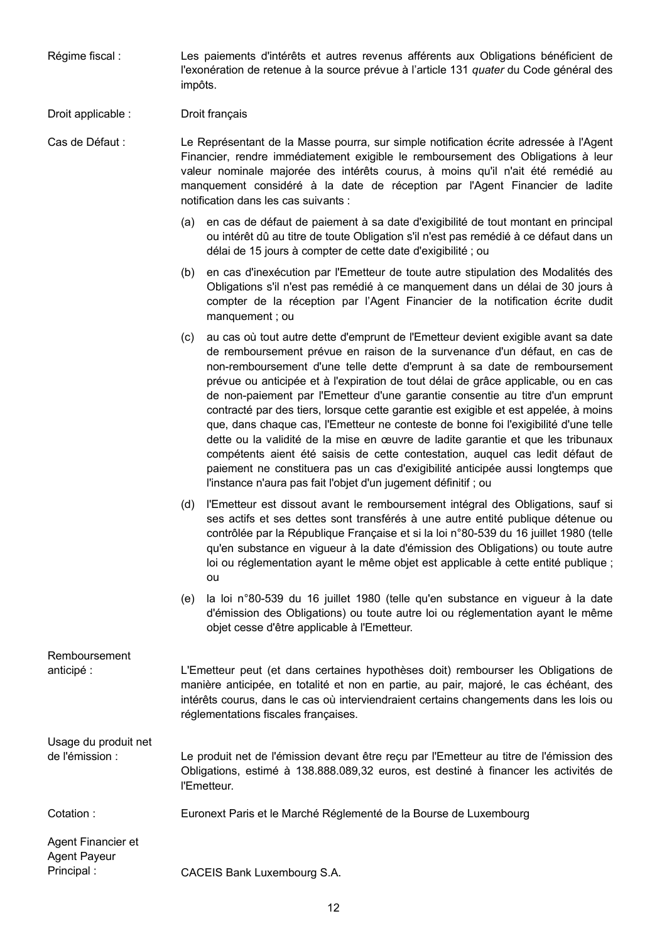Régime fiscal : Les paiements d'intérêts et autres revenus afférents aux Obligations bénéficient de l'exonération de retenue à la source prévue à l'article 131 *quater* du Code général des impôts.

### Droit applicable : Droit français

Cas de Défaut : Le Représentant de la Masse pourra, sur simple notification écrite adressée à l'Agent Financier, rendre immédiatement exigible le remboursement des Obligations à leur valeur nominale majorée des intérêts courus, à moins qu'il n'ait été remédié au manquement considéré à la date de réception par l'Agent Financier de ladite notification dans les cas suivants :

- (a) en cas de défaut de paiement à sa date d'exigibilité de tout montant en principal ou intérêt dû au titre de toute Obligation s'il n'est pas remédié à ce défaut dans un délai de 15 jours à compter de cette date d'exigibilité ; ou
- (b) en cas d'inexécution par l'Emetteur de toute autre stipulation des Modalités des Obligations s'il n'est pas remédié à ce manquement dans un délai de 30 jours à compter de la réception par l'Agent Financier de la notification écrite dudit manquement ; ou
- (c) au cas où tout autre dette d'emprunt de l'Emetteur devient exigible avant sa date de remboursement prévue en raison de la survenance d'un défaut, en cas de non-remboursement d'une telle dette d'emprunt à sa date de remboursement prévue ou anticipée et à l'expiration de tout délai de grâce applicable, ou en cas de non-paiement par l'Emetteur d'une garantie consentie au titre d'un emprunt contracté par des tiers, lorsque cette garantie est exigible et est appelée, à moins que, dans chaque cas, l'Emetteur ne conteste de bonne foi l'exigibilité d'une telle dette ou la validité de la mise en œuvre de ladite garantie et que les tribunaux compétents aient été saisis de cette contestation, auquel cas ledit défaut de paiement ne constituera pas un cas d'exigibilité anticipée aussi longtemps que l'instance n'aura pas fait l'objet d'un jugement définitif ; ou
- (d) l'Emetteur est dissout avant le remboursement intégral des Obligations, sauf si ses actifs et ses dettes sont transférés à une autre entité publique détenue ou contrôlée par la République Française et si la loi n°80-539 du 16 juillet 1980 (telle qu'en substance en vigueur à la date d'émission des Obligations) ou toute autre loi ou réglementation ayant le même objet est applicable à cette entité publique ; ou
- (e) la loi n°80-539 du 16 juillet 1980 (telle qu'en substance en vigueur à la date d'émission des Obligations) ou toute autre loi ou réglementation ayant le même objet cesse d'être applicable à l'Emetteur.

| Remboursement<br>anticipé :               | L'Emetteur peut (et dans certaines hypothèses doit) rembourser les Obligations de<br>manière anticipée, en totalité et non en partie, au pair, majoré, le cas échéant, des<br>intérêts courus, dans le cas où interviendraient certains changements dans les lois ou<br>réglementations fiscales françaises. |
|-------------------------------------------|--------------------------------------------------------------------------------------------------------------------------------------------------------------------------------------------------------------------------------------------------------------------------------------------------------------|
| Usage du produit net<br>de l'émission :   | Le produit net de l'émission devant être reçu par l'Emetteur au titre de l'émission des<br>Obligations, estimé à 138.888.089,32 euros, est destiné à financer les activités de<br>l'Emetteur.                                                                                                                |
| Cotation:                                 | Euronext Paris et le Marché Réglementé de la Bourse de Luxembourg                                                                                                                                                                                                                                            |
| Agent Financier et<br><b>Agent Payeur</b> |                                                                                                                                                                                                                                                                                                              |

Principal : CACEIS Bank Luxembourg S.A.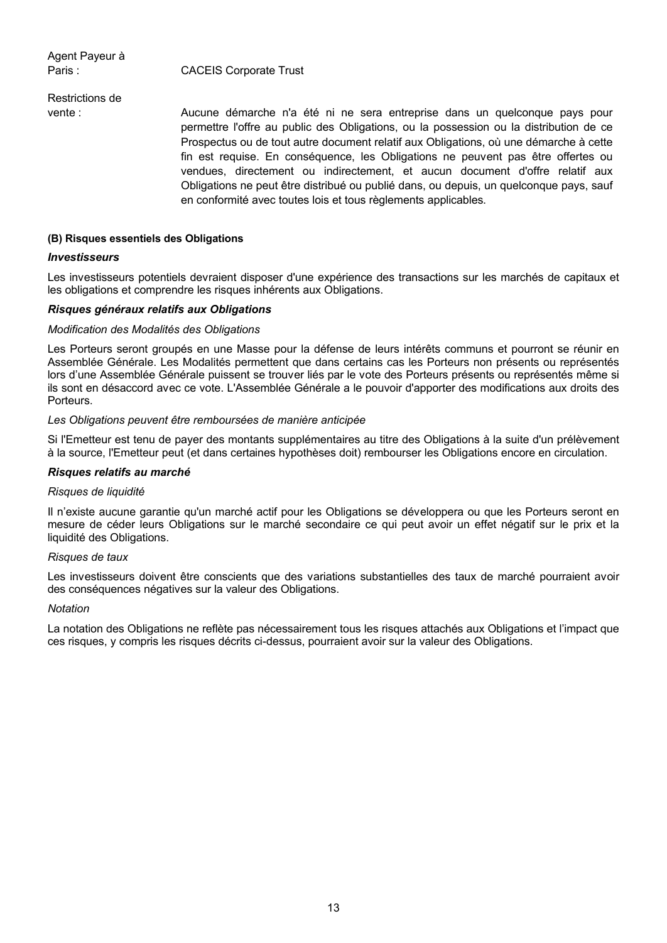Agent Payeur à

Paris : CACEIS Corporate Trust

Restrictions de

vente : Aucune démarche n'a été ni ne sera entreprise dans un quelconque pays pour permettre l'offre au public des Obligations, ou la possession ou la distribution de ce Prospectus ou de tout autre document relatif aux Obligations, où une démarche à cette fin est requise. En conséquence, les Obligations ne peuvent pas être offertes ou vendues, directement ou indirectement, et aucun document d'offre relatif aux Obligations ne peut être distribué ou publié dans, ou depuis, un quelconque pays, sauf en conformité avec toutes lois et tous règlements applicables.

### **(B) Risques essentiels des Obligations**

#### *Investisseurs*

Les investisseurs potentiels devraient disposer d'une expérience des transactions sur les marchés de capitaux et les obligations et comprendre les risques inhérents aux Obligations.

### *Risques généraux relatifs aux Obligations*

#### *Modification des Modalités des Obligations*

Les Porteurs seront groupés en une Masse pour la défense de leurs intérêts communs et pourront se réunir en Assemblée Générale. Les Modalités permettent que dans certains cas les Porteurs non présents ou représentés lors d'une Assemblée Générale puissent se trouver liés par le vote des Porteurs présents ou représentés même si ils sont en désaccord avec ce vote. L'Assemblée Générale a le pouvoir d'apporter des modifications aux droits des Porteurs.

#### *Les Obligations peuvent être remboursées de manière anticipée*

Si l'Emetteur est tenu de payer des montants supplémentaires au titre des Obligations à la suite d'un prélèvement à la source, l'Emetteur peut (et dans certaines hypothèses doit) rembourser les Obligations encore en circulation.

#### *Risques relatifs au marché*

#### *Risques de liquidité*

Il n'existe aucune garantie qu'un marché actif pour les Obligations se développera ou que les Porteurs seront en mesure de céder leurs Obligations sur le marché secondaire ce qui peut avoir un effet négatif sur le prix et la liquidité des Obligations.

#### *Risques de taux*

Les investisseurs doivent être conscients que des variations substantielles des taux de marché pourraient avoir des conséquences négatives sur la valeur des Obligations.

#### *Notation*

La notation des Obligations ne reflète pas nécessairement tous les risques attachés aux Obligations et l'impact que ces risques, y compris les risques décrits ci-dessus, pourraient avoir sur la valeur des Obligations.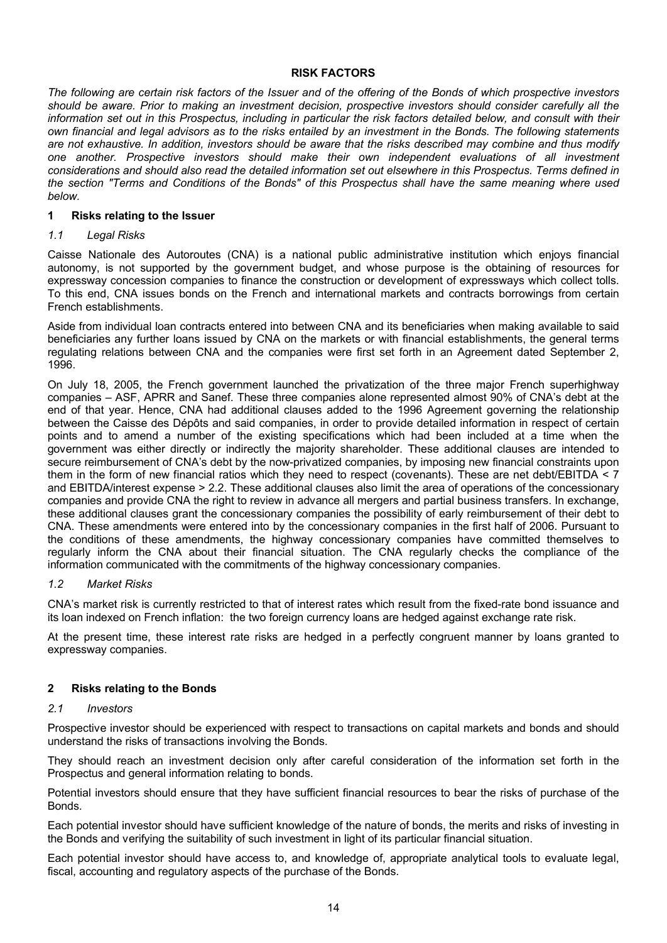### **RISK FACTORS**

*The following are certain risk factors of the Issuer and of the offering of the Bonds of which prospective investors should be aware. Prior to making an investment decision, prospective investors should consider carefully all the information set out in this Prospectus, including in particular the risk factors detailed below, and consult with their own financial and legal advisors as to the risks entailed by an investment in the Bonds. The following statements are not exhaustive. In addition, investors should be aware that the risks described may combine and thus modify one another. Prospective investors should make their own independent evaluations of all investment considerations and should also read the detailed information set out elsewhere in this Prospectus. Terms defined in the section "Terms and Conditions of the Bonds" of this Prospectus shall have the same meaning where used below.*

### **1 Risks relating to the Issuer**

### *1.1 Legal Risks*

Caisse Nationale des Autoroutes (CNA) is a national public administrative institution which enjoys financial autonomy, is not supported by the government budget, and whose purpose is the obtaining of resources for expressway concession companies to finance the construction or development of expressways which collect tolls. To this end, CNA issues bonds on the French and international markets and contracts borrowings from certain French establishments.

Aside from individual loan contracts entered into between CNA and its beneficiaries when making available to said beneficiaries any further loans issued by CNA on the markets or with financial establishments, the general terms regulating relations between CNA and the companies were first set forth in an Agreement dated September 2, 1996.

On July 18, 2005, the French government launched the privatization of the three major French superhighway companies – ASF, APRR and Sanef. These three companies alone represented almost 90% of CNA's debt at the end of that year. Hence, CNA had additional clauses added to the 1996 Agreement governing the relationship between the Caisse des Dépôts and said companies, in order to provide detailed information in respect of certain points and to amend a number of the existing specifications which had been included at a time when the government was either directly or indirectly the majority shareholder. These additional clauses are intended to secure reimbursement of CNA's debt by the now-privatized companies, by imposing new financial constraints upon them in the form of new financial ratios which they need to respect (covenants). These are net debt/EBITDA < 7 and EBITDA/interest expense > 2.2. These additional clauses also limit the area of operations of the concessionary companies and provide CNA the right to review in advance all mergers and partial business transfers. In exchange, these additional clauses grant the concessionary companies the possibility of early reimbursement of their debt to CNA. These amendments were entered into by the concessionary companies in the first half of 2006. Pursuant to the conditions of these amendments, the highway concessionary companies have committed themselves to regularly inform the CNA about their financial situation. The CNA regularly checks the compliance of the information communicated with the commitments of the highway concessionary companies.

#### *1.2 Market Risks*

CNA's market risk is currently restricted to that of interest rates which result from the fixed-rate bond issuance and its loan indexed on French inflation: the two foreign currency loans are hedged against exchange rate risk.

At the present time, these interest rate risks are hedged in a perfectly congruent manner by loans granted to expressway companies.

### **2 Risks relating to the Bonds**

### *2.1 Investors*

Prospective investor should be experienced with respect to transactions on capital markets and bonds and should understand the risks of transactions involving the Bonds.

They should reach an investment decision only after careful consideration of the information set forth in the Prospectus and general information relating to bonds.

Potential investors should ensure that they have sufficient financial resources to bear the risks of purchase of the Bonds.

Each potential investor should have sufficient knowledge of the nature of bonds, the merits and risks of investing in the Bonds and verifying the suitability of such investment in light of its particular financial situation.

Each potential investor should have access to, and knowledge of, appropriate analytical tools to evaluate legal, fiscal, accounting and regulatory aspects of the purchase of the Bonds.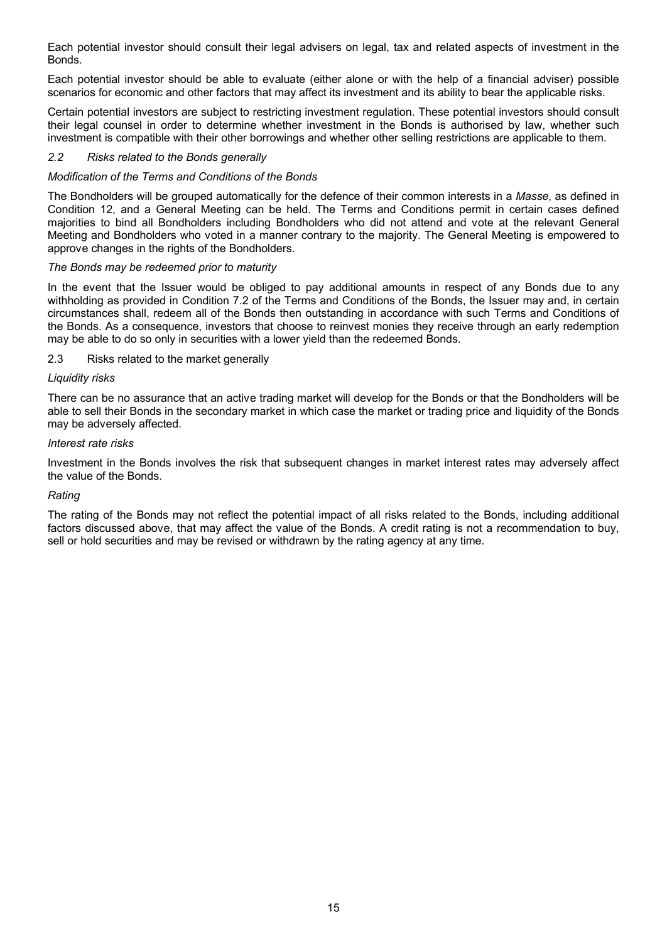Each potential investor should consult their legal advisers on legal, tax and related aspects of investment in the Bonds.

Each potential investor should be able to evaluate (either alone or with the help of a financial adviser) possible scenarios for economic and other factors that may affect its investment and its ability to bear the applicable risks.

Certain potential investors are subject to restricting investment regulation. These potential investors should consult their legal counsel in order to determine whether investment in the Bonds is authorised by law, whether such investment is compatible with their other borrowings and whether other selling restrictions are applicable to them.

### *2.2 Risks related to the Bonds generally*

### *Modification of the Terms and Conditions of the Bonds*

The Bondholders will be grouped automatically for the defence of their common interests in a *Masse*, as defined in Condition 12, and a General Meeting can be held. The Terms and Conditions permit in certain cases defined majorities to bind all Bondholders including Bondholders who did not attend and vote at the relevant General Meeting and Bondholders who voted in a manner contrary to the majority. The General Meeting is empowered to approve changes in the rights of the Bondholders.

### *The Bonds may be redeemed prior to maturity*

In the event that the Issuer would be obliged to pay additional amounts in respect of any Bonds due to any withholding as provided in Condition 7.2 of the Terms and Conditions of the Bonds, the Issuer may and, in certain circumstances shall, redeem all of the Bonds then outstanding in accordance with such Terms and Conditions of the Bonds. As a consequence, investors that choose to reinvest monies they receive through an early redemption may be able to do so only in securities with a lower yield than the redeemed Bonds.

### 2.3 Risks related to the market generally

#### *Liquidity risks*

There can be no assurance that an active trading market will develop for the Bonds or that the Bondholders will be able to sell their Bonds in the secondary market in which case the market or trading price and liquidity of the Bonds may be adversely affected.

#### *Interest rate risks*

Investment in the Bonds involves the risk that subsequent changes in market interest rates may adversely affect the value of the Bonds.

#### *Rating*

The rating of the Bonds may not reflect the potential impact of all risks related to the Bonds, including additional factors discussed above, that may affect the value of the Bonds. A credit rating is not a recommendation to buy, sell or hold securities and may be revised or withdrawn by the rating agency at any time.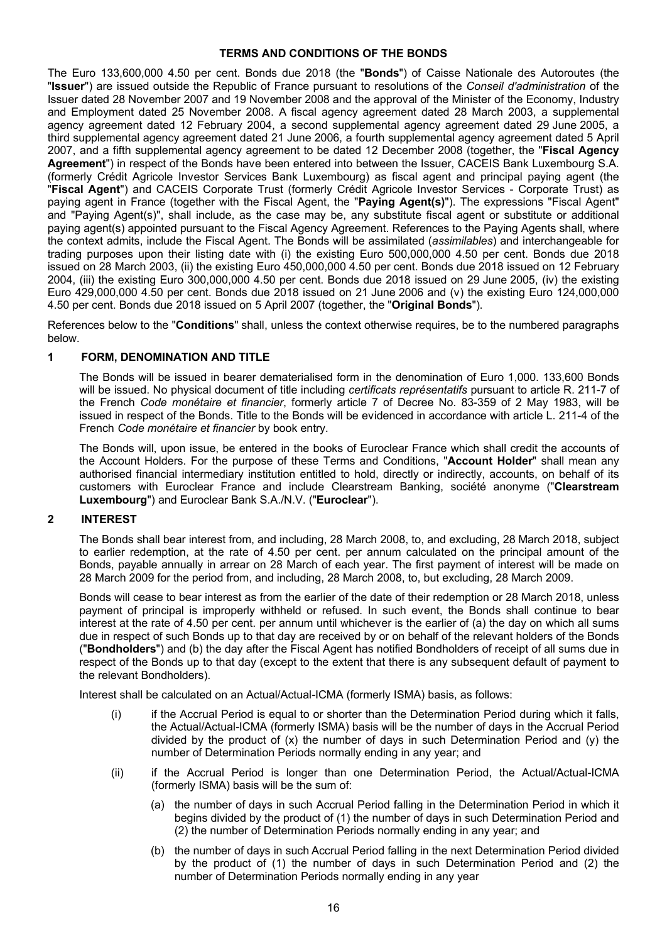### **TERMS AND CONDITIONS OF THE BONDS**

The Euro 133,600,000 4.50 per cent. Bonds due 2018 (the "**Bonds**") of Caisse Nationale des Autoroutes (the "**Issuer**") are issued outside the Republic of France pursuant to resolutions of the *Conseil d'administration* of the Issuer dated 28 November 2007 and 19 November 2008 and the approval of the Minister of the Economy, Industry and Employment dated 25 November 2008. A fiscal agency agreement dated 28 March 2003, a supplemental agency agreement dated 12 February 2004, a second supplemental agency agreement dated 29 June 2005, a third supplemental agency agreement dated 21 June 2006, a fourth supplemental agency agreement dated 5 April 2007, and a fifth supplemental agency agreement to be dated 12 December 2008 (together, the "**Fiscal Agency Agreement**") in respect of the Bonds have been entered into between the Issuer, CACEIS Bank Luxembourg S.A. (formerly Crédit Agricole Investor Services Bank Luxembourg) as fiscal agent and principal paying agent (the "**Fiscal Agent**") and CACEIS Corporate Trust (formerly Crédit Agricole Investor Services - Corporate Trust) as paying agent in France (together with the Fiscal Agent, the "**Paying Agent(s)**"). The expressions "Fiscal Agent" and "Paying Agent(s)", shall include, as the case may be, any substitute fiscal agent or substitute or additional paying agent(s) appointed pursuant to the Fiscal Agency Agreement. References to the Paying Agents shall, where the context admits, include the Fiscal Agent. The Bonds will be assimilated (*assimilables*) and interchangeable for trading purposes upon their listing date with (i) the existing Euro 500,000,000 4.50 per cent. Bonds due 2018 issued on 28 March 2003, (ii) the existing Euro 450,000,000 4.50 per cent. Bonds due 2018 issued on 12 February 2004, (iii) the existing Euro 300,000,000 4.50 per cent. Bonds due 2018 issued on 29 June 2005, (iv) the existing Euro 429,000,000 4.50 per cent. Bonds due 2018 issued on 21 June 2006 and (v) the existing Euro 124,000,000 4.50 per cent. Bonds due 2018 issued on 5 April 2007 (together, the "**Original Bonds**").

References below to the "**Conditions**" shall, unless the context otherwise requires, be to the numbered paragraphs below.

### **1 FORM, DENOMINATION AND TITLE**

The Bonds will be issued in bearer dematerialised form in the denomination of Euro 1,000. 133,600 Bonds will be issued. No physical document of title including *certificats représentatifs* pursuant to article R. 211-7 of the French *Code monétaire et financier*, formerly article 7 of Decree No. 83-359 of 2 May 1983, will be issued in respect of the Bonds. Title to the Bonds will be evidenced in accordance with article L. 211-4 of the French *Code monétaire et financier* by book entry.

The Bonds will, upon issue, be entered in the books of Euroclear France which shall credit the accounts of the Account Holders. For the purpose of these Terms and Conditions, "**Account Holder**" shall mean any authorised financial intermediary institution entitled to hold, directly or indirectly, accounts, on behalf of its customers with Euroclear France and include Clearstream Banking, société anonyme ("**Clearstream Luxembourg**") and Euroclear Bank S.A./N.V. ("**Euroclear**").

### **2 INTEREST**

The Bonds shall bear interest from, and including, 28 March 2008, to, and excluding, 28 March 2018, subject to earlier redemption, at the rate of 4.50 per cent. per annum calculated on the principal amount of the Bonds, payable annually in arrear on 28 March of each year. The first payment of interest will be made on 28 March 2009 for the period from, and including, 28 March 2008, to, but excluding, 28 March 2009.

Bonds will cease to bear interest as from the earlier of the date of their redemption or 28 March 2018, unless payment of principal is improperly withheld or refused. In such event, the Bonds shall continue to bear interest at the rate of 4.50 per cent. per annum until whichever is the earlier of (a) the day on which all sums due in respect of such Bonds up to that day are received by or on behalf of the relevant holders of the Bonds ("**Bondholders**") and (b) the day after the Fiscal Agent has notified Bondholders of receipt of all sums due in respect of the Bonds up to that day (except to the extent that there is any subsequent default of payment to the relevant Bondholders).

Interest shall be calculated on an Actual/Actual-ICMA (formerly ISMA) basis, as follows:

- (i) if the Accrual Period is equal to or shorter than the Determination Period during which it falls, the Actual/Actual-ICMA (formerly ISMA) basis will be the number of days in the Accrual Period divided by the product of  $(x)$  the number of days in such Determination Period and  $(y)$  the number of Determination Periods normally ending in any year; and
- (ii) if the Accrual Period is longer than one Determination Period, the Actual/Actual-ICMA (formerly ISMA) basis will be the sum of:
	- (a) the number of days in such Accrual Period falling in the Determination Period in which it begins divided by the product of (1) the number of days in such Determination Period and (2) the number of Determination Periods normally ending in any year; and
	- (b) the number of days in such Accrual Period falling in the next Determination Period divided by the product of (1) the number of days in such Determination Period and (2) the number of Determination Periods normally ending in any year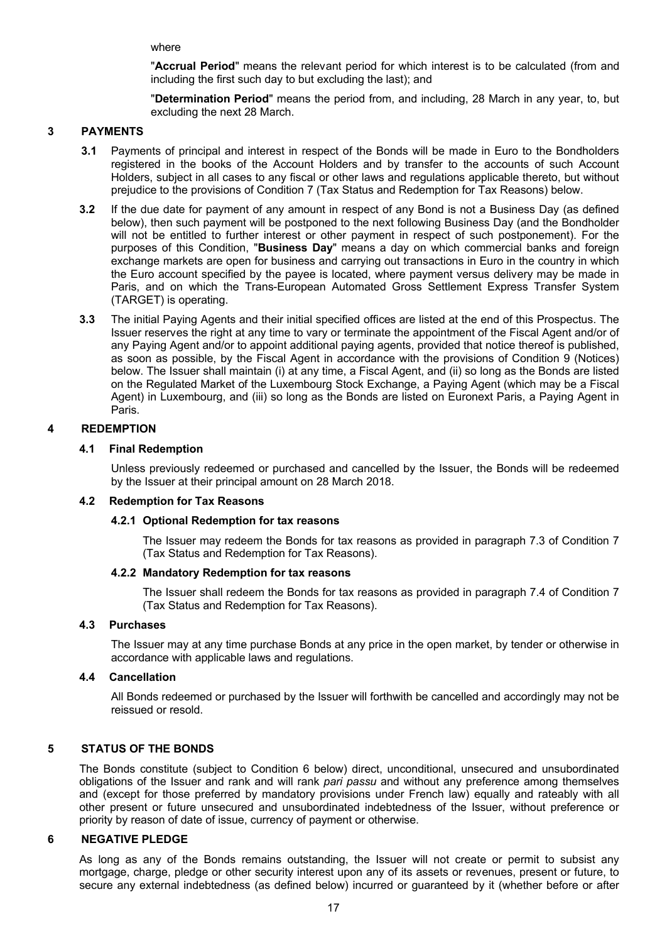where

"**Accrual Period**" means the relevant period for which interest is to be calculated (from and including the first such day to but excluding the last); and

"**Determination Period**" means the period from, and including, 28 March in any year, to, but excluding the next 28 March.

### **3 PAYMENTS**

- **3.1** Payments of principal and interest in respect of the Bonds will be made in Euro to the Bondholders registered in the books of the Account Holders and by transfer to the accounts of such Account Holders, subject in all cases to any fiscal or other laws and regulations applicable thereto, but without prejudice to the provisions of Condition 7 (Tax Status and Redemption for Tax Reasons) below.
- **3.2** If the due date for payment of any amount in respect of any Bond is not a Business Day (as defined below), then such payment will be postponed to the next following Business Day (and the Bondholder will not be entitled to further interest or other payment in respect of such postponement). For the purposes of this Condition, "**Business Day**" means a day on which commercial banks and foreign exchange markets are open for business and carrying out transactions in Euro in the country in which the Euro account specified by the payee is located, where payment versus delivery may be made in Paris, and on which the Trans-European Automated Gross Settlement Express Transfer System (TARGET) is operating.
- **3.3** The initial Paying Agents and their initial specified offices are listed at the end of this Prospectus. The Issuer reserves the right at any time to vary or terminate the appointment of the Fiscal Agent and/or of any Paying Agent and/or to appoint additional paying agents, provided that notice thereof is published, as soon as possible, by the Fiscal Agent in accordance with the provisions of Condition 9 (Notices) below. The Issuer shall maintain (i) at any time, a Fiscal Agent, and (ii) so long as the Bonds are listed on the Regulated Market of the Luxembourg Stock Exchange, a Paying Agent (which may be a Fiscal Agent) in Luxembourg, and (iii) so long as the Bonds are listed on Euronext Paris, a Paying Agent in Paris.

### **4 REDEMPTION**

#### **4.1 Final Redemption**

Unless previously redeemed or purchased and cancelled by the Issuer, the Bonds will be redeemed by the Issuer at their principal amount on 28 March 2018.

### **4.2 Redemption for Tax Reasons**

#### **4.2.1 Optional Redemption for tax reasons**

The Issuer may redeem the Bonds for tax reasons as provided in paragraph 7.3 of Condition 7 (Tax Status and Redemption for Tax Reasons).

#### **4.2.2 Mandatory Redemption for tax reasons**

The Issuer shall redeem the Bonds for tax reasons as provided in paragraph 7.4 of Condition 7 (Tax Status and Redemption for Tax Reasons).

### **4.3 Purchases**

The Issuer may at any time purchase Bonds at any price in the open market, by tender or otherwise in accordance with applicable laws and regulations.

### **4.4 Cancellation**

All Bonds redeemed or purchased by the Issuer will forthwith be cancelled and accordingly may not be reissued or resold.

### **5 STATUS OF THE BONDS**

The Bonds constitute (subject to Condition 6 below) direct, unconditional, unsecured and unsubordinated obligations of the Issuer and rank and will rank *pari passu* and without any preference among themselves and (except for those preferred by mandatory provisions under French law) equally and rateably with all other present or future unsecured and unsubordinated indebtedness of the Issuer, without preference or priority by reason of date of issue, currency of payment or otherwise.

#### **6 NEGATIVE PLEDGE**

As long as any of the Bonds remains outstanding, the Issuer will not create or permit to subsist any mortgage, charge, pledge or other security interest upon any of its assets or revenues, present or future, to secure any external indebtedness (as defined below) incurred or guaranteed by it (whether before or after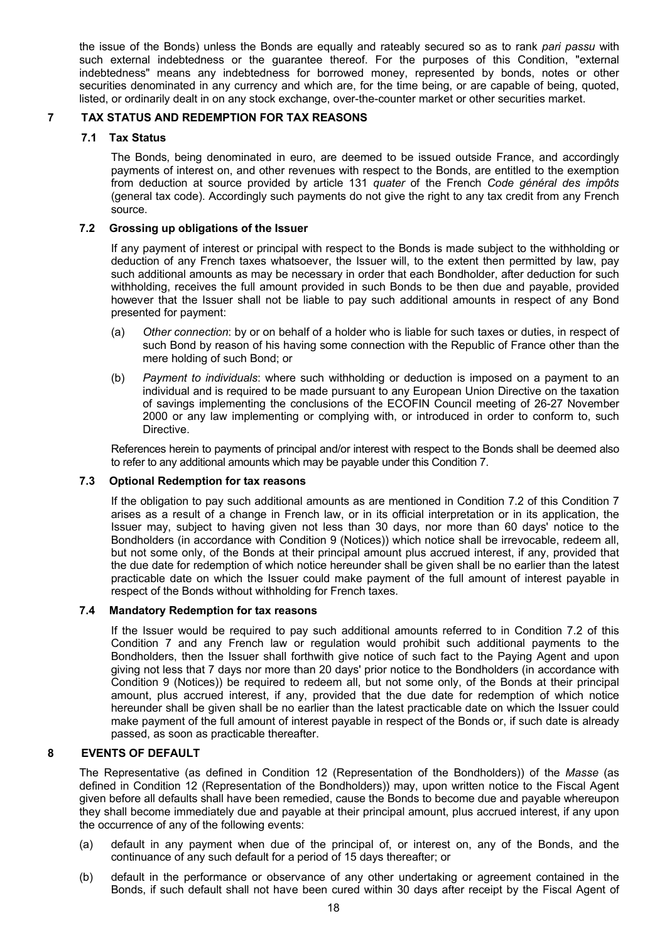the issue of the Bonds) unless the Bonds are equally and rateably secured so as to rank *pari passu* with such external indebtedness or the guarantee thereof. For the purposes of this Condition, "external indebtedness" means any indebtedness for borrowed money, represented by bonds, notes or other securities denominated in any currency and which are, for the time being, or are capable of being, quoted, listed, or ordinarily dealt in on any stock exchange, over-the-counter market or other securities market.

### **7 TAX STATUS AND REDEMPTION FOR TAX REASONS**

## **7.1 Tax Status**

The Bonds, being denominated in euro, are deemed to be issued outside France, and accordingly payments of interest on, and other revenues with respect to the Bonds, are entitled to the exemption from deduction at source provided by article 131 *quater* of the French *Code général des impôts* (general tax code). Accordingly such payments do not give the right to any tax credit from any French source.

### **7.2 Grossing up obligations of the Issuer**

If any payment of interest or principal with respect to the Bonds is made subject to the withholding or deduction of any French taxes whatsoever, the Issuer will, to the extent then permitted by law, pay such additional amounts as may be necessary in order that each Bondholder, after deduction for such withholding, receives the full amount provided in such Bonds to be then due and payable, provided however that the Issuer shall not be liable to pay such additional amounts in respect of any Bond presented for payment:

- (a) *Other connection*: by or on behalf of a holder who is liable for such taxes or duties, in respect of such Bond by reason of his having some connection with the Republic of France other than the mere holding of such Bond; or
- (b) *Payment to individuals*: where such withholding or deduction is imposed on a payment to an individual and is required to be made pursuant to any European Union Directive on the taxation of savings implementing the conclusions of the ECOFIN Council meeting of 26-27 November 2000 or any law implementing or complying with, or introduced in order to conform to, such Directive.

References herein to payments of principal and/or interest with respect to the Bonds shall be deemed also to refer to any additional amounts which may be payable under this Condition 7.

### **7.3 Optional Redemption for tax reasons**

If the obligation to pay such additional amounts as are mentioned in Condition 7.2 of this Condition 7 arises as a result of a change in French law, or in its official interpretation or in its application, the Issuer may, subject to having given not less than 30 days, nor more than 60 days' notice to the Bondholders (in accordance with Condition 9 (Notices)) which notice shall be irrevocable, redeem all, but not some only, of the Bonds at their principal amount plus accrued interest, if any, provided that the due date for redemption of which notice hereunder shall be given shall be no earlier than the latest practicable date on which the Issuer could make payment of the full amount of interest payable in respect of the Bonds without withholding for French taxes.

### **7.4 Mandatory Redemption for tax reasons**

If the Issuer would be required to pay such additional amounts referred to in Condition 7.2 of this Condition 7 and any French law or regulation would prohibit such additional payments to the Bondholders, then the Issuer shall forthwith give notice of such fact to the Paying Agent and upon giving not less that 7 days nor more than 20 days' prior notice to the Bondholders (in accordance with Condition 9 (Notices)) be required to redeem all, but not some only, of the Bonds at their principal amount, plus accrued interest, if any, provided that the due date for redemption of which notice hereunder shall be given shall be no earlier than the latest practicable date on which the Issuer could make payment of the full amount of interest payable in respect of the Bonds or, if such date is already passed, as soon as practicable thereafter.

### **8 EVENTS OF DEFAULT**

The Representative (as defined in Condition 12 (Representation of the Bondholders)) of the *Masse* (as defined in Condition 12 (Representation of the Bondholders)) may, upon written notice to the Fiscal Agent given before all defaults shall have been remedied, cause the Bonds to become due and payable whereupon they shall become immediately due and payable at their principal amount, plus accrued interest, if any upon the occurrence of any of the following events:

- (a) default in any payment when due of the principal of, or interest on, any of the Bonds, and the continuance of any such default for a period of 15 days thereafter; or
- (b) default in the performance or observance of any other undertaking or agreement contained in the Bonds, if such default shall not have been cured within 30 days after receipt by the Fiscal Agent of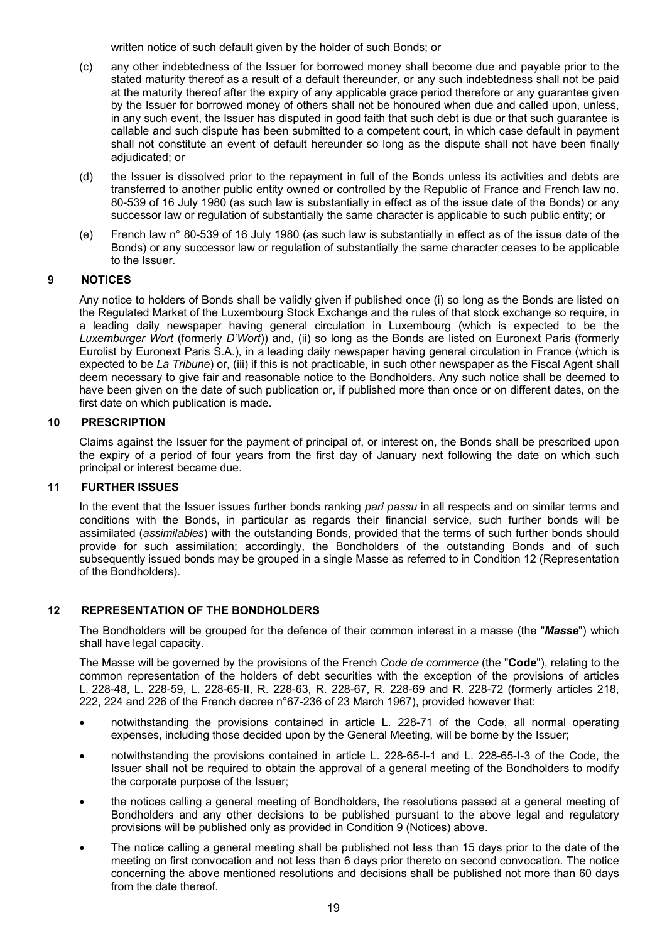written notice of such default given by the holder of such Bonds; or

- (c) any other indebtedness of the Issuer for borrowed money shall become due and payable prior to the stated maturity thereof as a result of a default thereunder, or any such indebtedness shall not be paid at the maturity thereof after the expiry of any applicable grace period therefore or any guarantee given by the Issuer for borrowed money of others shall not be honoured when due and called upon, unless, in any such event, the Issuer has disputed in good faith that such debt is due or that such guarantee is callable and such dispute has been submitted to a competent court, in which case default in payment shall not constitute an event of default hereunder so long as the dispute shall not have been finally adjudicated; or
- (d) the Issuer is dissolved prior to the repayment in full of the Bonds unless its activities and debts are transferred to another public entity owned or controlled by the Republic of France and French law no. 80-539 of 16 July 1980 (as such law is substantially in effect as of the issue date of the Bonds) or any successor law or regulation of substantially the same character is applicable to such public entity; or
- (e) French law n° 80-539 of 16 July 1980 (as such law is substantially in effect as of the issue date of the Bonds) or any successor law or regulation of substantially the same character ceases to be applicable to the Issuer.

### **9 NOTICES**

Any notice to holders of Bonds shall be validly given if published once (i) so long as the Bonds are listed on the Regulated Market of the Luxembourg Stock Exchange and the rules of that stock exchange so require, in a leading daily newspaper having general circulation in Luxembourg (which is expected to be the *Luxemburger Wort* (formerly *D'Wort*)) and, (ii) so long as the Bonds are listed on Euronext Paris (formerly Eurolist by Euronext Paris S.A.), in a leading daily newspaper having general circulation in France (which is expected to be *La Tribune*) or, (iii) if this is not practicable, in such other newspaper as the Fiscal Agent shall deem necessary to give fair and reasonable notice to the Bondholders. Any such notice shall be deemed to have been given on the date of such publication or, if published more than once or on different dates, on the first date on which publication is made.

### **10 PRESCRIPTION**

Claims against the Issuer for the payment of principal of, or interest on, the Bonds shall be prescribed upon the expiry of a period of four years from the first day of January next following the date on which such principal or interest became due.

### **11 FURTHER ISSUES**

In the event that the Issuer issues further bonds ranking *pari passu* in all respects and on similar terms and conditions with the Bonds, in particular as regards their financial service, such further bonds will be assimilated (*assimilables*) with the outstanding Bonds, provided that the terms of such further bonds should provide for such assimilation; accordingly, the Bondholders of the outstanding Bonds and of such subsequently issued bonds may be grouped in a single Masse as referred to in Condition 12 (Representation of the Bondholders).

### **12 REPRESENTATION OF THE BONDHOLDERS**

The Bondholders will be grouped for the defence of their common interest in a masse (the "*Masse*") which shall have legal capacity.

The Masse will be governed by the provisions of the French *Code de commerce* (the "**Code**"), relating to the common representation of the holders of debt securities with the exception of the provisions of articles L. 228-48, L. 228-59, L. 228-65-II, R. 228-63, R. 228-67, R. 228-69 and R. 228-72 (formerly articles 218, 222, 224 and 226 of the French decree n°67-236 of 23 March 1967), provided however that:

- · notwithstanding the provisions contained in article L. 228-71 of the Code, all normal operating expenses, including those decided upon by the General Meeting, will be borne by the Issuer;
- notwithstanding the provisions contained in article L. 228-65-I-1 and L. 228-65-I-3 of the Code, the Issuer shall not be required to obtain the approval of a general meeting of the Bondholders to modify the corporate purpose of the Issuer;
- · the notices calling a general meeting of Bondholders, the resolutions passed at a general meeting of Bondholders and any other decisions to be published pursuant to the above legal and regulatory provisions will be published only as provided in Condition 9 (Notices) above.
- The notice calling a general meeting shall be published not less than 15 days prior to the date of the meeting on first convocation and not less than 6 days prior thereto on second convocation. The notice concerning the above mentioned resolutions and decisions shall be published not more than 60 days from the date thereof.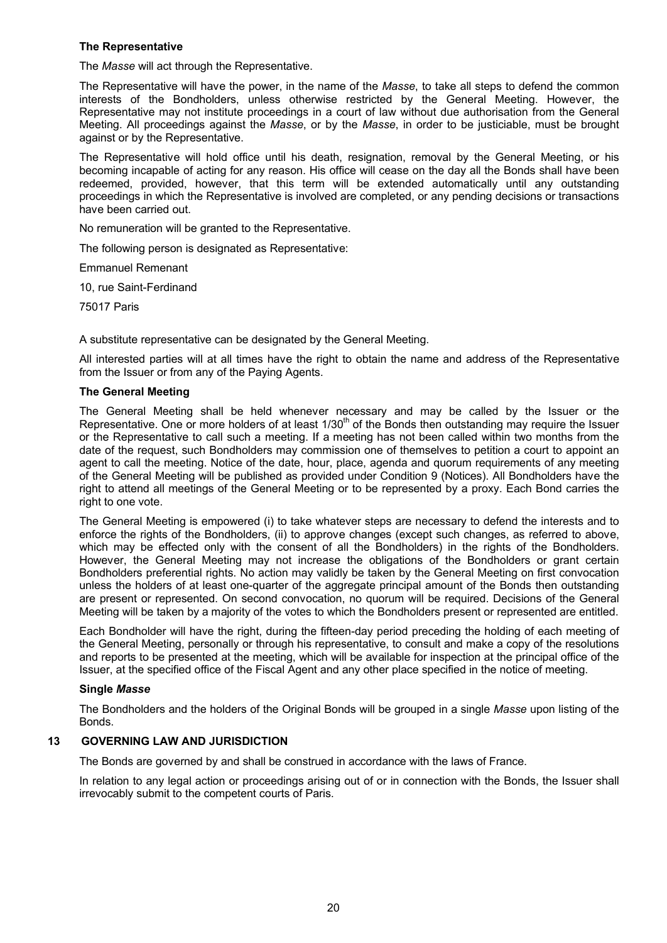### **The Representative**

The *Masse* will act through the Representative.

The Representative will have the power, in the name of the *Masse*, to take all steps to defend the common interests of the Bondholders, unless otherwise restricted by the General Meeting. However, the Representative may not institute proceedings in a court of law without due authorisation from the General Meeting. All proceedings against the *Masse*, or by the *Masse*, in order to be justiciable, must be brought against or by the Representative.

The Representative will hold office until his death, resignation, removal by the General Meeting, or his becoming incapable of acting for any reason. His office will cease on the day all the Bonds shall have been redeemed, provided, however, that this term will be extended automatically until any outstanding proceedings in which the Representative is involved are completed, or any pending decisions or transactions have been carried out.

No remuneration will be granted to the Representative.

The following person is designated as Representative:

Emmanuel Remenant

10, rue Saint-Ferdinand

75017 Paris

A substitute representative can be designated by the General Meeting.

All interested parties will at all times have the right to obtain the name and address of the Representative from the Issuer or from any of the Paying Agents.

### **The General Meeting**

The General Meeting shall be held whenever necessary and may be called by the Issuer or the Representative. One or more holders of at least  $1/30<sup>th</sup>$  of the Bonds then outstanding may require the Issuer or the Representative to call such a meeting. If a meeting has not been called within two months from the date of the request, such Bondholders may commission one of themselves to petition a court to appoint an agent to call the meeting. Notice of the date, hour, place, agenda and quorum requirements of any meeting of the General Meeting will be published as provided under Condition 9 (Notices). All Bondholders have the right to attend all meetings of the General Meeting or to be represented by a proxy. Each Bond carries the right to one vote.

The General Meeting is empowered (i) to take whatever steps are necessary to defend the interests and to enforce the rights of the Bondholders, (ii) to approve changes (except such changes, as referred to above, which may be effected only with the consent of all the Bondholders) in the rights of the Bondholders. However, the General Meeting may not increase the obligations of the Bondholders or grant certain Bondholders preferential rights. No action may validly be taken by the General Meeting on first convocation unless the holders of at least one-quarter of the aggregate principal amount of the Bonds then outstanding are present or represented. On second convocation, no quorum will be required. Decisions of the General Meeting will be taken by a majority of the votes to which the Bondholders present or represented are entitled.

Each Bondholder will have the right, during the fifteen-day period preceding the holding of each meeting of the General Meeting, personally or through his representative, to consult and make a copy of the resolutions and reports to be presented at the meeting, which will be available for inspection at the principal office of the Issuer, at the specified office of the Fiscal Agent and any other place specified in the notice of meeting.

#### **Single** *Masse*

The Bondholders and the holders of the Original Bonds will be grouped in a single *Masse* upon listing of the Bonds.

### **13 GOVERNING LAW AND JURISDICTION**

The Bonds are governed by and shall be construed in accordance with the laws of France.

In relation to any legal action or proceedings arising out of or in connection with the Bonds, the Issuer shall irrevocably submit to the competent courts of Paris.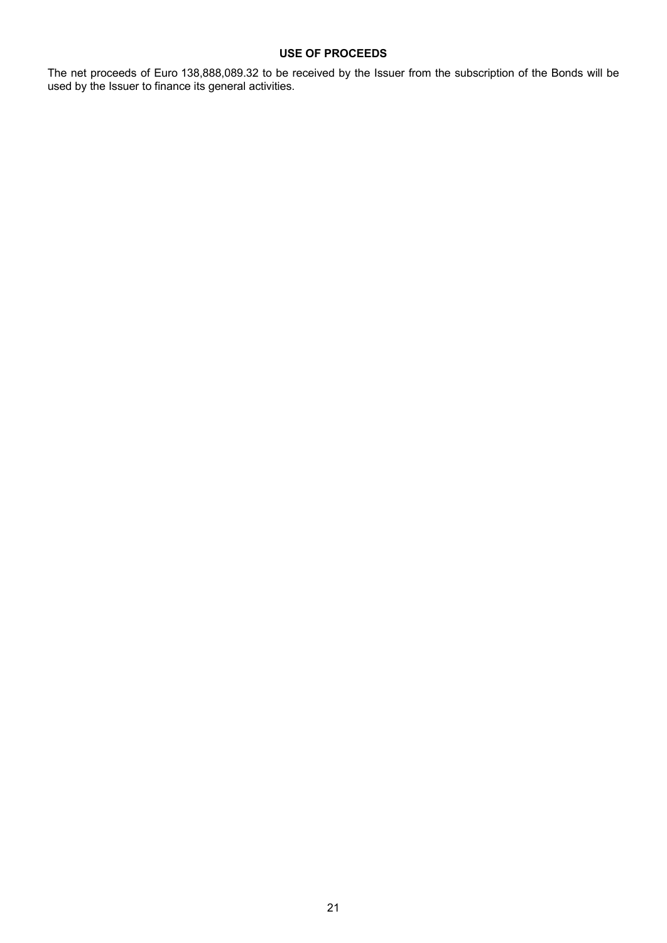### **USE OF PROCEEDS**

The net proceeds of Euro 138,888,089.32 to be received by the Issuer from the subscription of the Bonds will be used by the Issuer to finance its general activities.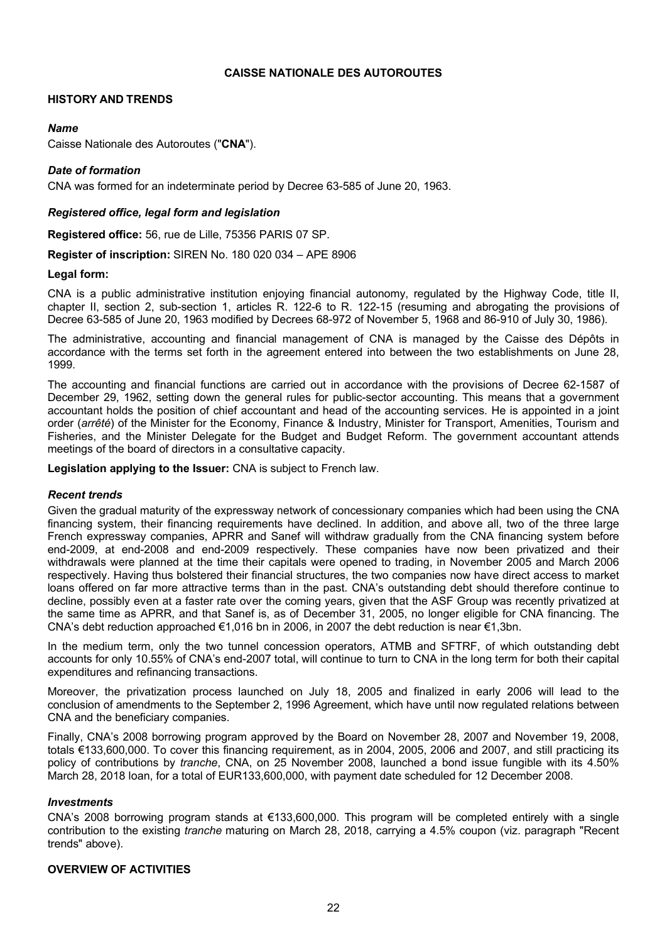### **CAISSE NATIONALE DES AUTOROUTES**

### **HISTORY AND TRENDS**

### *Name*

Caisse Nationale des Autoroutes ("**CNA**").

### *Date of formation*

CNA was formed for an indeterminate period by Decree 63-585 of June 20, 1963.

### *Registered office, legal form and legislation*

**Registered office:** 56, rue de Lille, 75356 PARIS 07 SP.

**Register of inscription:** SIREN No. 180 020 034 – APE 8906

#### **Legal form:**

CNA is a public administrative institution enjoying financial autonomy, regulated by the Highway Code, title II, chapter II, section 2, sub-section 1, articles R. 122-6 to R. 122-15 (resuming and abrogating the provisions of Decree 63-585 of June 20, 1963 modified by Decrees 68-972 of November 5, 1968 and 86-910 of July 30, 1986).

The administrative, accounting and financial management of CNA is managed by the Caisse des Dépôts in accordance with the terms set forth in the agreement entered into between the two establishments on June 28, 1999.

The accounting and financial functions are carried out in accordance with the provisions of Decree 62-1587 of December 29, 1962, setting down the general rules for public-sector accounting. This means that a government accountant holds the position of chief accountant and head of the accounting services. He is appointed in a joint order (*arrêté*) of the Minister for the Economy, Finance & Industry, Minister for Transport, Amenities, Tourism and Fisheries, and the Minister Delegate for the Budget and Budget Reform. The government accountant attends meetings of the board of directors in a consultative capacity.

**Legislation applying to the Issuer:** CNA is subject to French law.

#### *Recent trends*

Given the gradual maturity of the expressway network of concessionary companies which had been using the CNA financing system, their financing requirements have declined. In addition, and above all, two of the three large French expressway companies, APRR and Sanef will withdraw gradually from the CNA financing system before end-2009, at end-2008 and end-2009 respectively. These companies have now been privatized and their withdrawals were planned at the time their capitals were opened to trading, in November 2005 and March 2006 respectively. Having thus bolstered their financial structures, the two companies now have direct access to market loans offered on far more attractive terms than in the past. CNA's outstanding debt should therefore continue to decline, possibly even at a faster rate over the coming years, given that the ASF Group was recently privatized at the same time as APRR, and that Sanef is, as of December 31, 2005, no longer eligible for CNA financing. The CNA's debt reduction approached  $\epsilon$ 1,016 bn in 2006, in 2007 the debt reduction is near  $\epsilon$ 1,3bn.

In the medium term, only the two tunnel concession operators, ATMB and SFTRF, of which outstanding debt accounts for only 10.55% of CNA's end-2007 total, will continue to turn to CNA in the long term for both their capital expenditures and refinancing transactions.

Moreover, the privatization process launched on July 18, 2005 and finalized in early 2006 will lead to the conclusion of amendments to the September 2, 1996 Agreement, which have until now regulated relations between CNA and the beneficiary companies.

Finally, CNA's 2008 borrowing program approved by the Board on November 28, 2007 and November 19, 2008, totals €133,600,000. To cover this financing requirement, as in 2004, 2005, 2006 and 2007, and still practicing its policy of contributions by *tranche*, CNA, on 25 November 2008, launched a bond issue fungible with its 4.50% March 28, 2018 loan, for a total of EUR133,600,000, with payment date scheduled for 12 December 2008.

### *Investments*

CNA's 2008 borrowing program stands at €133,600,000. This program will be completed entirely with a single contribution to the existing *tranche* maturing on March 28, 2018, carrying a 4.5% coupon (viz. paragraph "Recent trends" above).

### **OVERVIEW OF ACTIVITIES**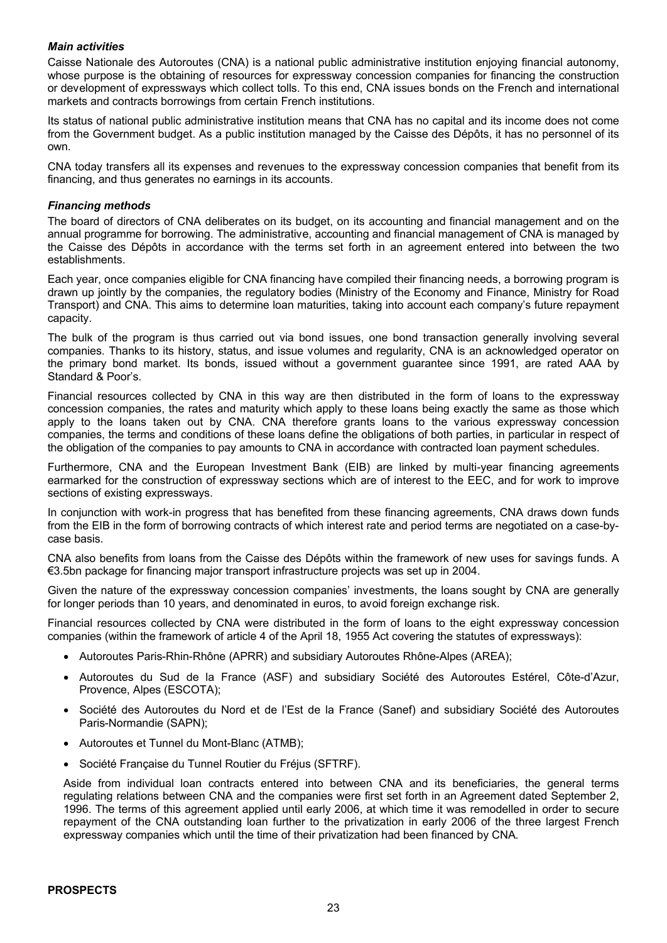### *Main activities*

Caisse Nationale des Autoroutes (CNA) is a national public administrative institution enjoying financial autonomy, whose purpose is the obtaining of resources for expressway concession companies for financing the construction or development of expressways which collect tolls. To this end, CNA issues bonds on the French and international markets and contracts borrowings from certain French institutions.

Its status of national public administrative institution means that CNA has no capital and its income does not come from the Government budget. As a public institution managed by the Caisse des Dépôts, it has no personnel of its own.

CNA today transfers all its expenses and revenues to the expressway concession companies that benefit from its financing, and thus generates no earnings in its accounts.

### *Financing methods*

The board of directors of CNA deliberates on its budget, on its accounting and financial management and on the annual programme for borrowing. The administrative, accounting and financial management of CNA is managed by the Caisse des Dépôts in accordance with the terms set forth in an agreement entered into between the two establishments.

Each year, once companies eligible for CNA financing have compiled their financing needs, a borrowing program is drawn up jointly by the companies, the regulatory bodies (Ministry of the Economy and Finance, Ministry for Road Transport) and CNA. This aims to determine loan maturities, taking into account each company's future repayment capacity.

The bulk of the program is thus carried out via bond issues, one bond transaction generally involving several companies. Thanks to its history, status, and issue volumes and regularity, CNA is an acknowledged operator on the primary bond market. Its bonds, issued without a government guarantee since 1991, are rated AAA by Standard & Poor's.

Financial resources collected by CNA in this way are then distributed in the form of loans to the expressway concession companies, the rates and maturity which apply to these loans being exactly the same as those which apply to the loans taken out by CNA. CNA therefore grants loans to the various expressway concession companies, the terms and conditions of these loans define the obligations of both parties, in particular in respect of the obligation of the companies to pay amounts to CNA in accordance with contracted loan payment schedules.

Furthermore, CNA and the European Investment Bank (EIB) are linked by multi-year financing agreements earmarked for the construction of expressway sections which are of interest to the EEC, and for work to improve sections of existing expressways.

In conjunction with work-in progress that has benefited from these financing agreements, CNA draws down funds from the EIB in the form of borrowing contracts of which interest rate and period terms are negotiated on a case-bycase basis.

CNA also benefits from loans from the Caisse des Dépôts within the framework of new uses for savings funds. A €3.5bn package for financing major transport infrastructure projects was set up in 2004.

Given the nature of the expressway concession companies' investments, the loans sought by CNA are generally for longer periods than 10 years, and denominated in euros, to avoid foreign exchange risk.

Financial resources collected by CNA were distributed in the form of loans to the eight expressway concession companies (within the framework of article 4 of the April 18, 1955 Act covering the statutes of expressways):

- · Autoroutes Paris-Rhin-Rhône (APRR) and subsidiary Autoroutes Rhône-Alpes (AREA);
- · Autoroutes du Sud de la France (ASF) and subsidiary Société des Autoroutes Estérel, Côte-d'Azur, Provence, Alpes (ESCOTA);
- · Société des Autoroutes du Nord et de l'Est de la France (Sanef) and subsidiary Société des Autoroutes Paris-Normandie (SAPN);
- · Autoroutes et Tunnel du Mont-Blanc (ATMB);
- · Société Française du Tunnel Routier du Fréjus (SFTRF).

Aside from individual loan contracts entered into between CNA and its beneficiaries, the general terms regulating relations between CNA and the companies were first set forth in an Agreement dated September 2, 1996. The terms of this agreement applied until early 2006, at which time it was remodelled in order to secure repayment of the CNA outstanding loan further to the privatization in early 2006 of the three largest French expressway companies which until the time of their privatization had been financed by CNA.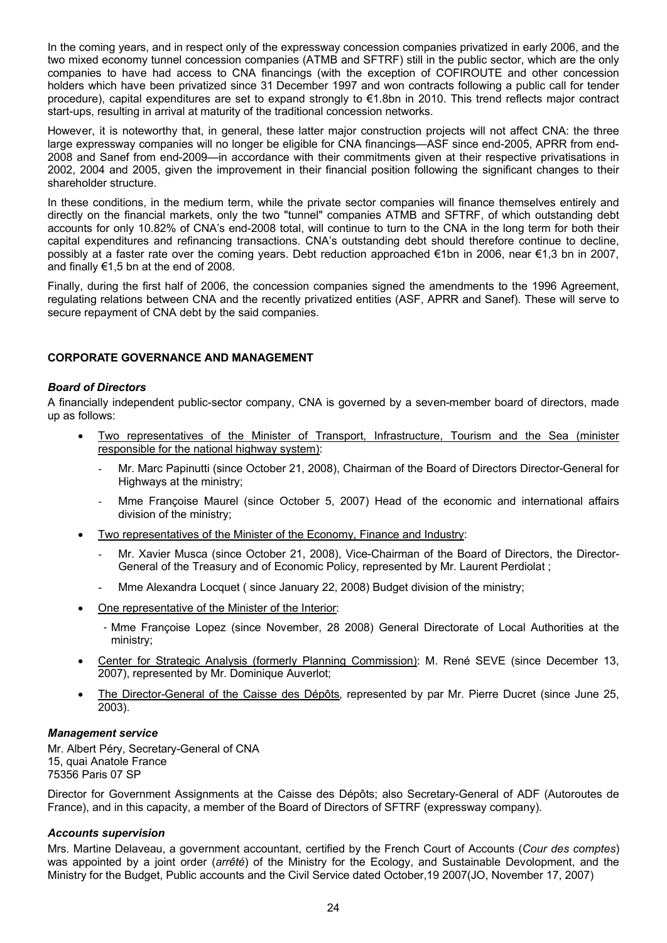In the coming years, and in respect only of the expressway concession companies privatized in early 2006, and the two mixed economy tunnel concession companies (ATMB and SFTRF) still in the public sector, which are the only companies to have had access to CNA financings (with the exception of COFIROUTE and other concession holders which have been privatized since 31 December 1997 and won contracts following a public call for tender procedure), capital expenditures are set to expand strongly to €1.8bn in 2010. This trend reflects major contract start-ups, resulting in arrival at maturity of the traditional concession networks.

However, it is noteworthy that, in general, these latter major construction projects will not affect CNA: the three large expressway companies will no longer be eligible for CNA financings—ASF since end-2005, APRR from end-2008 and Sanef from end-2009—in accordance with their commitments given at their respective privatisations in 2002, 2004 and 2005, given the improvement in their financial position following the significant changes to their shareholder structure.

In these conditions, in the medium term, while the private sector companies will finance themselves entirely and directly on the financial markets, only the two "tunnel" companies ATMB and SFTRF, of which outstanding debt accounts for only 10.82% of CNA's end-2008 total, will continue to turn to the CNA in the long term for both their capital expenditures and refinancing transactions. CNA's outstanding debt should therefore continue to decline, possibly at a faster rate over the coming years. Debt reduction approached €1bn in 2006, near €1,3 bn in 2007, and finally  $€1,5$  bn at the end of 2008.

Finally, during the first half of 2006, the concession companies signed the amendments to the 1996 Agreement, regulating relations between CNA and the recently privatized entities (ASF, APRR and Sanef). These will serve to secure repayment of CNA debt by the said companies.

### **CORPORATE GOVERNANCE AND MANAGEMENT**

### *Board of Directors*

A financially independent public-sector company, CNA is governed by a seven-member board of directors, made up as follows:

- · Two representatives of the Minister of Transport, Infrastructure, Tourism and the Sea (minister responsible for the national highway system):
	- Mr. Marc Papinutti (since October 21, 2008), Chairman of the Board of Directors Director-General for Highways at the ministry;
	- Mme Françoise Maurel (since October 5, 2007) Head of the economic and international affairs division of the ministry;
- Two representatives of the Minister of the Economy, Finance and Industry:
	- Mr. Xavier Musca (since October 21, 2008), Vice-Chairman of the Board of Directors, the Director-General of the Treasury and of Economic Policy, represented by Mr. Laurent Perdiolat ;
	- Mme Alexandra Locquet ( since January 22, 2008) Budget division of the ministry;
- One representative of the Minister of the Interior:
	- ‐ Mme Françoise Lopez (since November, 28 2008) General Directorate of Local Authorities at the ministry;
- Center for Strategic Analysis (formerly Planning Commission): M. René SEVE (since December 13, 2007), represented by Mr. Dominique Auverlot;
- The Director-General of the Caisse des Dépôts, represented by par Mr. Pierre Ducret (since June 25, 2003).

#### *Management service*

Mr. Albert Péry, Secretary-General of CNA 15, quai Anatole France 75356 Paris 07 SP

Director for Government Assignments at the Caisse des Dépôts; also Secretary-General of ADF (Autoroutes de France), and in this capacity, a member of the Board of Directors of SFTRF (expressway company).

### *Accounts supervision*

Mrs. Martine Delaveau, a government accountant, certified by the French Court of Accounts (*Cour des comptes*) was appointed by a joint order (*arrêté*) of the Ministry for the Ecology, and Sustainable Devolopment, and the Ministry for the Budget, Public accounts and the Civil Service dated October,19 2007(JO, November 17, 2007)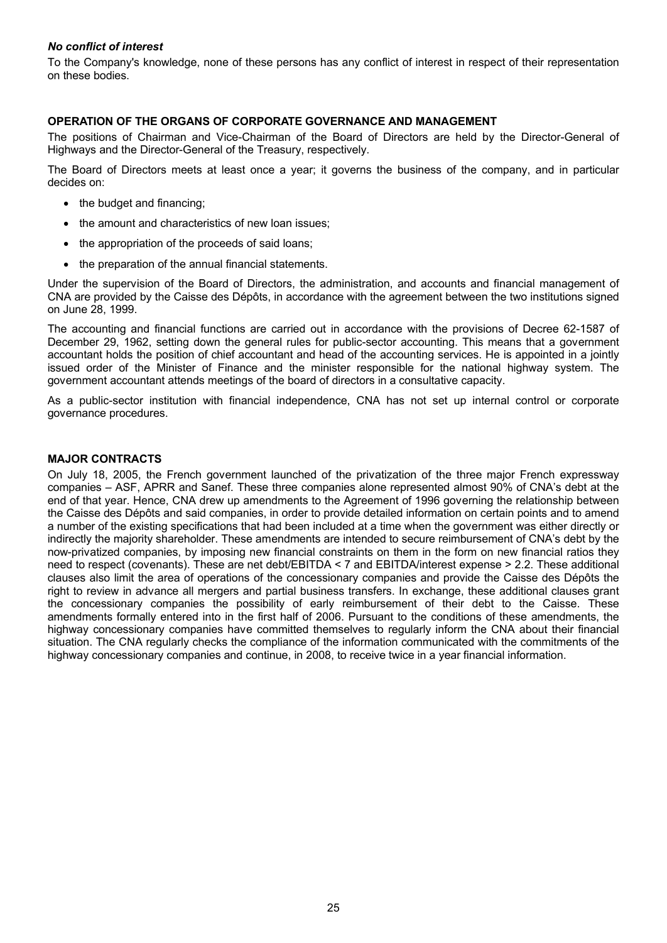### *No conflict of interest*

To the Company's knowledge, none of these persons has any conflict of interest in respect of their representation on these bodies.

### **OPERATION OF THE ORGANS OF CORPORATE GOVERNANCE AND MANAGEMENT**

The positions of Chairman and Vice-Chairman of the Board of Directors are held by the Director-General of Highways and the Director-General of the Treasury, respectively.

The Board of Directors meets at least once a year; it governs the business of the company, and in particular decides on:

- the budget and financing;
- the amount and characteristics of new loan issues;
- the appropriation of the proceeds of said loans;
- the preparation of the annual financial statements.

Under the supervision of the Board of Directors, the administration, and accounts and financial management of CNA are provided by the Caisse des Dépôts, in accordance with the agreement between the two institutions signed on June 28, 1999.

The accounting and financial functions are carried out in accordance with the provisions of Decree 62-1587 of December 29, 1962, setting down the general rules for public-sector accounting. This means that a government accountant holds the position of chief accountant and head of the accounting services. He is appointed in a jointly issued order of the Minister of Finance and the minister responsible for the national highway system. The government accountant attends meetings of the board of directors in a consultative capacity.

As a public-sector institution with financial independence, CNA has not set up internal control or corporate governance procedures.

### **MAJOR CONTRACTS**

On July 18, 2005, the French government launched of the privatization of the three major French expressway companies – ASF, APRR and Sanef. These three companies alone represented almost 90% of CNA's debt at the end of that year. Hence, CNA drew up amendments to the Agreement of 1996 governing the relationship between the Caisse des Dépôts and said companies, in order to provide detailed information on certain points and to amend a number of the existing specifications that had been included at a time when the government was either directly or indirectly the majority shareholder. These amendments are intended to secure reimbursement of CNA's debt by the now-privatized companies, by imposing new financial constraints on them in the form on new financial ratios they need to respect (covenants). These are net debt/EBITDA < 7 and EBITDA/interest expense > 2.2. These additional clauses also limit the area of operations of the concessionary companies and provide the Caisse des Dépôts the right to review in advance all mergers and partial business transfers. In exchange, these additional clauses grant the concessionary companies the possibility of early reimbursement of their debt to the Caisse. These amendments formally entered into in the first half of 2006. Pursuant to the conditions of these amendments, the highway concessionary companies have committed themselves to regularly inform the CNA about their financial situation. The CNA regularly checks the compliance of the information communicated with the commitments of the highway concessionary companies and continue, in 2008, to receive twice in a year financial information.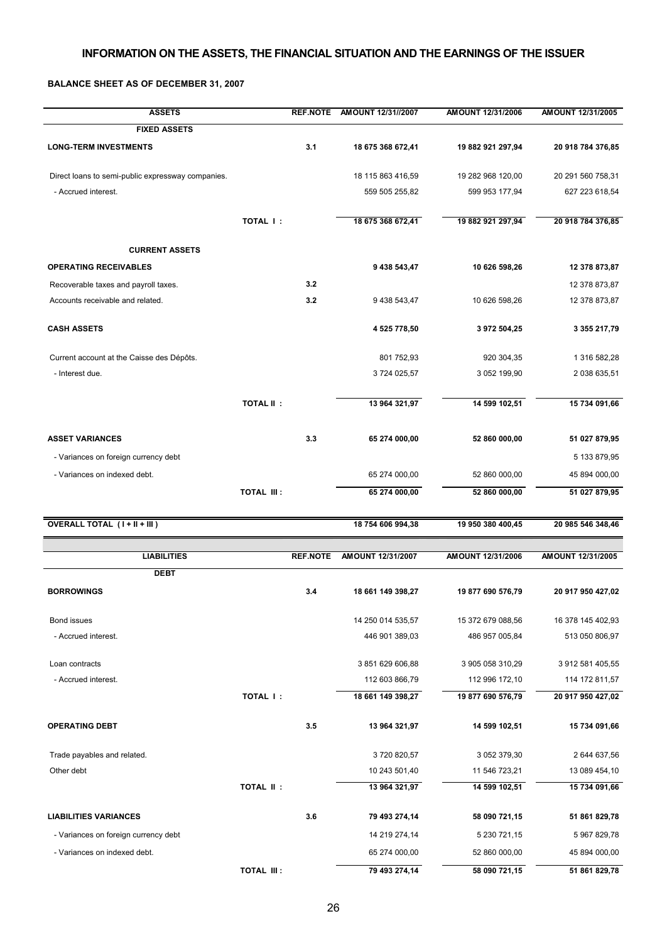## **INFORMATION ON THE ASSETS, THE FINANCIAL SITUATION AND THE EARNINGS OF THE ISSUER**

### **BALANCE SHEET AS OF DECEMBER 31, 2007**

| <b>ASSETS</b>                                     |                   |                 | REF.NOTE AMOUNT 12/31//2007 | AMOUNT 12/31/2006 | <b>AMOUNT 12/31/2005</b> |
|---------------------------------------------------|-------------------|-----------------|-----------------------------|-------------------|--------------------------|
| <b>FIXED ASSETS</b>                               |                   |                 |                             |                   |                          |
| <b>LONG-TERM INVESTMENTS</b>                      |                   | 3.1             | 18 675 368 672,41           | 19 882 921 297,94 | 20 918 784 376,85        |
| Direct loans to semi-public expressway companies. |                   |                 | 18 115 863 416,59           | 19 282 968 120,00 | 20 291 560 758,31        |
| - Accrued interest.                               |                   |                 | 559 505 255,82              | 599 953 177,94    | 627 223 618,54           |
|                                                   | TOTAL I:          |                 | 18 675 368 672,41           | 19 882 921 297,94 | 20 918 784 376,85        |
| <b>CURRENT ASSETS</b>                             |                   |                 |                             |                   |                          |
| <b>OPERATING RECEIVABLES</b>                      |                   |                 | 9 438 543,47                | 10 626 598,26     | 12 378 873,87            |
| Recoverable taxes and payroll taxes.              |                   | 3.2             |                             |                   | 12 378 873,87            |
| Accounts receivable and related.                  |                   | 3.2             | 9 438 543,47                | 10 626 598,26     | 12 378 873,87            |
| <b>CASH ASSETS</b>                                |                   |                 | 4 525 778,50                | 3 972 504,25      | 3 355 217,79             |
| Current account at the Caisse des Dépôts.         |                   |                 | 801 752,93                  | 920 304,35        | 1 316 582,28             |
| - Interest due.                                   |                   |                 | 3724 025,57                 | 3 052 199,90      | 2 038 635,51             |
|                                                   | <b>TOTAL II:</b>  |                 | 13 964 321,97               | 14 599 102,51     | 15 734 091,66            |
| <b>ASSET VARIANCES</b>                            |                   | 3.3             | 65 274 000,00               | 52 860 000,00     | 51 027 879,95            |
| - Variances on foreign currency debt              |                   |                 |                             |                   | 5 133 879,95             |
| - Variances on indexed debt.                      |                   |                 | 65 274 000,00               | 52 860 000,00     | 45 894 000,00            |
|                                                   | <b>TOTAL III:</b> |                 | 65 274 000,00               | 52 860 000,00     | 51 027 879,95            |
| <b>OVERALL TOTAL (I+II+III)</b>                   |                   |                 | 18 754 606 994,38           | 19 950 380 400,45 | 20 985 546 348,46        |
| <b>LIABILITIES</b>                                |                   | <b>REF.NOTE</b> | AMOUNT 12/31/2007           | AMOUNT 12/31/2006 | AMOUNT 12/31/2005        |
| <b>DEBT</b>                                       |                   |                 |                             |                   |                          |
| <b>BORROWINGS</b>                                 |                   | 3.4             | 18 661 149 398,27           | 19 877 690 576,79 | 20 917 950 427,02        |
| Bond issues                                       |                   |                 |                             |                   |                          |
|                                                   |                   |                 | 14 250 014 535,57           | 15 372 679 088,56 | 16 378 145 402,93        |
| - Accrued interest.                               |                   |                 | 446 901 389,03              | 486 957 005,84    | 513 050 806,97           |
| Loan contracts                                    |                   |                 | 3 851 629 606,88            | 3 905 058 310,29  | 3 912 581 405,55         |
| - Accrued interest.                               |                   |                 | 112 603 866,79              | 112 996 172,10    | 114 172 811,57           |
|                                                   | TOTAL I:          |                 | 18 661 149 398,27           | 19 877 690 576,79 | 20 917 950 427,02        |
| <b>OPERATING DEBT</b>                             |                   | 3.5             | 13 964 321,97               | 14 599 102,51     | 15 734 091,66            |
| Trade payables and related.                       |                   |                 | 3720820,57                  | 3 052 379,30      | 2 644 637,56             |
| Other debt                                        |                   |                 | 10 243 501,40               | 11 546 723,21     | 13 089 454,10            |
|                                                   | <b>TOTAL II:</b>  |                 | 13 964 321,97               | 14 599 102,51     | 15 734 091,66            |
| <b>LIABILITIES VARIANCES</b>                      |                   | 3.6             | 79 493 274,14               | 58 090 721,15     | 51 861 829,78            |
| - Variances on foreign currency debt              |                   |                 | 14 219 274,14               | 5 230 721,15      | 5 967 829,78             |
| - Variances on indexed debt.                      |                   |                 | 65 274 000,00               | 52 860 000,00     | 45 894 000,00            |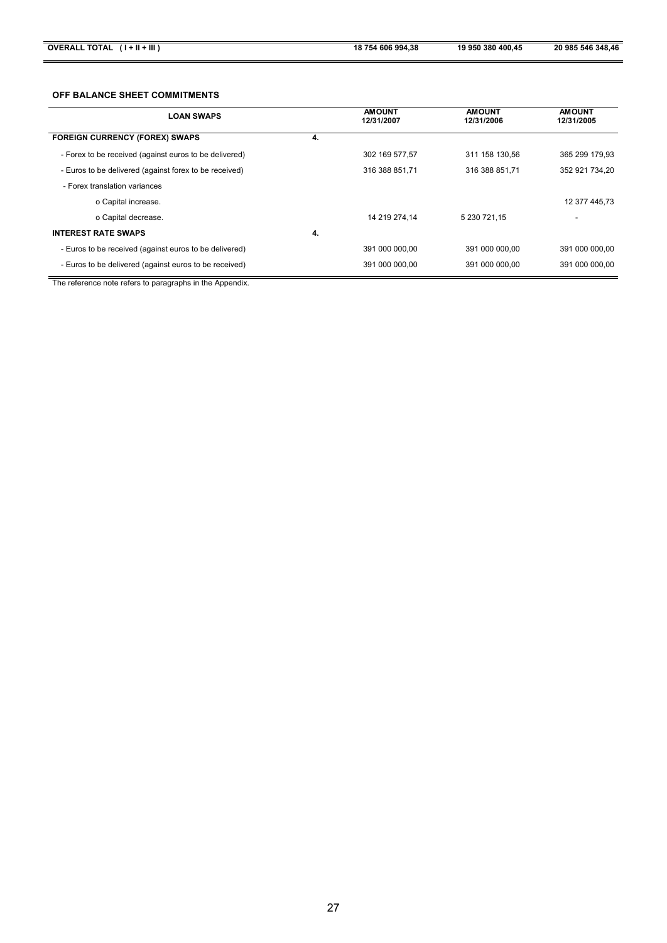#### **OFF BALANCE SHEET COMMITMENTS**

| <b>LOAN SWAPS</b>                                      |    | <b>AMOUNT</b><br>12/31/2007 | <b>AMOUNT</b><br>12/31/2006 | <b>AMOUNT</b><br>12/31/2005 |
|--------------------------------------------------------|----|-----------------------------|-----------------------------|-----------------------------|
| <b>FOREIGN CURRENCY (FOREX) SWAPS</b>                  | 4. |                             |                             |                             |
| - Forex to be received (against euros to be delivered) |    | 302 169 577,57              | 311 158 130.56              | 365 299 179.93              |
| - Euros to be delivered (against forex to be received) |    | 316 388 851.71              | 316 388 851.71              | 352 921 734.20              |
| - Forex translation variances                          |    |                             |                             |                             |
| o Capital increase.                                    |    |                             |                             | 12 377 445.73               |
| o Capital decrease.                                    |    | 14 219 274.14               | 5 230 721.15                |                             |
| <b>INTEREST RATE SWAPS</b>                             | 4. |                             |                             |                             |
| - Euros to be received (against euros to be delivered) |    | 391 000 000.00              | 391 000 000.00              | 391 000 000.00              |
| - Euros to be delivered (against euros to be received) |    | 391 000 000.00              | 391 000 000.00              | 391 000 000.00              |

The reference note refers to paragraphs in the Appendix.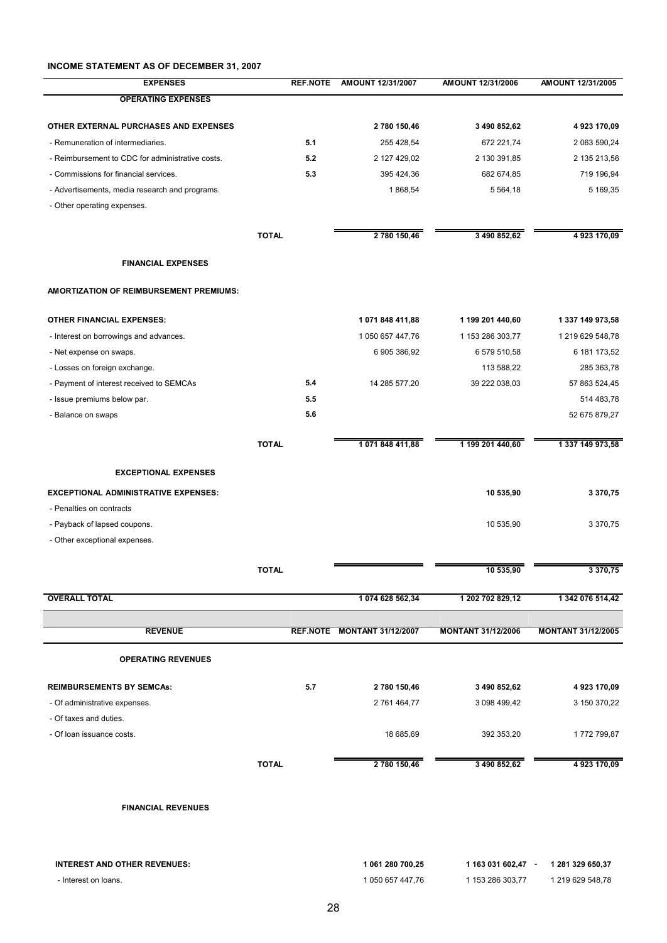### **INCOME STATEMENT AS OF DECEMBER 31, 2007**

| <b>EXPENSES</b>                                  |              | <b>REF.NOTE</b> | AMOUNT 12/31/2007           | AMOUNT 12/31/2006         | AMOUNT 12/31/2005         |
|--------------------------------------------------|--------------|-----------------|-----------------------------|---------------------------|---------------------------|
| <b>OPERATING EXPENSES</b>                        |              |                 |                             |                           |                           |
| OTHER EXTERNAL PURCHASES AND EXPENSES            |              |                 | 2 780 150,46                | 3 490 852,62              | 4923170,09                |
| - Remuneration of intermediaries.                |              | 5.1             | 255 428,54                  | 672 221,74                | 2 063 590,24              |
| - Reimbursement to CDC for administrative costs. |              | 5.2             | 2 127 429,02                | 2 130 391,85              | 2 135 213,56              |
| - Commissions for financial services.            |              | 5.3             | 395 424,36                  | 682 674,85                | 719 196,94                |
| - Advertisements, media research and programs.   |              |                 | 1868,54                     | 5 5 6 4 , 18              | 5 169,35                  |
| - Other operating expenses.                      |              |                 |                             |                           |                           |
|                                                  |              |                 |                             |                           |                           |
|                                                  | <b>TOTAL</b> |                 | 2 780 150,46                | 3 490 852,62              | 4 923 170,09              |
| <b>FINANCIAL EXPENSES</b>                        |              |                 |                             |                           |                           |
| AMORTIZATION OF REIMBURSEMENT PREMIUMS:          |              |                 |                             |                           |                           |
| <b>OTHER FINANCIAL EXPENSES:</b>                 |              |                 | 1 071 848 411,88            | 1 199 201 440,60          | 1 337 149 973,58          |
| - Interest on borrowings and advances.           |              |                 | 1 050 657 447,76            | 1 153 286 303,77          | 1 219 629 548,78          |
| - Net expense on swaps.                          |              |                 | 6 905 386,92                | 6 579 510,58              | 6 181 173,52              |
| - Losses on foreign exchange.                    |              |                 |                             | 113 588,22                | 285 363,78                |
| - Payment of interest received to SEMCAs         |              | 5.4             | 14 285 577,20               | 39 222 038,03             | 57 863 524,45             |
| - Issue premiums below par.                      |              | 5.5             |                             |                           | 514 483,78                |
| - Balance on swaps                               |              | 5.6             |                             |                           | 52 675 879,27             |
|                                                  | <b>TOTAL</b> |                 | 1 071 848 411,88            | 1 199 201 440,60          | 1 337 149 973,58          |
| <b>EXCEPTIONAL EXPENSES</b>                      |              |                 |                             |                           |                           |
| <b>EXCEPTIONAL ADMINISTRATIVE EXPENSES:</b>      |              |                 |                             | 10 535,90                 | 3 370,75                  |
| - Penalties on contracts                         |              |                 |                             |                           |                           |
| - Payback of lapsed coupons.                     |              |                 |                             | 10 535,90                 | 3 370,75                  |
| - Other exceptional expenses.                    |              |                 |                             |                           |                           |
|                                                  | <b>TOTAL</b> |                 |                             | 10 535,90                 | 3 370,75                  |
| <b>OVERALL TOTAL</b>                             |              |                 | 1 074 628 562,34            | 1 202 702 829,12          | 1 342 076 514,42          |
|                                                  |              |                 |                             |                           |                           |
| <b>REVENUE</b>                                   |              |                 | REF.NOTE MONTANT 31/12/2007 | <b>MONTANT 31/12/2006</b> | <b>MONTANT 31/12/2005</b> |
| <b>OPERATING REVENUES</b>                        |              |                 |                             |                           |                           |
| <b>REIMBURSEMENTS BY SEMCAS:</b>                 |              | 5.7             | 2780 150,46                 | 3 490 852,62              | 4923170,09                |
| - Of administrative expenses.                    |              |                 | 2 761 464,77                | 3 098 499,42              | 3 150 370,22              |
| - Of taxes and duties.                           |              |                 |                             |                           |                           |
| - Of loan issuance costs.                        |              |                 | 18 685,69                   | 392 353,20                | 1772 799,87               |
|                                                  | <b>TOTAL</b> |                 | 2 780 150,46                | 3 490 852,62              | 4923170,09                |
|                                                  |              |                 |                             |                           |                           |
| <b>FINANCIAL REVENUES</b>                        |              |                 |                             |                           |                           |
|                                                  |              |                 |                             |                           |                           |
|                                                  |              |                 |                             |                           |                           |

| INTEREST AND OTHER REVENUES: | 061 280 700.25   | 1 163 031 602.47 | 1 281 329 650.37 |
|------------------------------|------------------|------------------|------------------|
| - Interest on loans.         | 1 050 657 447.76 | 1 153 286 303.77 | 1 219 629 548.78 |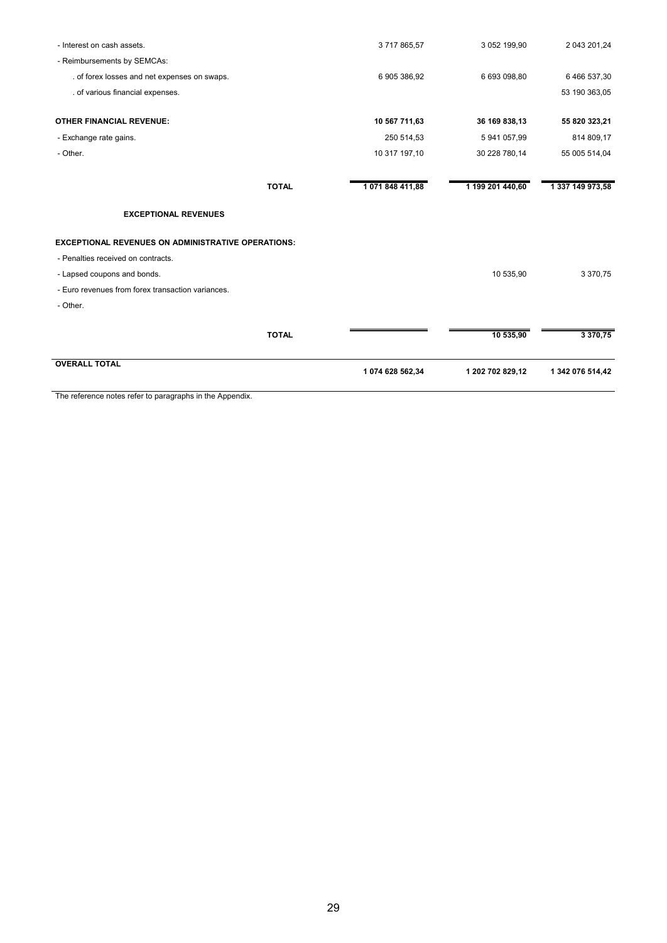| - Interest on cash assets.                                | 3717865,57                    | 3 052 199,90     | 2 043 201,24     |
|-----------------------------------------------------------|-------------------------------|------------------|------------------|
| - Reimbursements by SEMCAs:                               |                               |                  |                  |
| . of forex losses and net expenses on swaps.              | 6 905 386,92                  | 6 693 098,80     | 6 466 537,30     |
| . of various financial expenses.                          |                               |                  | 53 190 363,05    |
| <b>OTHER FINANCIAL REVENUE:</b>                           | 10 567 711,63                 | 36 169 838,13    | 55 820 323,21    |
| - Exchange rate gains.                                    | 250 514,53                    | 5 941 057,99     | 814 809,17       |
| - Other.                                                  | 10 317 197,10                 | 30 228 780,14    | 55 005 514,04    |
|                                                           | 1071848411,88<br><b>TOTAL</b> | 1 199 201 440,60 | 1 337 149 973,58 |
| <b>EXCEPTIONAL REVENUES</b>                               |                               |                  |                  |
| <b>EXCEPTIONAL REVENUES ON ADMINISTRATIVE OPERATIONS:</b> |                               |                  |                  |
| - Penalties received on contracts.                        |                               |                  |                  |
| - Lapsed coupons and bonds.                               |                               | 10 535,90        | 3 370,75         |
| - Euro revenues from forex transaction variances.         |                               |                  |                  |
| - Other.                                                  |                               |                  |                  |
|                                                           | <b>TOTAL</b>                  | 10 535,90        | 3 370,75         |
| <b>OVERALL TOTAL</b>                                      | 1 074 628 562,34              | 1 202 702 829,12 | 1 342 076 514,42 |

The reference notes refer to paragraphs in the Appendix.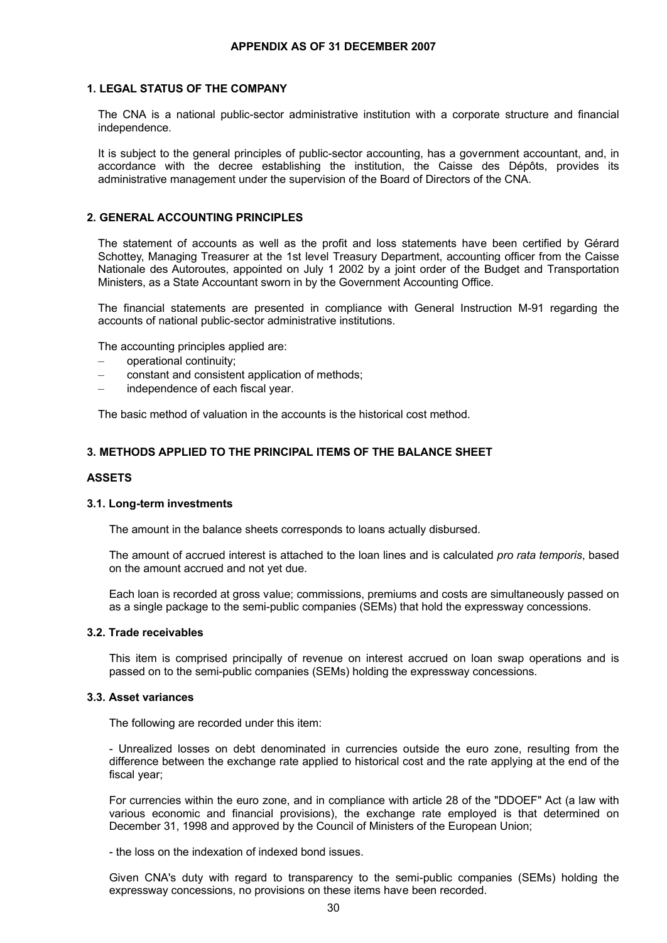### **1. LEGAL STATUS OF THE COMPANY**

The CNA is a national public-sector administrative institution with a corporate structure and financial independence.

It is subject to the general principles of public-sector accounting, has a government accountant, and, in accordance with the decree establishing the institution, the Caisse des Dépôts, provides its administrative management under the supervision of the Board of Directors of the CNA.

### **2. GENERAL ACCOUNTING PRINCIPLES**

The statement of accounts as well as the profit and loss statements have been certified by Gérard Schottey, Managing Treasurer at the 1st level Treasury Department, accounting officer from the Caisse Nationale des Autoroutes, appointed on July 1 2002 by a joint order of the Budget and Transportation Ministers, as a State Accountant sworn in by the Government Accounting Office.

The financial statements are presented in compliance with General Instruction M-91 regarding the accounts of national public-sector administrative institutions.

The accounting principles applied are:

- operational continuity;
- constant and consistent application of methods;
- independence of each fiscal year.

The basic method of valuation in the accounts is the historical cost method.

### **3. METHODS APPLIED TO THE PRINCIPAL ITEMS OF THE BALANCE SHEET**

#### **ASSETS**

#### **3.1. Long-term investments**

The amount in the balance sheets corresponds to loans actually disbursed.

The amount of accrued interest is attached to the loan lines and is calculated *pro rata temporis*, based on the amount accrued and not yet due.

Each loan is recorded at gross value; commissions, premiums and costs are simultaneously passed on as a single package to the semi-public companies (SEMs) that hold the expressway concessions.

#### **3.2. Trade receivables**

This item is comprised principally of revenue on interest accrued on loan swap operations and is passed on to the semi-public companies (SEMs) holding the expressway concessions.

### **3.3. Asset variances**

The following are recorded under this item:

- Unrealized losses on debt denominated in currencies outside the euro zone, resulting from the difference between the exchange rate applied to historical cost and the rate applying at the end of the fiscal year;

For currencies within the euro zone, and in compliance with article 28 of the "DDOEF" Act (a law with various economic and financial provisions), the exchange rate employed is that determined on December 31, 1998 and approved by the Council of Ministers of the European Union;

- the loss on the indexation of indexed bond issues.

Given CNA's duty with regard to transparency to the semi-public companies (SEMs) holding the expressway concessions, no provisions on these items have been recorded.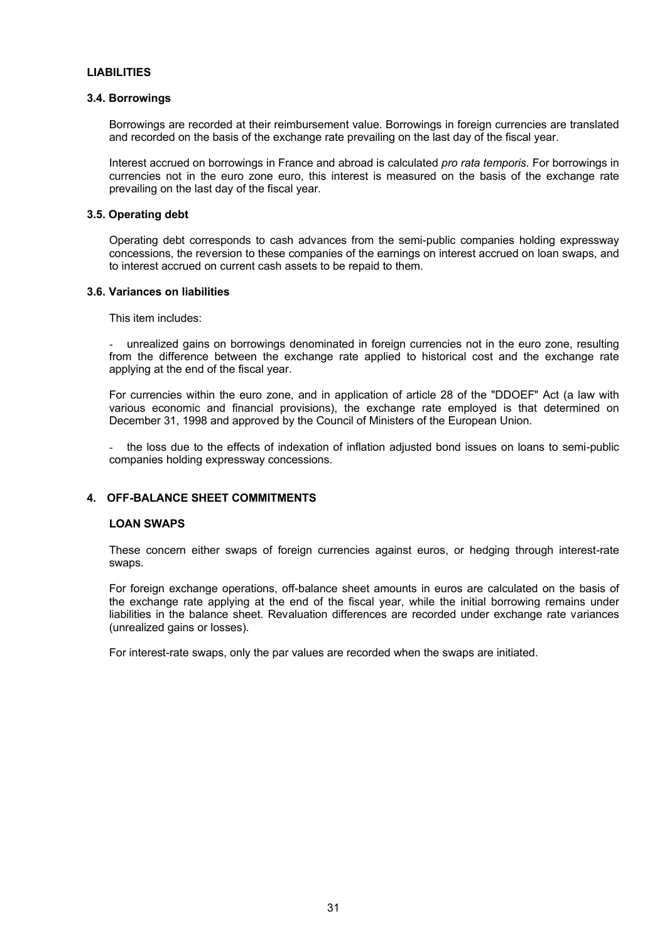### **LIABILITIES**

#### **3.4. Borrowings**

Borrowings are recorded at their reimbursement value. Borrowings in foreign currencies are translated and recorded on the basis of the exchange rate prevailing on the last day of the fiscal year.

Interest accrued on borrowings in France and abroad is calculated *pro rata temporis*. For borrowings in currencies not in the euro zone euro, this interest is measured on the basis of the exchange rate prevailing on the last day of the fiscal year.

### **3.5. Operating debt**

Operating debt corresponds to cash advances from the semi-public companies holding expressway concessions, the reversion to these companies of the earnings on interest accrued on loan swaps, and to interest accrued on current cash assets to be repaid to them.

#### **3.6. Variances on liabilities**

This item includes:

- unrealized gains on borrowings denominated in foreign currencies not in the euro zone, resulting from the difference between the exchange rate applied to historical cost and the exchange rate applying at the end of the fiscal year.

For currencies within the euro zone, and in application of article 28 of the "DDOEF" Act (a law with various economic and financial provisions), the exchange rate employed is that determined on December 31, 1998 and approved by the Council of Ministers of the European Union.

the loss due to the effects of indexation of inflation adjusted bond issues on loans to semi-public companies holding expressway concessions.

## **4. OFF-BALANCE SHEET COMMITMENTS**

#### **LOAN SWAPS**

These concern either swaps of foreign currencies against euros, or hedging through interest-rate swaps.

For foreign exchange operations, off-balance sheet amounts in euros are calculated on the basis of the exchange rate applying at the end of the fiscal year, while the initial borrowing remains under liabilities in the balance sheet. Revaluation differences are recorded under exchange rate variances (unrealized gains or losses).

For interest-rate swaps, only the par values are recorded when the swaps are initiated.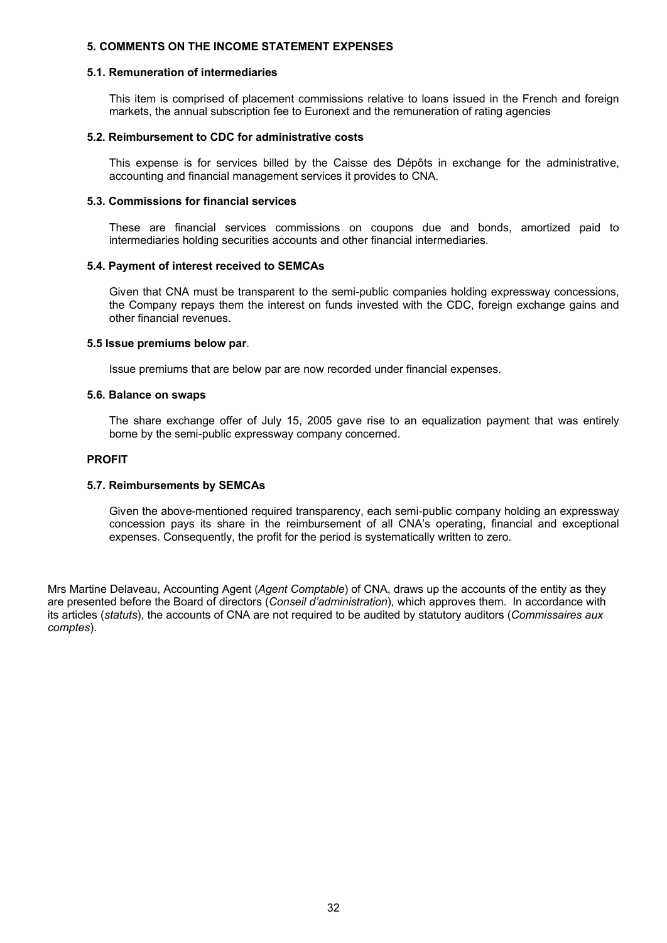### **5. COMMENTS ON THE INCOME STATEMENT EXPENSES**

#### **5.1. Remuneration of intermediaries**

This item is comprised of placement commissions relative to loans issued in the French and foreign markets, the annual subscription fee to Euronext and the remuneration of rating agencies

#### **5.2. Reimbursement to CDC for administrative costs**

This expense is for services billed by the Caisse des Dépôts in exchange for the administrative, accounting and financial management services it provides to CNA.

#### **5.3. Commissions for financial services**

These are financial services commissions on coupons due and bonds, amortized paid to intermediaries holding securities accounts and other financial intermediaries.

#### **5.4. Payment of interest received to SEMCAs**

Given that CNA must be transparent to the semi-public companies holding expressway concessions, the Company repays them the interest on funds invested with the CDC, foreign exchange gains and other financial revenues.

#### **5.5 Issue premiums below par**.

Issue premiums that are below par are now recorded under financial expenses.

#### **5.6. Balance on swaps**

The share exchange offer of July 15, 2005 gave rise to an equalization payment that was entirely borne by the semi-public expressway company concerned.

#### **PROFIT**

#### **5.7. Reimbursements by SEMCAs**

Given the above-mentioned required transparency, each semi-public company holding an expressway concession pays its share in the reimbursement of all CNA's operating, financial and exceptional expenses. Consequently, the profit for the period is systematically written to zero.

Mrs Martine Delaveau, Accounting Agent (*Agent Comptable*) of CNA, draws up the accounts of the entity as they are presented before the Board of directors (*Conseil d'administration*), which approves them. In accordance with its articles (*statuts*), the accounts of CNA are not required to be audited by statutory auditors (*Commissaires aux comptes*).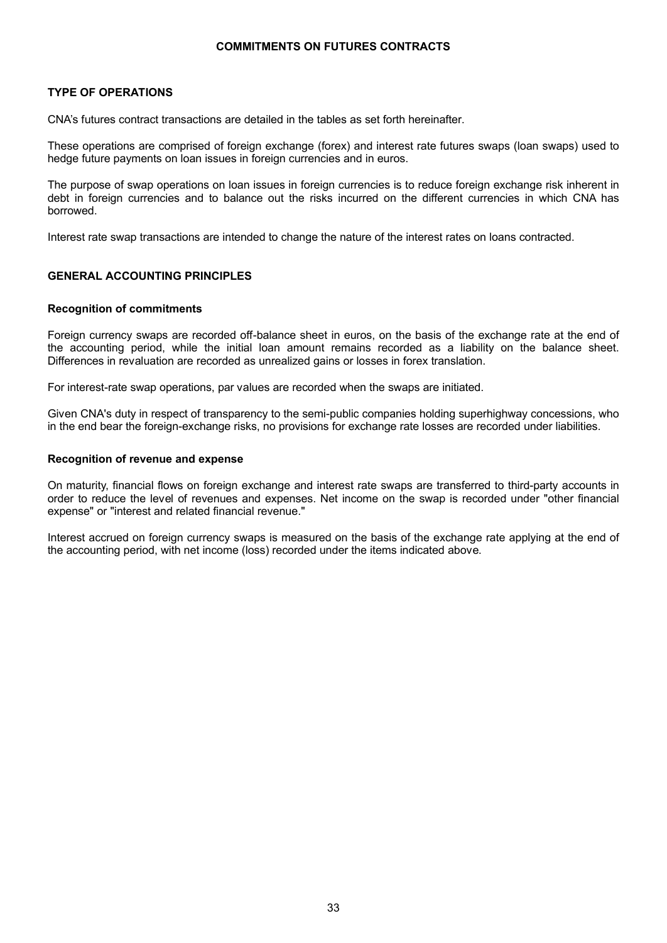### **COMMITMENTS ON FUTURES CONTRACTS**

### **TYPE OF OPERATIONS**

CNA's futures contract transactions are detailed in the tables as set forth hereinafter.

These operations are comprised of foreign exchange (forex) and interest rate futures swaps (loan swaps) used to hedge future payments on loan issues in foreign currencies and in euros.

The purpose of swap operations on loan issues in foreign currencies is to reduce foreign exchange risk inherent in debt in foreign currencies and to balance out the risks incurred on the different currencies in which CNA has borrowed.

Interest rate swap transactions are intended to change the nature of the interest rates on loans contracted.

### **GENERAL ACCOUNTING PRINCIPLES**

#### **Recognition of commitments**

Foreign currency swaps are recorded off-balance sheet in euros, on the basis of the exchange rate at the end of the accounting period, while the initial loan amount remains recorded as a liability on the balance sheet. Differences in revaluation are recorded as unrealized gains or losses in forex translation.

For interest-rate swap operations, par values are recorded when the swaps are initiated.

Given CNA's duty in respect of transparency to the semi-public companies holding superhighway concessions, who in the end bear the foreign-exchange risks, no provisions for exchange rate losses are recorded under liabilities.

#### **Recognition of revenue and expense**

On maturity, financial flows on foreign exchange and interest rate swaps are transferred to third-party accounts in order to reduce the level of revenues and expenses. Net income on the swap is recorded under "other financial expense" or "interest and related financial revenue."

Interest accrued on foreign currency swaps is measured on the basis of the exchange rate applying at the end of the accounting period, with net income (loss) recorded under the items indicated above.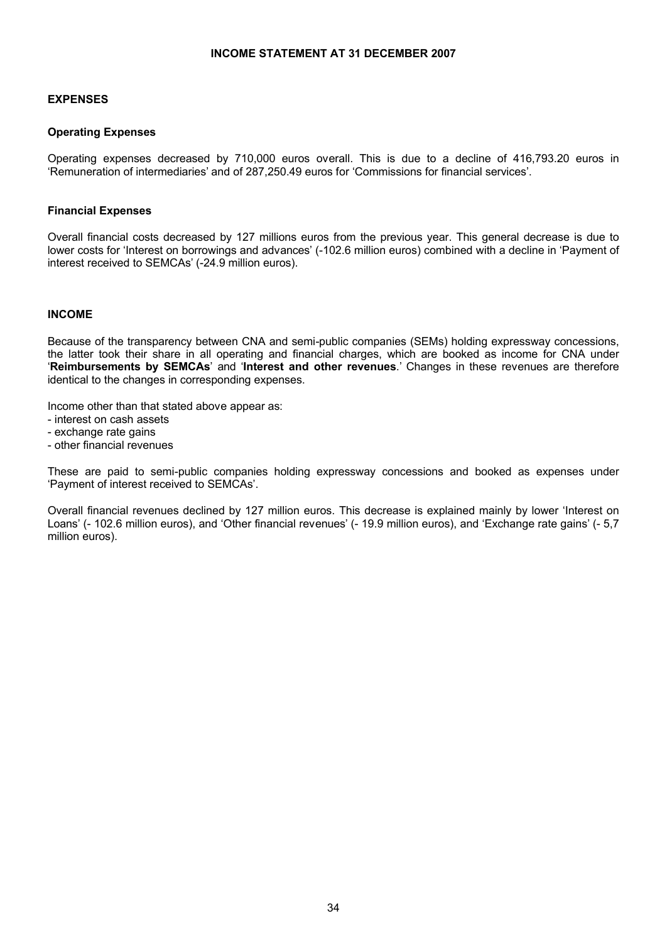### **INCOME STATEMENT AT 31 DECEMBER 2007**

### **EXPENSES**

### **Operating Expenses**

Operating expenses decreased by 710,000 euros overall. This is due to a decline of 416,793.20 euros in 'Remuneration of intermediaries' and of 287,250.49 euros for 'Commissions for financial services'.

### **Financial Expenses**

Overall financial costs decreased by 127 millions euros from the previous year. This general decrease is due to lower costs for 'Interest on borrowings and advances' (-102.6 million euros) combined with a decline in 'Payment of interest received to SEMCAs' (-24.9 million euros).

### **INCOME**

Because of the transparency between CNA and semi-public companies (SEMs) holding expressway concessions, the latter took their share in all operating and financial charges, which are booked as income for CNA under '**Reimbursements by SEMCAs**' and '**Interest and other revenues**.' Changes in these revenues are therefore identical to the changes in corresponding expenses.

Income other than that stated above appear as:

- interest on cash assets
- exchange rate gains
- other financial revenues

These are paid to semi-public companies holding expressway concessions and booked as expenses under 'Payment of interest received to SEMCAs'.

Overall financial revenues declined by 127 million euros. This decrease is explained mainly by lower 'Interest on Loans' (- 102.6 million euros), and 'Other financial revenues' (- 19.9 million euros), and 'Exchange rate gains' (- 5,7 million euros).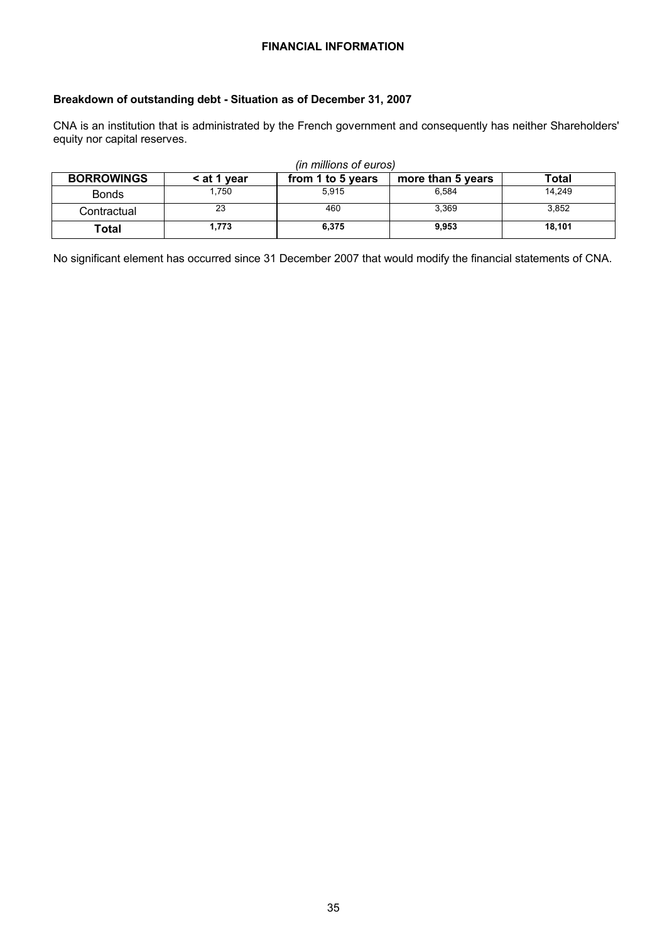### **FINANCIAL INFORMATION**

### **Breakdown of outstanding debt - Situation as of December 31, 2007**

CNA is an institution that is administrated by the French government and consequently has neither Shareholders' equity nor capital reserves.

| (in millions of euros) |             |                   |                   |        |  |
|------------------------|-------------|-------------------|-------------------|--------|--|
| <b>BORROWINGS</b>      | < at 1 year | from 1 to 5 years | more than 5 years | Total  |  |
| <b>Bonds</b>           | 1.750       | 5.915             | 6.584             | 14.249 |  |
| Contractual            | 23          | 460               | 3.369             | 3,852  |  |
| Total                  | 1.773       | 6.375             | 9,953             | 18.101 |  |

No significant element has occurred since 31 December 2007 that would modify the financial statements of CNA.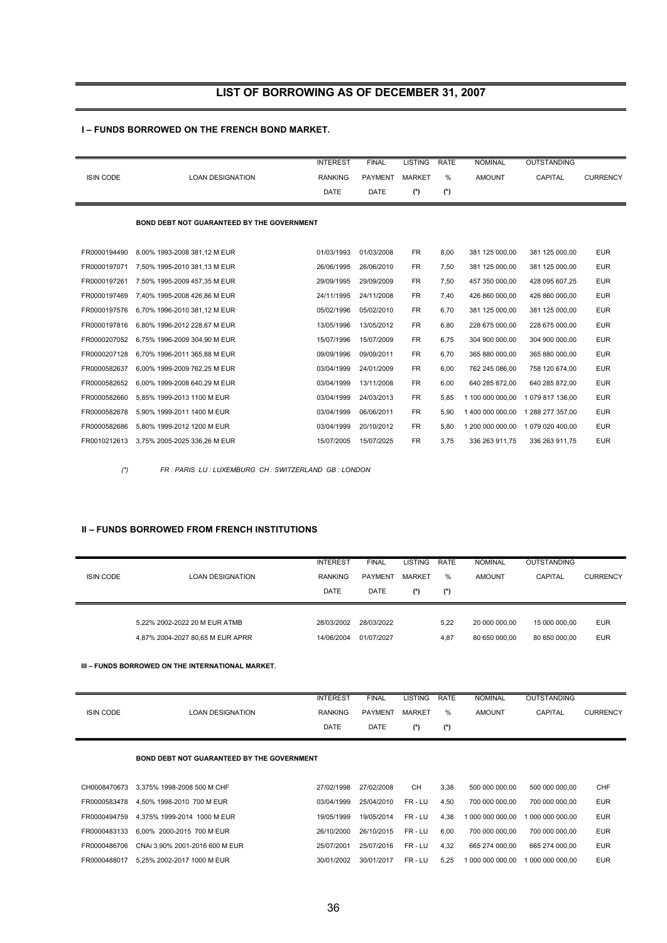## **LIST OF BORROWING AS OF DECEMBER 31, 2007**

#### **I – FUNDS BORROWED ON THE FRENCH BOND MARKET.**

|                  |                                                   | <b>INTEREST</b> | <b>FINAL</b>   | <b>LISTING</b> | <b>RATE</b> | <b>NOMINAL</b>   | <b>OUTSTANDING</b> |                 |
|------------------|---------------------------------------------------|-----------------|----------------|----------------|-------------|------------------|--------------------|-----------------|
| <b>ISIN CODE</b> | <b>LOAN DESIGNATION</b>                           | <b>RANKING</b>  | <b>PAYMENT</b> | <b>MARKET</b>  | %           | <b>AMOUNT</b>    | <b>CAPITAL</b>     | <b>CURRENCY</b> |
|                  |                                                   | DATE            | <b>DATE</b>    | $(*)$          | (*)         |                  |                    |                 |
|                  |                                                   |                 |                |                |             |                  |                    |                 |
|                  | <b>BOND DEBT NOT GUARANTEED BY THE GOVERNMENT</b> |                 |                |                |             |                  |                    |                 |
|                  |                                                   |                 |                |                |             |                  |                    |                 |
| FR0000194490     | 8.00% 1993-2008 381,12 M EUR                      | 01/03/1993      | 01/03/2008     | <b>FR</b>      | 8,00        | 381 125 000,00   | 381 125 000,00     | <b>EUR</b>      |
| FR0000197071     | 7.50% 1995-2010 381.13 M EUR                      | 26/06/1995      | 26/06/2010     | <b>FR</b>      | 7,50        | 381 125 000,00   | 381 125 000,00     | <b>EUR</b>      |
| FR0000197261     | 7.50% 1995-2009 457.35 M EUR                      | 29/09/1995      | 29/09/2009     | <b>FR</b>      | 7,50        | 457 350 000.00   | 428 095 607,25     | <b>EUR</b>      |
| FR0000197469     | 7.40% 1995-2008 426.86 M EUR                      | 24/11/1995      | 24/11/2008     | <b>FR</b>      | 7,40        | 426 860 000.00   | 426 860 000.00     | <b>EUR</b>      |
| FR0000197576     | 6,70% 1996-2010 381,12 M EUR                      | 05/02/1996      | 05/02/2010     | <b>FR</b>      | 6,70        | 381 125 000,00   | 381 125 000,00     | <b>EUR</b>      |
| FR0000197816     | 6,80% 1996-2012 228,67 M EUR                      | 13/05/1996      | 13/05/2012     | <b>FR</b>      | 6,80        | 228 675 000,00   | 228 675 000,00     | <b>EUR</b>      |
| FR0000207052     | 6,75% 1996-2009 304,90 M EUR                      | 15/07/1996      | 15/07/2009     | <b>FR</b>      | 6,75        | 304 900 000,00   | 304 900 000,00     | <b>EUR</b>      |
| FR0000207128     | 6,70% 1996-2011 365,88 M EUR                      | 09/09/1996      | 09/09/2011     | FR.            | 6,70        | 365 880 000,00   | 365 880 000,00     | <b>EUR</b>      |
| FR0000582637     | 6.00% 1999-2009 762.25 M EUR                      | 03/04/1999      | 24/01/2009     | <b>FR</b>      | 6,00        | 762 245 086,00   | 758 120 674,00     | <b>EUR</b>      |
| FR0000582652     | 6.00% 1999-2008 640.29 M EUR                      | 03/04/1999      | 13/11/2008     | <b>FR</b>      | 6,00        | 640 285 872,00   | 640 285 872,00     | <b>EUR</b>      |
| FR0000582660     | 5.85% 1999-2013 1100 M EUR                        | 03/04/1999      | 24/03/2013     | <b>FR</b>      | 5,85        | 1 100 000 000.00 | 1 079 817 136,00   | <b>EUR</b>      |
| FR0000582678     | 5.90% 1999-2011 1400 M EUR                        | 03/04/1999      | 06/06/2011     | <b>FR</b>      | 5,90        | 1 400 000 000.00 | 1 288 277 357.00   | <b>EUR</b>      |
| FR0000582686     | 5,80% 1999-2012 1200 M EUR                        | 03/04/1999      | 20/10/2012     | <b>FR</b>      | 5,80        | 1 200 000 000,00 | 1 079 020 400,00   | <b>EUR</b>      |
| FR0010212613     | 3,75% 2005-2025 336,26 M EUR                      | 15/07/2005      | 15/07/2025     | <b>FR</b>      | 3,75        | 336 263 911,75   | 336 263 911,75     | <b>EUR</b>      |

*(\*) FR : PARIS LU : LUXEMBURG CH : SWITZERLAND GB : LONDON*

### **II – FUNDS BORROWED FROM FRENCH INSTITUTIONS**

| <b>ISIN CODE</b> | <b>LOAN DESIGNATION</b>                                           | <b>INTEREST</b><br><b>RANKING</b><br><b>DATE</b> | <b>FINAL</b><br><b>PAYMENT</b><br><b>DATE</b> | <b>LISTING</b><br><b>MARKET</b><br>$(*)$ | <b>RATE</b><br>%<br>$(*)$ | <b>NOMINAL</b><br><b>AMOUNT</b> | <b>OUTSTANDING</b><br>CAPITAL  | <b>CURRENCY</b>          |
|------------------|-------------------------------------------------------------------|--------------------------------------------------|-----------------------------------------------|------------------------------------------|---------------------------|---------------------------------|--------------------------------|--------------------------|
|                  | 5,22% 2002-2022 20 M EUR ATMB<br>4,87% 2004-2027 80,65 M EUR APRR | 28/03/2002<br>14/06/2004                         | 28/03/2022<br>01/07/2027                      |                                          | 5,22<br>4,87              | 20 000 000.00<br>80 650 000.00  | 15 000 000.00<br>80 650 000.00 | <b>EUR</b><br><b>EUR</b> |

#### **III – FUNDS BORROWED ON THE INTERNATIONAL MARKET.**

|                  |                  | <b>INTEREST</b> | <b>FINAL</b>   | LISTING       | <b>RATE</b> | <b>NOMINAL</b> | <b>OUTSTANDING</b> |                 |
|------------------|------------------|-----------------|----------------|---------------|-------------|----------------|--------------------|-----------------|
| <b>ISIN CODE</b> | LOAN DESIGNATION | <b>RANKING</b>  | <b>PAYMENT</b> | <b>MARKET</b> | %           | <b>AMOUNT</b>  | <b>CAPITAL</b>     | <b>CURRENCY</b> |
|                  |                  | <b>DATE</b>     | <b>DATE</b>    | /*/           | (*)         |                |                    |                 |

#### **BOND DEBT NOT GUARANTEED BY THE GOVERNMENT**

| CH0008470673 | 3.375% 1998-2008 500 M CHF     | 27/02/1998 | 27/02/2008 | <b>CH</b> | 3.38 | 500 000 000.00   | 500 000 000.00   | CHF        |
|--------------|--------------------------------|------------|------------|-----------|------|------------------|------------------|------------|
| FR0000583478 | 4.50% 1998-2010 700 M EUR      | 03/04/1999 | 25/04/2010 | FR-LU     | 4.50 | 700 000 000.00   | 700 000 000.00   | <b>EUR</b> |
| FR0000494759 | 4.375% 1999-2014 1000 M EUR    | 19/05/1999 | 19/05/2014 | FR-LU     | 4.38 | 1 000 000 000.00 | 1 000 000 000.00 | <b>EUR</b> |
| FR0000483133 | 6.00% 2000-2015 700 M EUR      | 26/10/2000 | 26/10/2015 | FR-LU     | 6.00 | 700 000 000.00   | 700 000 000.00   | <b>EUR</b> |
| FR0000486706 | CNAi 3.90% 2001-2016 600 M EUR | 25/07/2001 | 25/07/2016 | FR-LU     | 4.32 | 665 274 000.00   | 665 274 000.00   | <b>EUR</b> |
| FR0000488017 | 5.25% 2002-2017 1000 M EUR     | 30/01/2002 | 30/01/2017 | FR-LU     | 5.25 | 1 000 000 000.00 | 1 000 000 000.00 | <b>EUR</b> |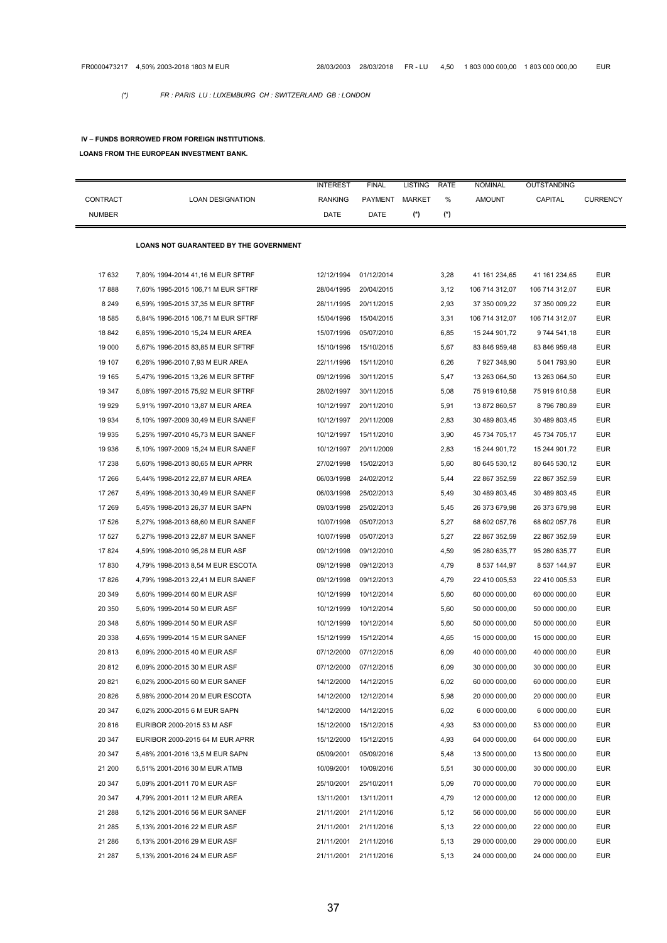*(\*) FR : PARIS LU : LUXEMBURG CH : SWITZERLAND GB : LONDON*

#### **IV – FUNDS BORROWED FROM FOREIGN INSTITUTIONS.**

#### **LOANS FROM THE EUROPEAN INVESTMENT BANK.**

|               |                                        | <b>INTEREST</b> | <b>FINAL</b>          | <b>LISTING</b> | <b>RATE</b> | <b>NOMINAL</b> | OUTSTANDING    |                 |
|---------------|----------------------------------------|-----------------|-----------------------|----------------|-------------|----------------|----------------|-----------------|
| CONTRACT      | <b>LOAN DESIGNATION</b>                | <b>RANKING</b>  | PAYMENT MARKET        |                | %           | <b>AMOUNT</b>  | CAPITAL        | <b>CURRENCY</b> |
| <b>NUMBER</b> |                                        | DATE            | DATE                  | (*)            | (*)         |                |                |                 |
|               |                                        |                 |                       |                |             |                |                |                 |
|               | LOANS NOT GUARANTEED BY THE GOVERNMENT |                 |                       |                |             |                |                |                 |
|               |                                        |                 |                       |                |             |                |                |                 |
| 17 632        | 7,80% 1994-2014 41,16 M EUR SFTRF      | 12/12/1994      | 01/12/2014            |                | 3,28        | 41 161 234,65  | 41 161 234,65  | <b>EUR</b>      |
| 17888         | 7,60% 1995-2015 106,71 M EUR SFTRF     | 28/04/1995      | 20/04/2015            |                | 3,12        | 106 714 312,07 | 106 714 312,07 | <b>EUR</b>      |
| 8 2 4 9       | 6,59% 1995-2015 37,35 M EUR SFTRF      | 28/11/1995      | 20/11/2015            |                | 2,93        | 37 350 009,22  | 37 350 009,22  | <b>EUR</b>      |
| 18 585        | 5,84% 1996-2015 106,71 M EUR SFTRF     | 15/04/1996      | 15/04/2015            |                | 3,31        | 106 714 312,07 | 106 714 312,07 | <b>EUR</b>      |
| 18 842        | 6,85% 1996-2010 15,24 M EUR AREA       | 15/07/1996      | 05/07/2010            |                | 6,85        | 15 244 901,72  | 9 744 541,18   | <b>EUR</b>      |
| 19 000        | 5,67% 1996-2015 83,85 M EUR SFTRF      | 15/10/1996      | 15/10/2015            |                | 5,67        | 83 846 959,48  | 83 846 959,48  | <b>EUR</b>      |
| 19 107        | 6,26% 1996-2010 7,93 M EUR AREA        | 22/11/1996      | 15/11/2010            |                | 6,26        | 7 927 348,90   | 5 041 793,90   | <b>EUR</b>      |
| 19 165        | 5,47% 1996-2015 13,26 M EUR SFTRF      | 09/12/1996      | 30/11/2015            |                | 5,47        | 13 263 064,50  | 13 263 064,50  | <b>EUR</b>      |
| 19 347        | 5,08% 1997-2015 75,92 M EUR SFTRF      | 28/02/1997      | 30/11/2015            |                | 5,08        | 75 919 610,58  | 75 919 610,58  | <b>EUR</b>      |
| 19 929        | 5,91% 1997-2010 13,87 M EUR AREA       | 10/12/1997      | 20/11/2010            |                | 5,91        | 13 872 860,57  | 8796780,89     | <b>EUR</b>      |
| 19 934        | 5,10% 1997-2009 30,49 M EUR SANEF      | 10/12/1997      | 20/11/2009            |                | 2,83        | 30 489 803,45  | 30 489 803,45  | <b>EUR</b>      |
| 19 935        | 5,25% 1997-2010 45,73 M EUR SANEF      | 10/12/1997      | 15/11/2010            |                | 3,90        | 45 734 705,17  | 45 734 705,17  | <b>EUR</b>      |
| 19 936        | 5,10% 1997-2009 15,24 M EUR SANEF      | 10/12/1997      | 20/11/2009            |                | 2,83        | 15 244 901,72  | 15 244 901,72  | <b>EUR</b>      |
| 17 238        | 5,60% 1998-2013 80,65 M EUR APRR       | 27/02/1998      | 15/02/2013            |                | 5,60        | 80 645 530,12  | 80 645 530,12  | <b>EUR</b>      |
| 17 266        | 5,44% 1998-2012 22,87 M EUR AREA       | 06/03/1998      | 24/02/2012            |                | 5,44        | 22 867 352,59  | 22 867 352,59  | <b>EUR</b>      |
| 17 267        | 5,49% 1998-2013 30,49 M EUR SANEF      | 06/03/1998      | 25/02/2013            |                | 5,49        | 30 489 803,45  | 30 489 803,45  | <b>EUR</b>      |
| 17 269        | 5,45% 1998-2013 26,37 M EUR SAPN       | 09/03/1998      | 25/02/2013            |                | 5,45        | 26 373 679,98  | 26 373 679,98  | <b>EUR</b>      |
| 17 526        | 5,27% 1998-2013 68,60 M EUR SANEF      | 10/07/1998      | 05/07/2013            |                | 5,27        | 68 602 057,76  | 68 602 057,76  | EUR             |
| 17 527        | 5,27% 1998-2013 22,87 M EUR SANEF      | 10/07/1998      | 05/07/2013            |                | 5,27        | 22 867 352,59  | 22 867 352,59  | <b>EUR</b>      |
| 17 824        | 4,59% 1998-2010 95,28 M EUR ASF        | 09/12/1998      | 09/12/2010            |                | 4,59        | 95 280 635,77  | 95 280 635,77  | <b>EUR</b>      |
| 17830         | 4,79% 1998-2013 8,54 M EUR ESCOTA      | 09/12/1998      | 09/12/2013            |                | 4,79        | 8 537 144,97   | 8 537 144,97   | <b>EUR</b>      |
| 17826         | 4,79% 1998-2013 22,41 M EUR SANEF      | 09/12/1998      | 09/12/2013            |                | 4,79        | 22 410 005,53  | 22 410 005,53  | <b>EUR</b>      |
| 20 349        | 5,60% 1999-2014 60 M EUR ASF           | 10/12/1999      | 10/12/2014            |                | 5,60        | 60 000 000,00  | 60 000 000,00  | <b>EUR</b>      |
| 20 350        | 5,60% 1999-2014 50 M EUR ASF           | 10/12/1999      | 10/12/2014            |                | 5,60        | 50 000 000,00  | 50 000 000,00  | <b>EUR</b>      |
| 20 348        | 5,60% 1999-2014 50 M EUR ASF           | 10/12/1999      | 10/12/2014            |                | 5,60        | 50 000 000,00  | 50 000 000,00  | <b>EUR</b>      |
| 20 338        | 4,65% 1999-2014 15 M EUR SANEF         | 15/12/1999      | 15/12/2014            |                | 4,65        | 15 000 000,00  | 15 000 000.00  | <b>EUR</b>      |
| 20 813        | 6,09% 2000-2015 40 M EUR ASF           | 07/12/2000      | 07/12/2015            |                | 6,09        | 40 000 000,00  | 40 000 000,00  | <b>EUR</b>      |
| 20 812        | 6,09% 2000-2015 30 M EUR ASF           | 07/12/2000      | 07/12/2015            |                | 6,09        | 30 000 000,00  | 30 000 000,00  | <b>EUR</b>      |
| 20 821        | 6,02% 2000-2015 60 M EUR SANEF         | 14/12/2000      | 14/12/2015            |                | 6,02        | 60 000 000,00  | 60 000 000,00  | EUR             |
| 20 8 26       | 5,98% 2000-2014 20 M EUR ESCOTA        | 14/12/2000      | 12/12/2014            |                | 5,98        | 20 000 000,00  | 20 000 000,00  | <b>EUR</b>      |
| 20 347        | 6,02% 2000-2015 6 M EUR SAPN           | 14/12/2000      | 14/12/2015            |                | 6,02        | 6 000 000,00   | 6 000 000,00   | <b>EUR</b>      |
| 20 816        | EURIBOR 2000-2015 53 M ASF             | 15/12/2000      | 15/12/2015            |                | 4,93        | 53 000 000,00  | 53 000 000,00  | <b>EUR</b>      |
| 20 347        | EURIBOR 2000-2015 64 M EUR APRR        | 15/12/2000      | 15/12/2015            |                | 4,93        | 64 000 000,00  | 64 000 000,00  | <b>EUR</b>      |
| 20 347        | 5,48% 2001-2016 13,5 M EUR SAPN        | 05/09/2001      | 05/09/2016            |                | 5,48        | 13 500 000,00  | 13 500 000,00  | <b>EUR</b>      |
| 21 200        | 5,51% 2001-2016 30 M EUR ATMB          | 10/09/2001      | 10/09/2016            |                | 5,51        | 30 000 000,00  | 30 000 000,00  | <b>EUR</b>      |
| 20 347        | 5,09% 2001-2011 70 M EUR ASF           | 25/10/2001      | 25/10/2011            |                | 5,09        | 70 000 000,00  | 70 000 000,00  | <b>EUR</b>      |
| 20 347        | 4,79% 2001-2011 12 M EUR AREA          | 13/11/2001      | 13/11/2011            |                | 4,79        | 12 000 000,00  | 12 000 000,00  | <b>EUR</b>      |
| 21 288        | 5,12% 2001-2016 56 M EUR SANEF         | 21/11/2001      | 21/11/2016            |                | 5,12        | 56 000 000,00  | 56 000 000,00  | <b>EUR</b>      |
| 21 285        | 5,13% 2001-2016 22 M EUR ASF           | 21/11/2001      | 21/11/2016            |                | 5,13        | 22 000 000,00  | 22 000 000,00  | <b>EUR</b>      |
| 21 286        | 5,13% 2001-2016 29 M EUR ASF           | 21/11/2001      | 21/11/2016            |                | 5,13        | 29 000 000,00  | 29 000 000,00  | <b>EUR</b>      |
| 21 287        | 5,13% 2001-2016 24 M EUR ASF           |                 | 21/11/2001 21/11/2016 |                | 5,13        | 24 000 000,00  | 24 000 000,00  | <b>EUR</b>      |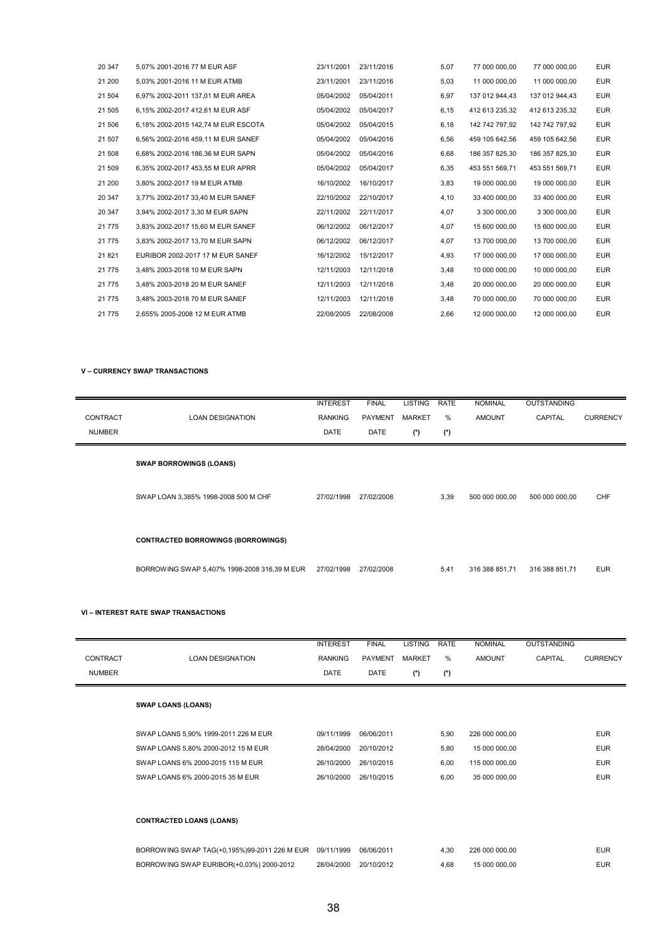| 20 347 | 5,07% 2001-2016 77 M EUR ASF        | 23/11/2001 | 23/11/2016 | 5,07 | 77 000 000,00  | 77 000 000,00  | <b>EUR</b> |
|--------|-------------------------------------|------------|------------|------|----------------|----------------|------------|
| 21 200 | 5,03% 2001-2016 11 M EUR ATMB       | 23/11/2001 | 23/11/2016 | 5,03 | 11 000 000,00  | 11 000 000,00  | <b>EUR</b> |
| 21 504 | 6,97% 2002-2011 137,01 M EUR AREA   | 05/04/2002 | 05/04/2011 | 6,97 | 137 012 944,43 | 137 012 944,43 | <b>EUR</b> |
| 21 505 | 6.15% 2002-2017 412.61 M EUR ASF    | 05/04/2002 | 05/04/2017 | 6,15 | 412 613 235,32 | 412 613 235,32 | <b>EUR</b> |
| 21 506 | 6,18% 2002-2015 142,74 M EUR ESCOTA | 05/04/2002 | 05/04/2015 | 6,18 | 142 742 797.92 | 142 742 797,92 | <b>EUR</b> |
| 21 507 | 6.56% 2002-2016 459.11 M EUR SANEF  | 05/04/2002 | 05/04/2016 | 6,56 | 459 105 642,56 | 459 105 642,56 | <b>EUR</b> |
| 21 508 | 6.68% 2002-2016 186.36 M EUR SAPN   | 05/04/2002 | 05/04/2016 | 6,68 | 186 357 825.30 | 186 357 825.30 | <b>EUR</b> |
| 21 509 | 6,35% 2002-2017 453,55 M EUR APRR   | 05/04/2002 | 05/04/2017 | 6,35 | 453 551 569,71 | 453 551 569,71 | <b>EUR</b> |
| 21 200 | 3,80% 2002-2017 19 M EUR ATMB       | 16/10/2002 | 16/10/2017 | 3,83 | 19 000 000,00  | 19 000 000,00  | <b>EUR</b> |
| 20 347 | 3,77% 2002-2017 33,40 M EUR SANEF   | 22/10/2002 | 22/10/2017 | 4,10 | 33 400 000,00  | 33 400 000,00  | <b>EUR</b> |
| 20 347 | 3,94% 2002-2017 3,30 M EUR SAPN     | 22/11/2002 | 22/11/2017 | 4,07 | 3 300 000,00   | 3 300 000,00   | <b>EUR</b> |
| 21 775 | 3,83% 2002-2017 15,60 M EUR SANEF   | 06/12/2002 | 06/12/2017 | 4,07 | 15 600 000,00  | 15 600 000,00  | <b>EUR</b> |
| 21 775 | 3,83% 2002-2017 13,70 M EUR SAPN    | 06/12/2002 | 06/12/2017 | 4,07 | 13 700 000,00  | 13 700 000,00  | <b>EUR</b> |
| 21 821 | EURIBOR 2002-2017 17 M EUR SANEF    | 16/12/2002 | 15/12/2017 | 4,93 | 17 000 000.00  | 17 000 000.00  | <b>EUR</b> |
| 21 775 | 3,48% 2003-2018 10 M EUR SAPN       | 12/11/2003 | 12/11/2018 | 3,48 | 10 000 000,00  | 10 000 000,00  | <b>EUR</b> |
| 21 775 | 3,48% 2003-2018 20 M EUR SANEF      | 12/11/2003 | 12/11/2018 | 3,48 | 20 000 000,00  | 20 000 000,00  | <b>EUR</b> |
| 21 775 | 3,48% 2003-2018 70 M EUR SANEF      | 12/11/2003 | 12/11/2018 | 3,48 | 70 000 000,00  | 70 000 000.00  | <b>EUR</b> |
| 21 775 | 2,655% 2005-2008 12 M EUR ATMB      | 22/08/2005 | 22/08/2008 | 2,66 | 12 000 000,00  | 12 000 000,00  | <b>EUR</b> |

#### **V – CURRENCY SWAP TRANSACTIONS**

| CONTRACT<br><b>NUMBER</b> | <b>LOAN DESIGNATION</b>                      | <b>INTEREST</b><br><b>RANKING</b><br>DATE | <b>FINAL</b><br><b>PAYMENT</b><br><b>DATE</b> | <b>LISTING</b><br><b>MARKET</b><br>$(*)$ | RATE<br>%<br>$(*)$ | <b>NOMINAL</b><br><b>AMOUNT</b> | <b>OUTSTANDING</b><br>CAPITAL | <b>CURRENCY</b> |
|---------------------------|----------------------------------------------|-------------------------------------------|-----------------------------------------------|------------------------------------------|--------------------|---------------------------------|-------------------------------|-----------------|
|                           | <b>SWAP BORROWINGS (LOANS)</b>               |                                           |                                               |                                          |                    |                                 |                               |                 |
|                           | SWAP LOAN 3,385% 1998-2008 500 M CHF         | 27/02/1998                                | 27/02/2008                                    |                                          | 3,39               | 500 000 000,00                  | 500 000 000,00                | CHF             |
|                           | <b>CONTRACTED BORROWINGS (BORROWINGS)</b>    |                                           |                                               |                                          |                    |                                 |                               |                 |
|                           | BORROWING SWAP 5,407% 1998-2008 316,39 M EUR | 27/02/1998                                | 27/02/2008                                    |                                          | 5,41               | 316 388 851,71                  | 316 388 851,71                | <b>EUR</b>      |

#### **VI – INTEREST RATE SWAP TRANSACTIONS**

|               |                                              | <b>INTEREST</b> | <b>FINAL</b>   | <b>LISTING</b> | <b>RATE</b> | <b>NOMINAL</b> | <b>OUTSTANDING</b> |                 |
|---------------|----------------------------------------------|-----------------|----------------|----------------|-------------|----------------|--------------------|-----------------|
| CONTRACT      | <b>LOAN DESIGNATION</b>                      | <b>RANKING</b>  | <b>PAYMENT</b> | <b>MARKET</b>  | $\%$        | <b>AMOUNT</b>  | CAPITAL            | <b>CURRENCY</b> |
| <b>NUMBER</b> |                                              | <b>DATE</b>     | <b>DATE</b>    | $(*)$          | (*)         |                |                    |                 |
|               |                                              |                 |                |                |             |                |                    |                 |
|               | <b>SWAP LOANS (LOANS)</b>                    |                 |                |                |             |                |                    |                 |
|               |                                              |                 |                |                |             |                |                    |                 |
|               | SWAP LOANS 5,90% 1999-2011 226 M EUR         | 09/11/1999      | 06/06/2011     |                | 5,90        | 226 000 000,00 |                    | <b>EUR</b>      |
|               | SWAP LOANS 5,80% 2000-2012 15 M EUR          | 28/04/2000      | 20/10/2012     |                | 5,80        | 15 000 000,00  |                    | <b>EUR</b>      |
|               | SWAP LOANS 6% 2000-2015 115 M EUR            | 26/10/2000      | 26/10/2015     |                | 6,00        | 115 000 000,00 |                    | <b>EUR</b>      |
|               | SWAP LOANS 6% 2000-2015 35 M EUR             | 26/10/2000      | 26/10/2015     |                | 6,00        | 35 000 000,00  |                    | <b>EUR</b>      |
|               |                                              |                 |                |                |             |                |                    |                 |
|               |                                              |                 |                |                |             |                |                    |                 |
|               | <b>CONTRACTED LOANS (LOANS)</b>              |                 |                |                |             |                |                    |                 |
|               |                                              |                 |                |                |             |                |                    |                 |
|               | BORROWING SWAP TAG(+0,195%)99-2011 226 M EUR | 09/11/1999      | 06/06/2011     |                | 4,30        | 226 000 000,00 |                    | <b>EUR</b>      |
|               | BORROWING SWAP EURIBOR(+0,03%) 2000-2012     | 28/04/2000      | 20/10/2012     |                | 4,68        | 15 000 000,00  |                    | <b>EUR</b>      |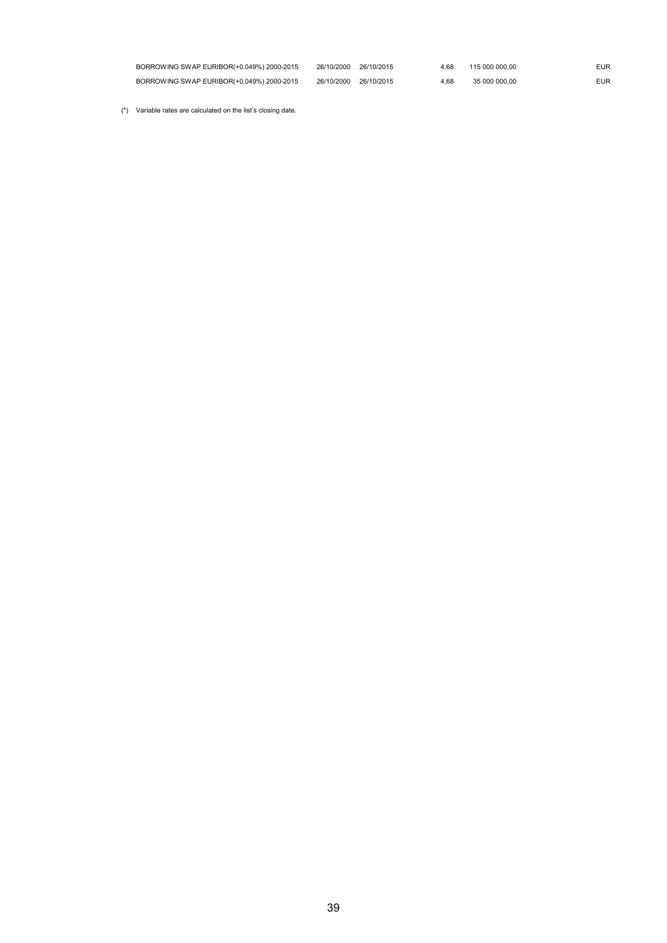| BORROWING SWAP EURIBOR(+0,049%) 2000-2015 | 26/10/2000 26/10/2015 | 4.68 | 115 000 000.00 | EUR |
|-------------------------------------------|-----------------------|------|----------------|-----|
| BORROWING SWAP EURIBOR(+0,049%) 2000-2015 | 26/10/2000 26/10/2015 | 4.68 | 35 000 000.00  | EUR |

(\*) Variable rates are calculated on the list's closing date.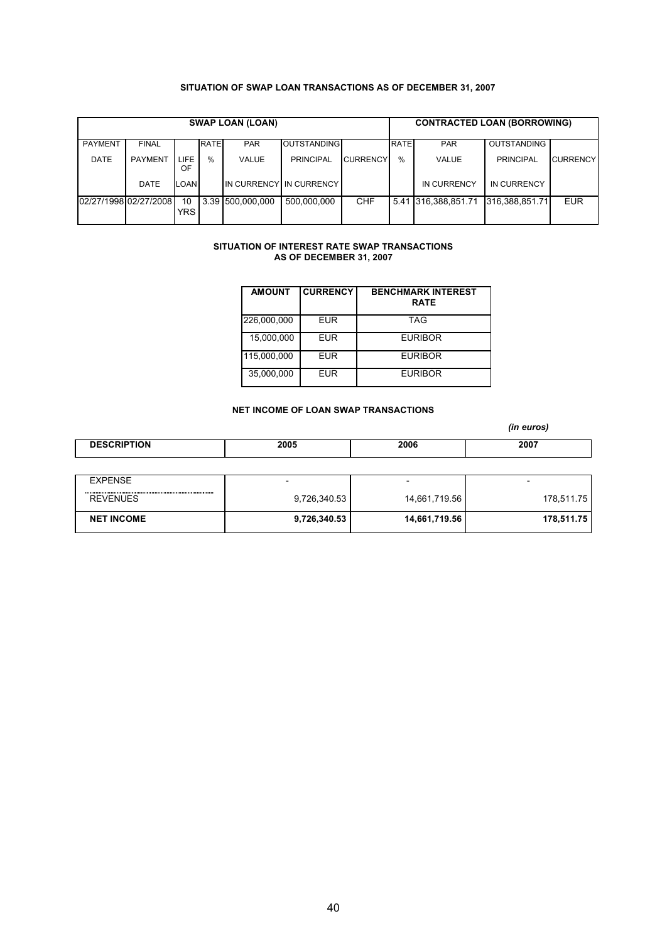### **SITUATION OF SWAP LOAN TRANSACTIONS AS OF DECEMBER 31, 2007**

| <b>SWAP LOAN (LOAN)</b> |                       |            |             |                  |                         |                 | <b>CONTRACTED LOAN (BORROWING)</b> |                |                    |                 |
|-------------------------|-----------------------|------------|-------------|------------------|-------------------------|-----------------|------------------------------------|----------------|--------------------|-----------------|
| <b>PAYMENT</b>          | <b>FINAL</b>          |            | <b>RATE</b> | <b>PAR</b>       | <b>OUTSTANDING</b>      |                 | <b>RATE</b>                        | <b>PAR</b>     | <b>OUTSTANDING</b> |                 |
| DATE                    | <b>PAYMENT</b>        | LIFE<br>OF | $\%$        | VALUE            | <b>PRINCIPAL</b>        | <b>CURRENCY</b> | $\%$                               | VALUE          | PRINCIPAL          | <b>CURRENCY</b> |
|                         | DATE                  | <b>OAN</b> |             |                  | IN CURRENCY IN CURRENCY |                 |                                    | IN CURRENCY    | IN CURRENCY        |                 |
|                         | 02/27/1998 02/27/2008 | 10<br>YRS. |             | 3.39 500.000.000 | 500.000.000             | <b>CHF</b>      | 5.41                               | 316.388.851.71 | 316.388.851.71     | <b>EUR</b>      |

#### **SITUATION OF INTEREST RATE SWAP TRANSACTIONS AS OF DECEMBER 31, 2007**

| <b>AMOUNT</b> | <b>CURRENCY</b> | <b>BENCHMARK INTEREST</b><br><b>RATE</b> |
|---------------|-----------------|------------------------------------------|
| 226,000,000   | <b>EUR</b>      | <b>TAG</b>                               |
| 15,000,000    | <b>EUR</b>      | <b>EURIBOR</b>                           |
| 115,000,000   | <b>EUR</b>      | <b>EURIBOR</b>                           |
| 35,000,000    | <b>EUR</b>      | <b>EURIBOR</b>                           |

# **NET INCOME OF LOAN SWAP TRANSACTIONS**

*(in euros)*

| .)N | 2005<br>. | 2006<br>. | 2007 |  |
|-----|-----------|-----------|------|--|
|-----|-----------|-----------|------|--|

| EXPENSE           |              | $\overline{\phantom{0}}$ | $\overline{\phantom{0}}$ |
|-------------------|--------------|--------------------------|--------------------------|
| <b>REVENUES</b>   | 9,726,340.53 | 14,661,719.56            | 178.511.75               |
| <b>NET INCOME</b> | 9,726,340.53 | 14,661,719.56            | 178,511.75               |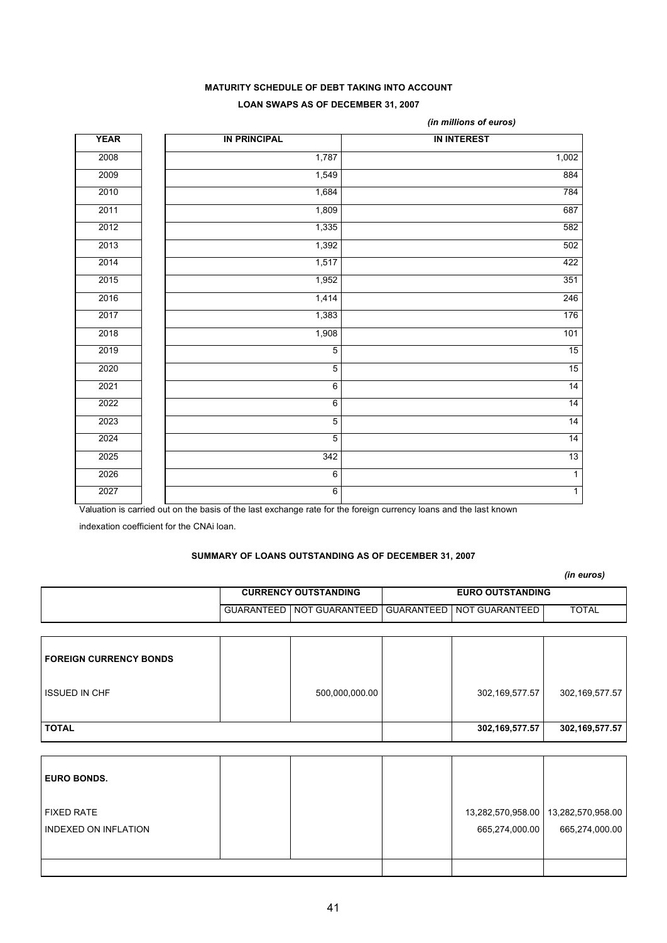# **MATURITY SCHEDULE OF DEBT TAKING INTO ACCOUNT LOAN SWAPS AS OF DECEMBER 31, 2007**

| <b>YEAR</b> | <b>IN PRINCIPAL</b> | <b>IN INTEREST</b> |
|-------------|---------------------|--------------------|
| 2008        | 1,787               | 1,002              |
| 2009        | 1,549               | 884                |
| 2010        | 1,684               | 784                |
| 2011        | 1,809               | 687                |
| 2012        | 1,335               | 582                |
| 2013        | 1,392               | 502                |
| 2014        | 1,517               | 422                |
| 2015        | 1,952               | 351                |
| 2016        | 1,414               | 246                |
| 2017        | 1,383               | 176                |
| 2018        | 1,908               | 101                |
| 2019        | $\overline{5}$      | 15                 |
| 2020        | $\overline{5}$      | 15                 |
| 2021        | 6                   | 14                 |
| 2022        | $6\overline{6}$     | 14                 |
| 2023        | $\overline{5}$      | 14                 |
| 2024        | $\overline{5}$      | 14                 |
| 2025        | 342                 | 13                 |
| 2026        | 6                   | $\overline{1}$     |
| 2027        | $6 \overline{}$     | $\overline{1}$     |

*(in millions of euros)*

Valuation is carried out on the basis of the last exchange rate for the foreign currency loans and the last known

indexation coefficient for the CNAi loan.

# **SUMMARY OF LOANS OUTSTANDING AS OF DECEMBER 31, 2007**

|  |                             |                                                             | (in euros)   |
|--|-----------------------------|-------------------------------------------------------------|--------------|
|  | <b>CURRENCY OUTSTANDING</b> | <b>EURO OUTSTANDING</b>                                     |              |
|  |                             | GUARANTEED I NOT GUARANTEED I GUARANTEED I NOT GUARANTEED I | <b>TOTAL</b> |

| <b>FOREIGN CURRENCY BONDS</b> |                |                |                |
|-------------------------------|----------------|----------------|----------------|
| <b>ISSUED IN CHF</b>          | 500,000,000.00 | 302,169,577.57 | 302,169,577.57 |
| <b>TOTAL</b>                  |                | 302,169,577.57 | 302,169,577.57 |

| <b>EURO BONDS.</b>                               |  |                |                                                         |
|--------------------------------------------------|--|----------------|---------------------------------------------------------|
| <b>FIXED RATE</b><br><b>INDEXED ON INFLATION</b> |  | 665,274,000.00 | 13,282,570,958.00   13,282,570,958.00<br>665,274,000.00 |
|                                                  |  |                |                                                         |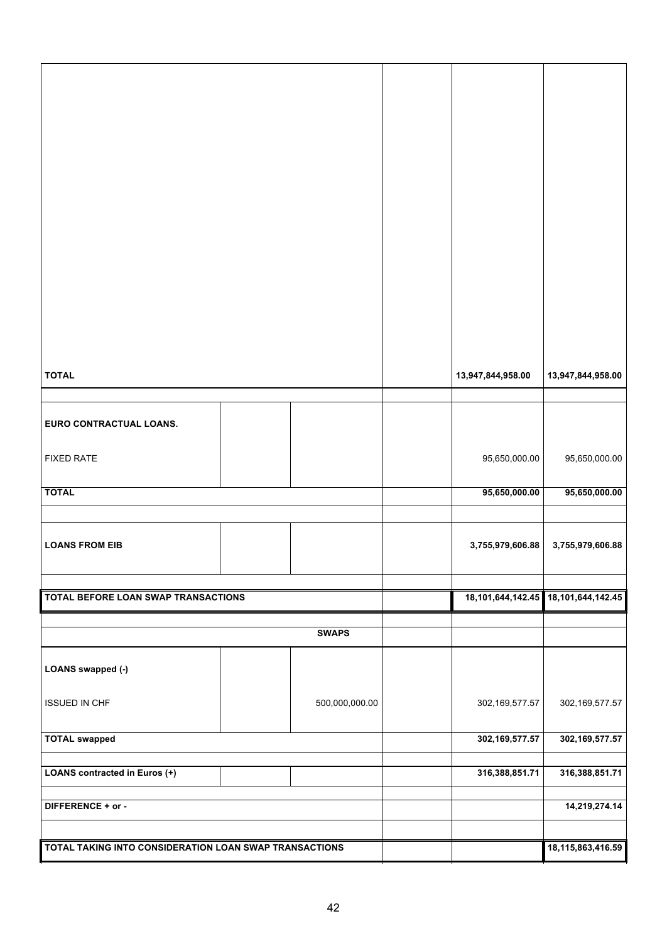| <b>TOTAL</b><br><b>LOANS FROM EIB</b><br>TOTAL BEFORE LOAN SWAP TRANSACTIONS<br>LOANS swapped (-) | <b>SWAPS</b> | 95,650,000.00<br>3,755,979,606.88<br>18,101,644,142.45 18,101,644,142.45 | 95,650,000.00<br>3,755,979,606.88 |
|---------------------------------------------------------------------------------------------------|--------------|--------------------------------------------------------------------------|-----------------------------------|
|                                                                                                   |              |                                                                          |                                   |
|                                                                                                   |              |                                                                          |                                   |
|                                                                                                   |              |                                                                          |                                   |
|                                                                                                   |              |                                                                          |                                   |
| <b>FIXED RATE</b>                                                                                 |              | 95,650,000.00                                                            | 95,650,000.00                     |
| EURO CONTRACTUAL LOANS.                                                                           |              |                                                                          |                                   |
| <b>TOTAL</b>                                                                                      |              | 13,947,844,958.00                                                        | 13,947,844,958.00                 |
|                                                                                                   |              |                                                                          |                                   |
|                                                                                                   |              |                                                                          |                                   |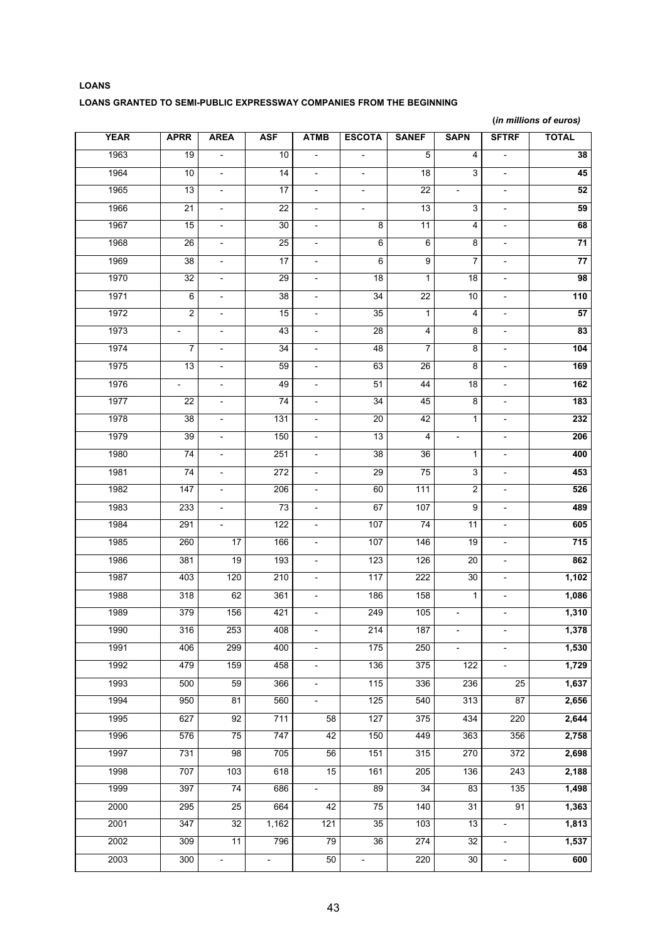# **LOANS LOANS GRANTED TO SEMI-PUBLIC EXPRESSWAY COMPANIES FROM THE BEGINNING**

**(***in millions of euros)*

| <b>YEAR</b> | <b>APRR</b>              | <b>AREA</b>              | <b>ASF</b>                  | <b>ATMB</b>              | <b>ESCOTA</b>            | <b>SANEF</b>            | <b>SAPN</b>              | <b>SFTRF</b>                 | <b>TOTAL</b>    |
|-------------|--------------------------|--------------------------|-----------------------------|--------------------------|--------------------------|-------------------------|--------------------------|------------------------------|-----------------|
| 1963        | $\overline{19}$          | $\overline{\phantom{0}}$ | 10                          | $\overline{\phantom{a}}$ | $\overline{a}$           | 5                       | 4                        | $\qquad \qquad \blacksquare$ | 38              |
| 1964        | 10                       | $\overline{\phantom{a}}$ | $\overline{14}$             | $\overline{\phantom{a}}$ | $\overline{\phantom{a}}$ | $\overline{18}$         | $\overline{3}$           | $\blacksquare$               | 45              |
| 1965        | 13                       | $\overline{\phantom{0}}$ | 17                          | $\overline{\phantom{a}}$ | $\overline{\phantom{a}}$ | 22                      | $\overline{\phantom{a}}$ | $\overline{\phantom{a}}$     | 52              |
| 1966        | $\overline{21}$          | $\overline{\phantom{0}}$ | $\overline{22}$             | $\overline{\phantom{a}}$ | $\overline{\phantom{a}}$ | 13                      | 3                        | $\Box$                       | 59              |
| 1967        | 15                       | $\overline{\phantom{0}}$ | 30                          | $\overline{\phantom{a}}$ | 8                        | 11                      | 4                        | $\overline{\phantom{a}}$     | 68              |
| 1968        | $\overline{26}$          | $\overline{\phantom{a}}$ | 25                          | $\overline{\phantom{a}}$ | $6\overline{6}$          | $6\overline{6}$         | 8                        | $\overline{\phantom{a}}$     | $\overline{71}$ |
| 1969        | 38                       | $\frac{1}{2}$            | 17                          | $\overline{\phantom{a}}$ | $6\overline{6}$          | $\overline{9}$          | $\overline{7}$           | $\overline{\phantom{a}}$     | $\overline{77}$ |
| 1970        | 32                       | $\overline{\phantom{a}}$ | 29                          | $\overline{\phantom{a}}$ | 18                       | 1                       | 18                       | $\overline{\phantom{a}}$     | 98              |
| 1971        | 6                        | $\overline{\phantom{0}}$ | 38                          | $\overline{\phantom{a}}$ | 34                       | $\overline{22}$         | 10                       | $\overline{\phantom{a}}$     | 110             |
| 1972        | $\overline{\mathbf{c}}$  | $\overline{\phantom{0}}$ | 15                          | $\overline{\phantom{a}}$ | 35                       | $\mathbf{1}$            | 4                        | $\overline{\phantom{a}}$     | 57              |
| 1973        | $\overline{\phantom{a}}$ | $\frac{1}{2}$            | 43                          | $\overline{\phantom{a}}$ | 28                       | $\overline{\mathbf{4}}$ | 8                        | $\overline{\phantom{a}}$     | 83              |
| 1974        | 7                        | $\overline{\phantom{0}}$ | 34                          | $\overline{\phantom{a}}$ | 48                       | $\overline{7}$          | 8                        | $\overline{\phantom{a}}$     | 104             |
| 1975        | 13                       | $\overline{a}$           | 59                          | $\overline{\phantom{a}}$ | 63                       | 26                      | 8                        | $\overline{\phantom{a}}$     | 169             |
| 1976        | $\overline{\phantom{a}}$ | $\overline{\phantom{0}}$ | 49                          | $\overline{\phantom{a}}$ | 51                       | 44                      | 18                       | $\overline{\phantom{a}}$     | 162             |
| 1977        | 22                       | $\overline{\phantom{a}}$ | 74                          | $\overline{\phantom{a}}$ | 34                       | 45                      | 8                        | $\overline{\phantom{a}}$     | 183             |
| 1978        | $\overline{38}$          | $\overline{\phantom{a}}$ | 131                         | $\overline{\phantom{a}}$ | 20                       | 42                      | 1                        | $\overline{\phantom{a}}$     | 232             |
| 1979        | 39                       | $\overline{\phantom{0}}$ | 150                         | $\overline{\phantom{a}}$ | 13                       | $\overline{\mathbf{4}}$ | $\overline{\phantom{m}}$ | $\overline{\phantom{a}}$     | 206             |
| 1980        | 74                       | $\overline{\phantom{0}}$ | 251                         | $\overline{\phantom{a}}$ | 38                       | 36                      | 1                        | $\blacksquare$               | 400             |
| 1981        | $\overline{74}$          | $\overline{\phantom{a}}$ | $\overline{272}$            | $\overline{\phantom{a}}$ | 29                       | $\overline{75}$         | 3                        | $\overline{\phantom{a}}$     | 453             |
| 1982        | 147                      | $\frac{1}{2}$            | 206                         | $\overline{\phantom{a}}$ | 60                       | 111                     | $\overline{2}$           | $\overline{\phantom{a}}$     | 526             |
| 1983        | 233                      | $\overline{\phantom{a}}$ | 73                          | $\overline{\phantom{a}}$ | 67                       | 107                     | 9                        | $\overline{\phantom{a}}$     | 489             |
| 1984        | 291                      | $\overline{\phantom{0}}$ | 122                         | $\overline{\phantom{a}}$ | 107                      | 74                      | 11                       | $\overline{\phantom{a}}$     | 605             |
| 1985        | 260                      | 17                       | 166                         | $\overline{\phantom{a}}$ | 107                      | 146                     | 19                       | $\overline{\phantom{a}}$     | 715             |
| 1986        | 381                      | 19                       | 193                         | $\overline{\phantom{a}}$ | 123                      | 126                     | $\overline{20}$          | $\overline{\phantom{a}}$     | 862             |
| 1987        | 403                      | 120                      | 210                         | $\overline{\phantom{a}}$ | 117                      | 222                     | 30                       | $\overline{\phantom{a}}$     | 1,102           |
| 1988        | 318                      | 62                       | 361                         | $\overline{\phantom{a}}$ | 186                      | 158                     | $\mathbf{1}$             | $\blacksquare$               | 1,086           |
| 1989        | 379                      | 156                      | 421                         | $\overline{\phantom{a}}$ | 249                      | 105                     | $\qquad \qquad -$        | $\overline{\phantom{a}}$     | 1,310           |
| 1990        | 316                      | 253                      | 408                         |                          | 214                      | 187                     |                          |                              | 1,378           |
| 1991        | 406                      | 299                      | 400                         | $\overline{\phantom{a}}$ | 175                      | 250                     | $\overline{\phantom{a}}$ |                              | 1,530           |
| 1992        | 479                      | 159                      | 458                         | $\overline{\phantom{a}}$ | 136                      | 375                     | 122                      |                              | 1,729           |
| 1993        | 500                      | 59                       | 366                         | $\overline{\phantom{a}}$ | 115                      | 336                     | 236                      | 25                           | 1,637           |
| 1994        | 950                      | 81                       | 560                         | $\overline{\phantom{a}}$ | 125                      | 540                     | 313                      | $\overline{87}$              | 2,656           |
| 1995        | 627                      | 92                       | 711                         | 58                       | 127                      | 375                     | 434                      | 220                          | 2,644           |
| 1996        | 576                      | 75                       | 747                         | 42                       | 150                      | 449                     | 363                      | 356                          | 2,758           |
| 1997        | 731                      | 98                       | 705                         | 56                       | 151                      | 315                     | 270                      | 372                          | 2,698           |
| 1998        | 707                      | 103                      | 618                         | 15                       | 161                      | 205                     | 136                      | 243                          | 2,188           |
| 1999        | 397                      | 74                       | 686                         | $\blacksquare$           | 89                       | 34                      | 83                       | 135                          | 1,498           |
| 2000        | 295                      | 25                       | 664                         | 42                       | 75                       | 140                     | $\overline{31}$          | 91                           | 1,363           |
| 2001        | 347                      | 32                       | 1,162                       | 121                      | 35                       | 103                     | 13                       | $\blacksquare$               | 1,813           |
| 2002        | 309                      | 11                       | 796                         | 79                       | 36                       | 274                     | 32                       |                              | 1,537           |
| 2003        | 300                      | $\overline{\phantom{0}}$ | $\mathcal{L}_{\mathcal{A}}$ | 50                       | $\blacksquare$           | 220                     | 30                       | $\overline{\phantom{a}}$     | 600             |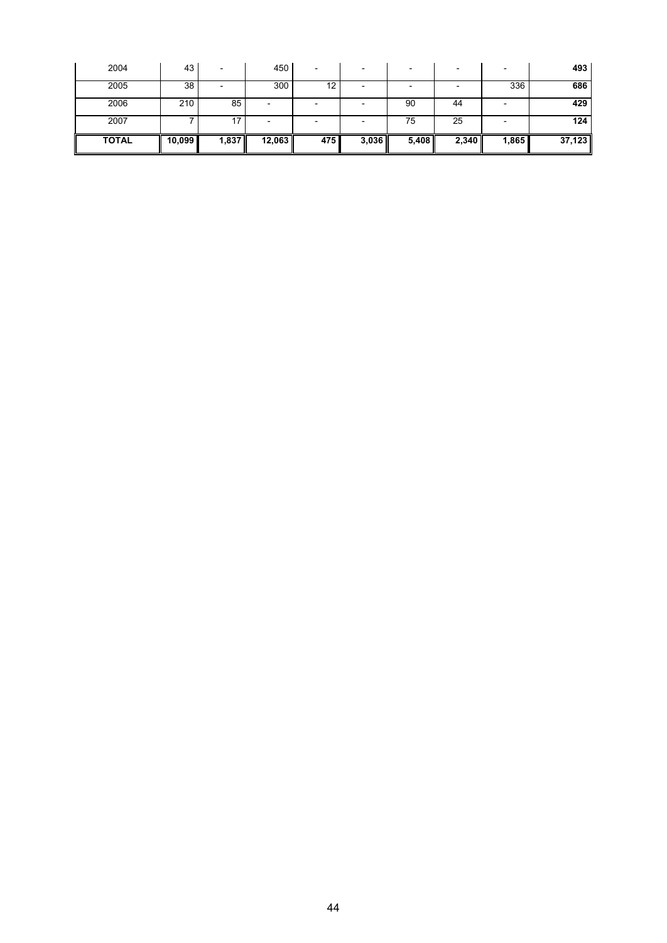| 2004         | 43     |       | 450    | $\overline{\phantom{0}}$ |       |       |       |       | 493    |
|--------------|--------|-------|--------|--------------------------|-------|-------|-------|-------|--------|
| 2005         | 38     |       | 300    | 12                       |       |       |       | 336   | 686    |
| 2006         | 210    | 85    | -      |                          |       | 90    | 44    |       | 429    |
| 2007         |        |       |        |                          |       | 75    | 25    |       | 124    |
| <b>TOTAL</b> | 10,099 | 1,837 | 12,063 | 475                      | 3,036 | 5,408 | 2,340 | 1,865 | 37,123 |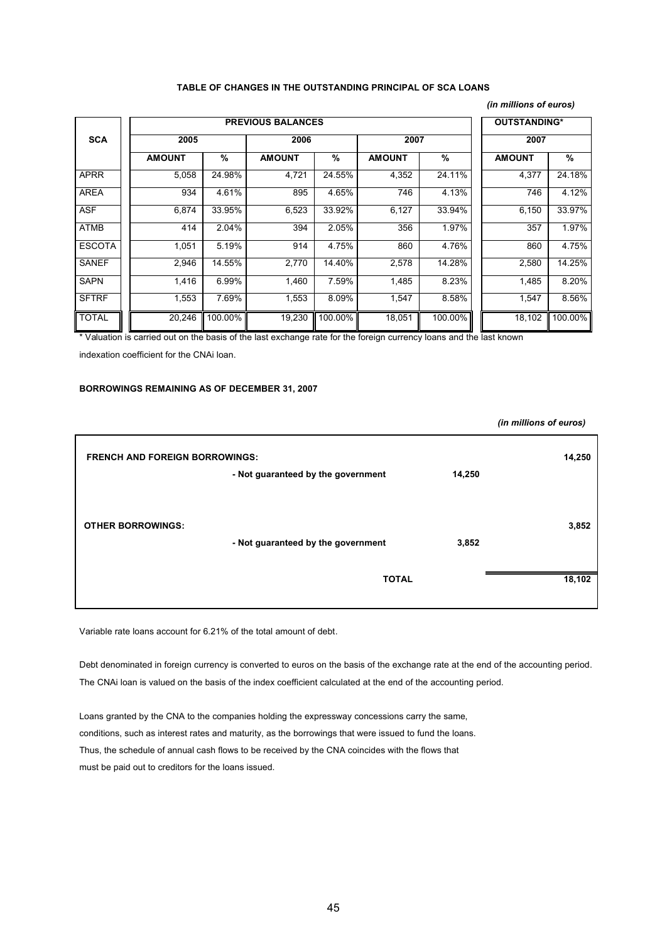#### **TABLE OF CHANGES IN THE OUTSTANDING PRINCIPAL OF SCA LOANS**

#### *(in millions of euros)*

*(in millions of euros)*

|               |               | <b>PREVIOUS BALANCES</b> |               | <b>OUTSTANDING*</b> |               |         |               |         |  |
|---------------|---------------|--------------------------|---------------|---------------------|---------------|---------|---------------|---------|--|
| <b>SCA</b>    | 2005          |                          | 2006          |                     | 2007          |         | 2007          |         |  |
|               | <b>AMOUNT</b> | %                        | <b>AMOUNT</b> | $\%$                | <b>AMOUNT</b> | %       | <b>AMOUNT</b> | %       |  |
| <b>APRR</b>   | 5,058         | 24.98%                   | 4,721         | 24.55%              | 4,352         | 24.11%  | 4,377         | 24.18%  |  |
| <b>AREA</b>   | 934           | 4.61%                    | 895           | 4.65%               | 746           | 4.13%   | 746           | 4.12%   |  |
| <b>ASF</b>    | 6,874         | 33.95%                   | 6,523         | 33.92%              | 6,127         | 33.94%  | 6,150         | 33.97%  |  |
| <b>ATMB</b>   | 414           | 2.04%                    | 394           | 2.05%               | 356           | 1.97%   | 357           | 1.97%   |  |
| <b>ESCOTA</b> | 1,051         | 5.19%                    | 914           | 4.75%               | 860           | 4.76%   | 860           | 4.75%   |  |
| <b>SANEF</b>  | 2,946         | 14.55%                   | 2,770         | 14.40%              | 2,578         | 14.28%  | 2,580         | 14.25%  |  |
| <b>SAPN</b>   | 1,416         | 6.99%                    | 1,460         | 7.59%               | 1,485         | 8.23%   | 1,485         | 8.20%   |  |
| <b>SFTRF</b>  | 1,553         | 7.69%                    | 1,553         | 8.09%               | 1,547         | 8.58%   | 1,547         | 8.56%   |  |
| <b>TOTAL</b>  | 20,246        | 100.00%                  | 19,230        | 100.00%             | 18,051        | 100.00% | 18,102        | 100.00% |  |

\* Valuation is carried out on the basis of the last exchange rate for the foreign currency loans and the last known

indexation coefficient for the CNAi loan.

#### **BORROWINGS REMAINING AS OF DECEMBER 31, 2007**

| <b>FRENCH AND FOREIGN BORROWINGS:</b> |                                    | 14,250 |
|---------------------------------------|------------------------------------|--------|
|                                       |                                    |        |
| - Not guaranteed by the government    | 3,852                              | 3,852  |
| <b>TOTAL</b>                          |                                    | 18,102 |
|                                       | - Not guaranteed by the government | 14,250 |

Variable rate loans account for 6.21% of the total amount of debt.

Debt denominated in foreign currency is converted to euros on the basis of the exchange rate at the end of the accounting period. The CNAi loan is valued on the basis of the index coefficient calculated at the end of the accounting period.

Loans granted by the CNA to the companies holding the expressway concessions carry the same, conditions, such as interest rates and maturity, as the borrowings that were issued to fund the loans. Thus, the schedule of annual cash flows to be received by the CNA coincides with the flows that must be paid out to creditors for the loans issued.

45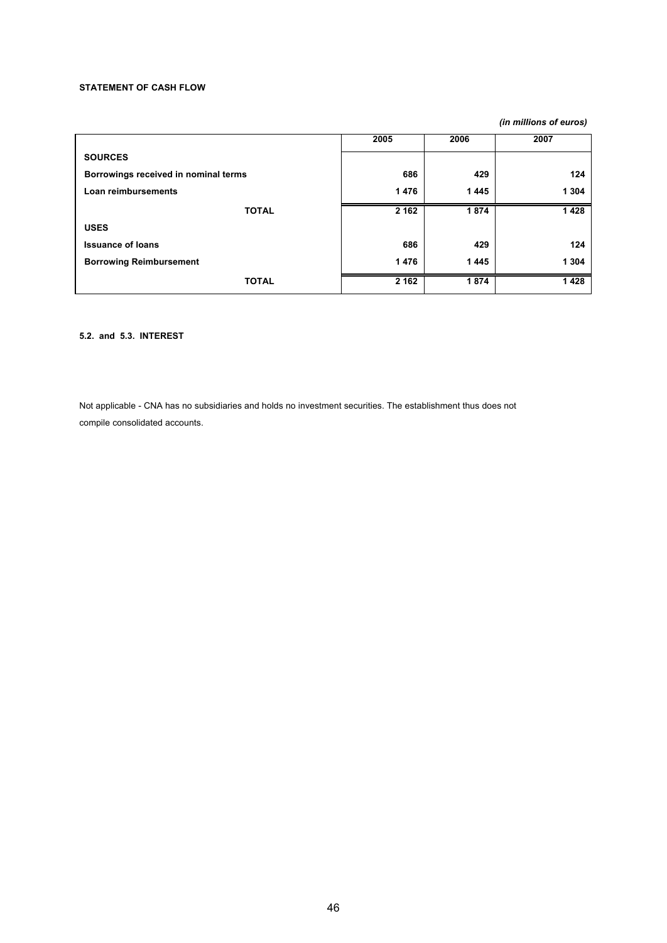### **STATEMENT OF CASH FLOW**

*(in millions of euros)*

|                                      | 2005    | 2006 | 2007    |
|--------------------------------------|---------|------|---------|
| <b>SOURCES</b>                       |         |      |         |
| Borrowings received in nominal terms | 686     | 429  | 124     |
| Loan reimbursements                  | 1476    | 1445 | 1 3 0 4 |
| <b>TOTAL</b>                         | 2 1 6 2 | 1874 | 1428    |
| <b>USES</b>                          |         |      |         |
| <b>Issuance of loans</b>             | 686     | 429  | 124     |
| <b>Borrowing Reimbursement</b>       | 1476    | 1445 | 1 3 0 4 |
| <b>TOTAL</b>                         | 2 1 6 2 | 1874 | 1428    |

# **5.2. and 5.3. INTEREST**

Not applicable - CNA has no subsidiaries and holds no investment securities. The establishment thus does not compile consolidated accounts.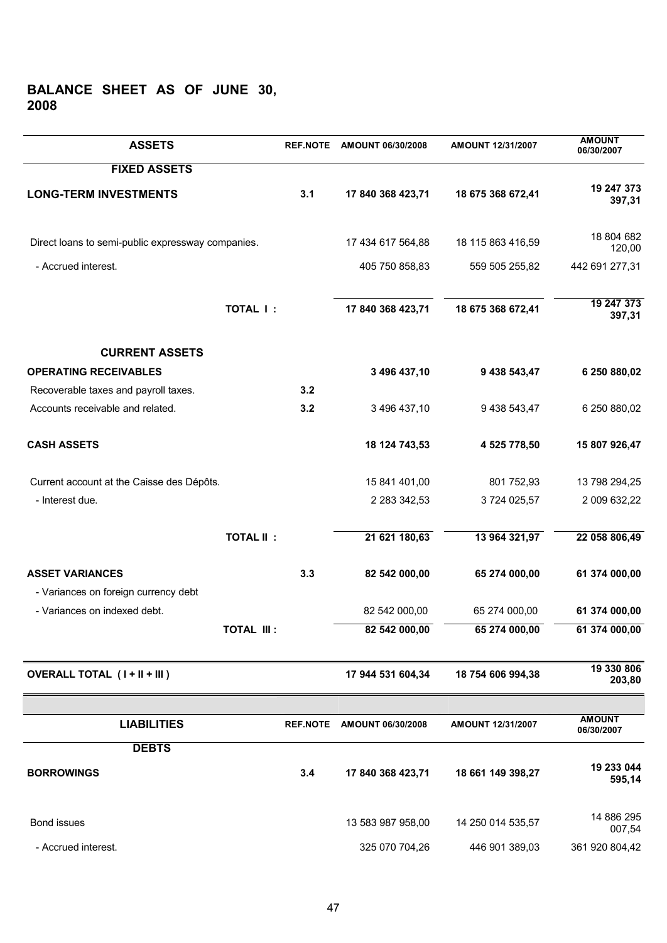# **BALANCE SHEET AS OF JUNE 30, 2008**

| <b>ASSETS</b>                                     | <b>REF.NOTE</b> | AMOUNT 06/30/2008 | AMOUNT 12/31/2007 | <b>AMOUNT</b><br>06/30/2007 |
|---------------------------------------------------|-----------------|-------------------|-------------------|-----------------------------|
| <b>FIXED ASSETS</b>                               |                 |                   |                   |                             |
| <b>LONG-TERM INVESTMENTS</b>                      | 3.1             | 17 840 368 423,71 | 18 675 368 672,41 | 19 247 373<br>397,31        |
| Direct loans to semi-public expressway companies. |                 | 17 434 617 564,88 | 18 115 863 416,59 | 18 804 682<br>120,00        |
| - Accrued interest.                               |                 | 405 750 858,83    | 559 505 255,82    | 442 691 277,31              |
| TOTAL I:                                          |                 | 17 840 368 423,71 | 18 675 368 672,41 | 19 247 373<br>397,31        |
| <b>CURRENT ASSETS</b>                             |                 |                   |                   |                             |
| <b>OPERATING RECEIVABLES</b>                      |                 | 3 496 437,10      | 9 438 543,47      | 6 250 880,02                |
| Recoverable taxes and payroll taxes.              | 3.2             |                   |                   |                             |
| Accounts receivable and related.                  | 3.2             | 3 496 437,10      | 9 438 543,47      | 6 250 880,02                |
| <b>CASH ASSETS</b>                                |                 | 18 124 743,53     | 4 525 778,50      | 15 807 926,47               |
| Current account at the Caisse des Dépôts.         |                 | 15 841 401,00     | 801 752,93        | 13 798 294,25               |
| - Interest due.                                   |                 | 2 283 342,53      | 3724 025,57       | 2 009 632,22                |
| <b>TOTAL II:</b>                                  |                 | 21 621 180,63     | 13 964 321,97     | 22 058 806,49               |
| <b>ASSET VARIANCES</b>                            | 3.3             | 82 542 000,00     | 65 274 000,00     | 61 374 000,00               |
| - Variances on foreign currency debt              |                 |                   |                   |                             |
| - Variances on indexed debt.                      |                 | 82 542 000,00     | 65 274 000,00     | 61 374 000,00               |
| <b>TOTAL III:</b>                                 |                 | 82 542 000,00     | 65 274 000,00     | 61 374 000,00               |
| <b>OVERALL TOTAL (I+II+III)</b>                   |                 | 17 944 531 604,34 | 18 754 606 994,38 | 19 330 806<br>203,80        |
|                                                   |                 |                   |                   | <b>AMOUNT</b>               |
| <b>LIABILITIES</b>                                | <b>REF.NOTE</b> | AMOUNT 06/30/2008 | AMOUNT 12/31/2007 | 06/30/2007                  |
| <b>DEBTS</b>                                      |                 |                   |                   |                             |
| <b>BORROWINGS</b>                                 | 3.4             | 17 840 368 423,71 | 18 661 149 398,27 | 19 233 044<br>595,14        |
| Bond issues                                       |                 | 13 583 987 958,00 | 14 250 014 535,57 | 14 886 295<br>007,54        |
| - Accrued interest.                               |                 | 325 070 704,26    | 446 901 389,03    | 361 920 804,42              |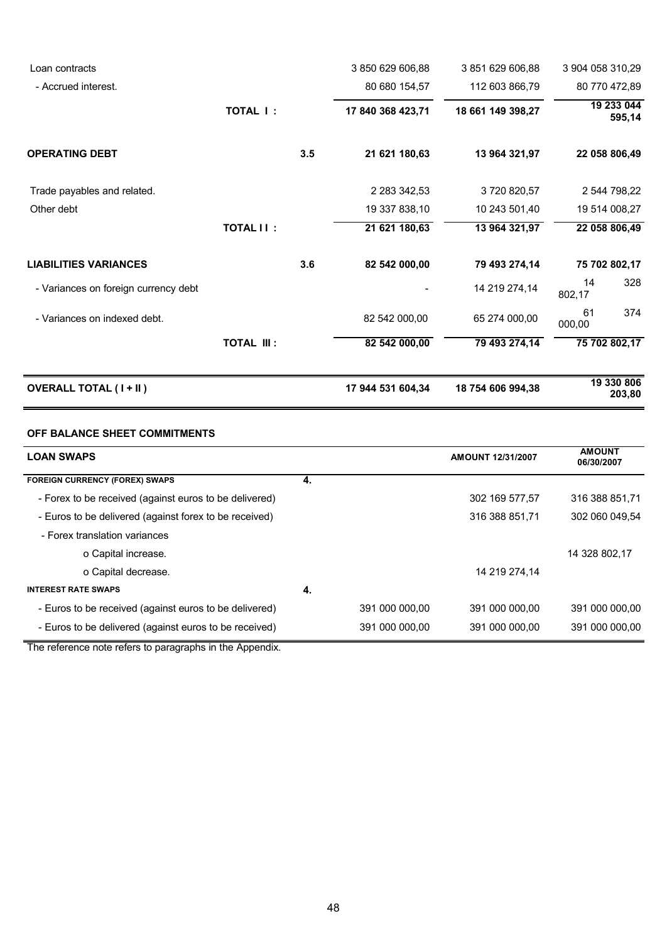| Loan contracts                       |                   |     | 3 850 629 606,88    | 3 851 629 606,88  | 3 904 058 310,29     |
|--------------------------------------|-------------------|-----|---------------------|-------------------|----------------------|
| - Accrued interest.                  |                   |     | 80 680 154,57       | 112 603 866,79    | 80 770 472,89        |
|                                      | <b>TOTAL I:</b>   |     | 17 840 368 423,71   | 18 661 149 398,27 | 19 233 044<br>595,14 |
| <b>OPERATING DEBT</b>                |                   | 3.5 | 21 621 180,63       | 13 964 321,97     | 22 058 806,49        |
| Trade payables and related.          |                   |     | 2 2 8 3 3 4 2 , 5 3 | 3720820,57        | 2 544 798,22         |
| Other debt                           |                   |     | 19 337 838,10       | 10 243 501,40     | 19 514 008,27        |
|                                      | <b>TOTAL II:</b>  |     | 21 621 180,63       | 13 964 321,97     | 22 058 806,49        |
| <b>LIABILITIES VARIANCES</b>         |                   | 3.6 | 82 542 000,00       | 79 493 274,14     | 75 702 802,17        |
| - Variances on foreign currency debt |                   |     |                     | 14 219 274,14     | 328<br>14<br>802,17  |
| - Variances on indexed debt.         |                   |     | 82 542 000,00       | 65 274 000,00     | 374<br>61<br>000,00  |
|                                      | <b>TOTAL III:</b> |     | 82 542 000,00       | 79 493 274,14     | 75 702 802,17        |
| <b>OVERALL TOTAL (I+II)</b>          |                   |     | 17 944 531 604,34   | 18 754 606 994,38 | 19 330 806<br>203,80 |

# **OFF BALANCE SHEET COMMITMENTS**

| <b>LOAN SWAPS</b>                                      |    |                | <b>AMOUNT 12/31/2007</b> | <b>AMOUNT</b><br>06/30/2007 |
|--------------------------------------------------------|----|----------------|--------------------------|-----------------------------|
| <b>FOREIGN CURRENCY (FOREX) SWAPS</b>                  | 4. |                |                          |                             |
| - Forex to be received (against euros to be delivered) |    |                | 302 169 577,57           | 316 388 851.71              |
| - Euros to be delivered (against forex to be received) |    |                | 316 388 851.71           | 302 060 049.54              |
| - Forex translation variances                          |    |                |                          |                             |
| o Capital increase.                                    |    |                |                          | 14 328 802.17               |
| o Capital decrease.                                    |    |                | 14 219 274,14            |                             |
| <b>INTEREST RATE SWAPS</b>                             | 4. |                |                          |                             |
| - Euros to be received (against euros to be delivered) |    | 391 000 000.00 | 391 000 000.00           | 391 000 000.00              |
| - Euros to be delivered (against euros to be received) |    | 391 000 000.00 | 391 000 000.00           | 391 000 000.00              |

The reference note refers to paragraphs in the Appendix.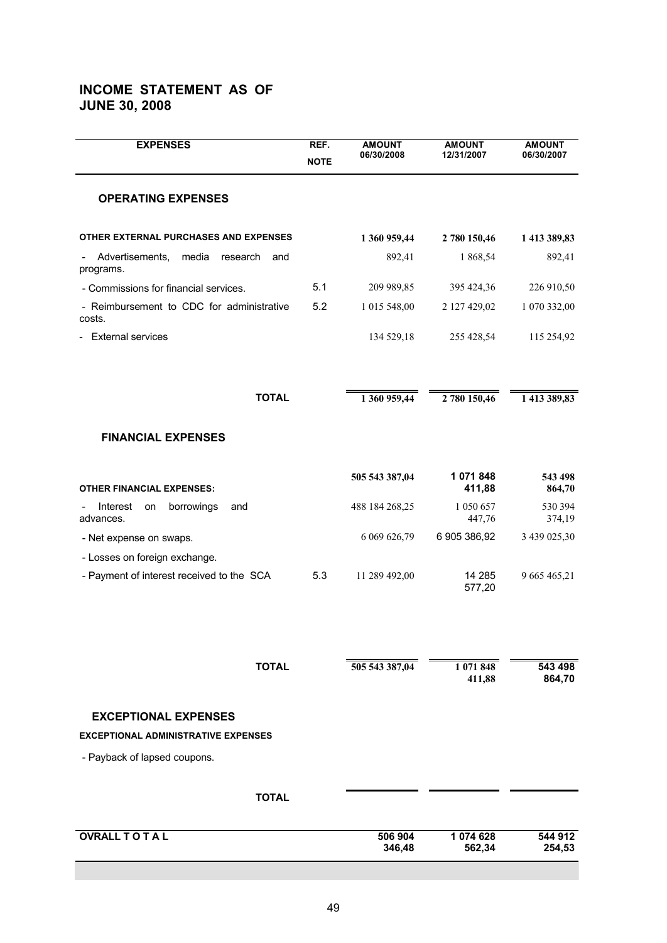# **INCOME STATEMENT AS OF JUNE 30, 2008**

| <b>EXPENSES</b>                                          | REF.<br><b>NOTE</b> | <b>AMOUNT</b><br>06/30/2008 | <b>AMOUNT</b><br>12/31/2007 | <b>AMOUNT</b><br>06/30/2007 |
|----------------------------------------------------------|---------------------|-----------------------------|-----------------------------|-----------------------------|
| <b>OPERATING EXPENSES</b>                                |                     |                             |                             |                             |
| OTHER EXTERNAL PURCHASES AND EXPENSES                    |                     | 1 360 959,44                | 2 780 150,46                | 1 413 389,83                |
| media<br>Advertisements,<br>research<br>and<br>programs. |                     | 892,41                      | 1 868,54                    | 892,41                      |
| - Commissions for financial services.                    | 5.1                 | 209 989,85                  | 395 424,36                  | 226 910,50                  |
| - Reimbursement to CDC for administrative<br>costs.      | 5.2                 | 1 015 548,00                | 2 127 429,02                | 1 070 332,00                |
| <b>External services</b>                                 |                     | 134 529,18                  | 255 428,54                  | 115 254,92                  |
|                                                          |                     |                             |                             |                             |
| <b>TOTAL</b>                                             |                     | 1 360 959,44                | 2 780 150,46                | 1 413 389,83                |
| <b>FINANCIAL EXPENSES</b>                                |                     |                             |                             |                             |
| <b>OTHER FINANCIAL EXPENSES:</b>                         |                     | 505 543 387,04              | 1 071 848<br>411,88         | 543 498<br>864,70           |
| Interest<br>borrowings<br>on<br>and<br>advances.         |                     | 488 184 268,25              | 1 050 657<br>447,76         | 530 394<br>374,19           |
| - Net expense on swaps.                                  |                     | 6 069 626,79                | 6 905 386,92                | 3 439 025,30                |
| - Losses on foreign exchange.                            |                     |                             |                             |                             |
| - Payment of interest received to the SCA                | 5.3                 | 11 289 492,00               | 14 285<br>577,20            | 9 665 465,21                |
|                                                          |                     |                             |                             |                             |
| <b>TOTAL</b>                                             |                     | 505 543 387,04              | 1 071 848<br>411,88         | 543 498<br>864,70           |
| <b>EXCEPTIONAL EXPENSES</b>                              |                     |                             |                             |                             |
| <b>EXCEPTIONAL ADMINISTRATIVE EXPENSES</b>               |                     |                             |                             |                             |
| - Payback of lapsed coupons.                             |                     |                             |                             |                             |
| <b>TOTAL</b>                                             |                     |                             |                             |                             |
| <b>OVRALL TO TAL</b>                                     |                     | 506 904<br>346,48           | 1 074 628<br>562,34         | 544 912<br>254,53           |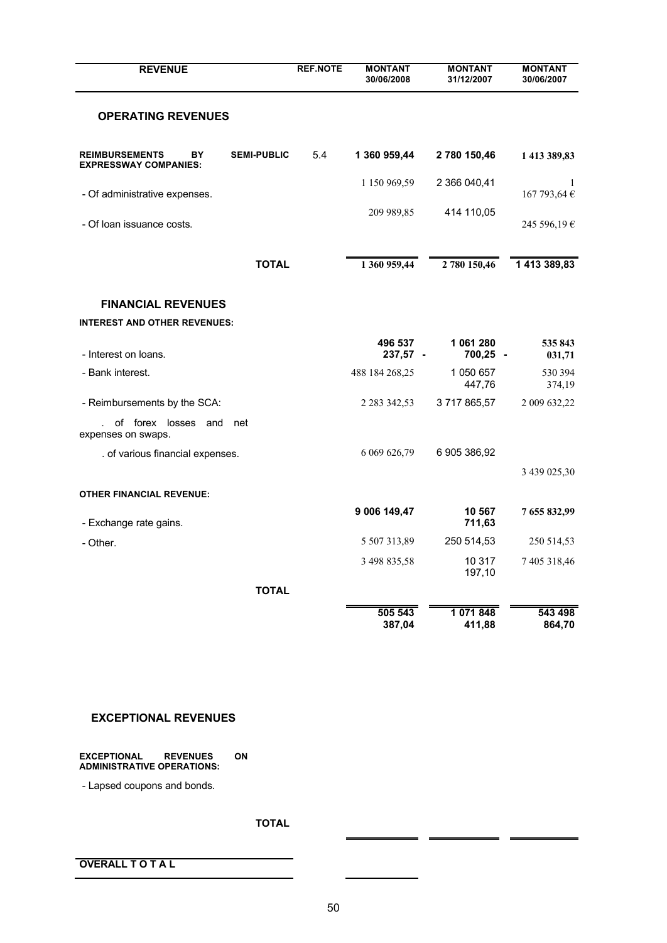| <b>REVENUE</b>                                              |                    | <b>REF.NOTE</b> | <b>MONTANT</b><br>30/06/2008 | <b>MONTANT</b><br>31/12/2007 | <b>MONTANT</b><br>30/06/2007 |
|-------------------------------------------------------------|--------------------|-----------------|------------------------------|------------------------------|------------------------------|
| <b>OPERATING REVENUES</b>                                   |                    |                 |                              |                              |                              |
| <b>REIMBURSEMENTS</b><br>BY<br><b>EXPRESSWAY COMPANIES:</b> | <b>SEMI-PUBLIC</b> | 5.4             | 1 360 959,44                 | 2 780 150,46                 | 1 413 389,83                 |
| - Of administrative expenses.                               |                    |                 | 1 150 969,59                 | 2 366 040,41                 | 1<br>167 793,64 €            |
| - Of loan issuance costs.                                   |                    |                 | 209 989,85                   | 414 110,05                   | 245 596,19€                  |
|                                                             | <b>TOTAL</b>       |                 | 1 360 959,44                 | 2 780 150,46                 | 1 413 389,83                 |
| <b>FINANCIAL REVENUES</b>                                   |                    |                 |                              |                              |                              |
| <b>INTEREST AND OTHER REVENUES:</b>                         |                    |                 |                              |                              |                              |
| - Interest on loans.                                        |                    |                 | 496 537<br>237,57 -          | 1 061 280<br>700,25 -        | 535 843<br>031,71            |
| - Bank interest.                                            |                    |                 | 488 184 268,25               | 1 050 657<br>447,76          | 530 394<br>374,19            |
| - Reimbursements by the SCA:                                |                    |                 | 2 2 8 3 3 4 2 , 5 3          | 3717865,57                   | 2 009 632,22                 |
| of forex losses and<br>J.<br>expenses on swaps.             | net                |                 |                              |                              |                              |
| . of various financial expenses.                            |                    |                 | 6 069 626,79                 | 6 905 386,92                 |                              |
|                                                             |                    |                 |                              |                              | 3 439 025,30                 |
| <b>OTHER FINANCIAL REVENUE:</b>                             |                    |                 |                              |                              |                              |
| - Exchange rate gains.                                      |                    |                 | 9 006 149,47                 | 10 567<br>711,63             | 7 655 832,99                 |
| - Other.                                                    |                    |                 | 5 507 313,89                 | 250 514,53                   | 250 514,53                   |
|                                                             |                    |                 | 3 498 835,58                 | 10 317<br>197,10             | 7 405 318,46                 |
|                                                             | <b>TOTAL</b>       |                 |                              |                              |                              |
|                                                             |                    |                 | 505 543<br>387,04            | 1 071 848<br>411,88          | 543 498<br>864,70            |

# **EXCEPTIONAL REVENUES**

#### **EXCEPTIONAL REVENUES ON ADMINISTRATIVE OPERATIONS:**

- Lapsed coupons and bonds.

# **TOTAL**

**OVERALL T O T A L** 

 $\blacksquare$ 

=

J.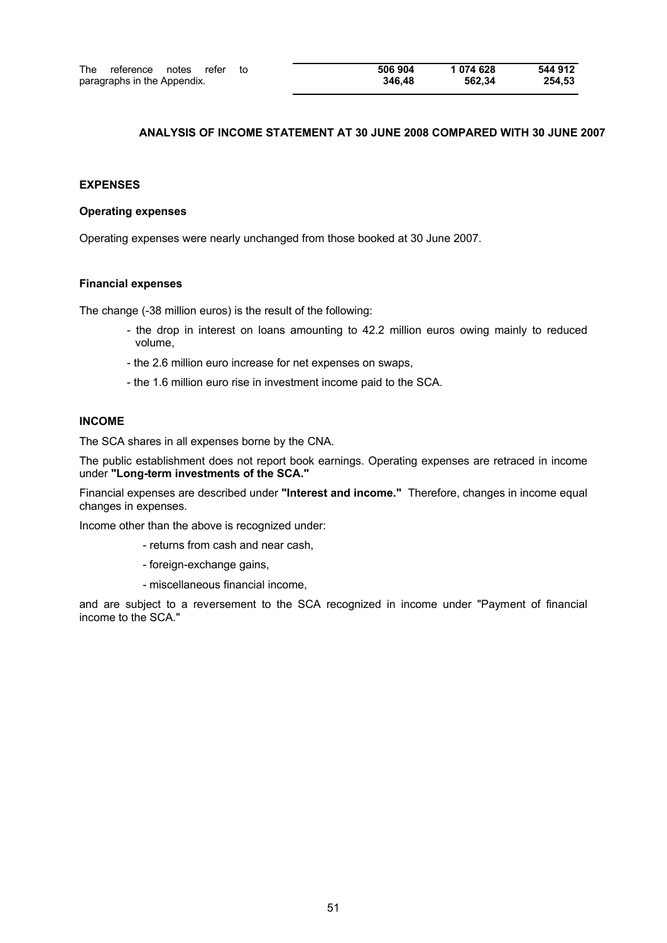# **ANALYSIS OF INCOME STATEMENT AT 30 JUNE 2008 COMPARED WITH 30 JUNE 2007**

# **EXPENSES**

### **Operating expenses**

Operating expenses were nearly unchanged from those booked at 30 June 2007.

# **Financial expenses**

The change (-38 million euros) is the result of the following:

- the drop in interest on loans amounting to 42.2 million euros owing mainly to reduced volume,
- the 2.6 million euro increase for net expenses on swaps,
- the 1.6 million euro rise in investment income paid to the SCA.

#### **INCOME**

The SCA shares in all expenses borne by the CNA.

The public establishment does not report book earnings. Operating expenses are retraced in income under **"Long-term investments of the SCA."**

Financial expenses are described under **"Interest and income."** Therefore, changes in income equal changes in expenses.

Income other than the above is recognized under:

- returns from cash and near cash,
- foreign-exchange gains,
- miscellaneous financial income,

and are subject to a reversement to the SCA recognized in income under "Payment of financial income to the SCA."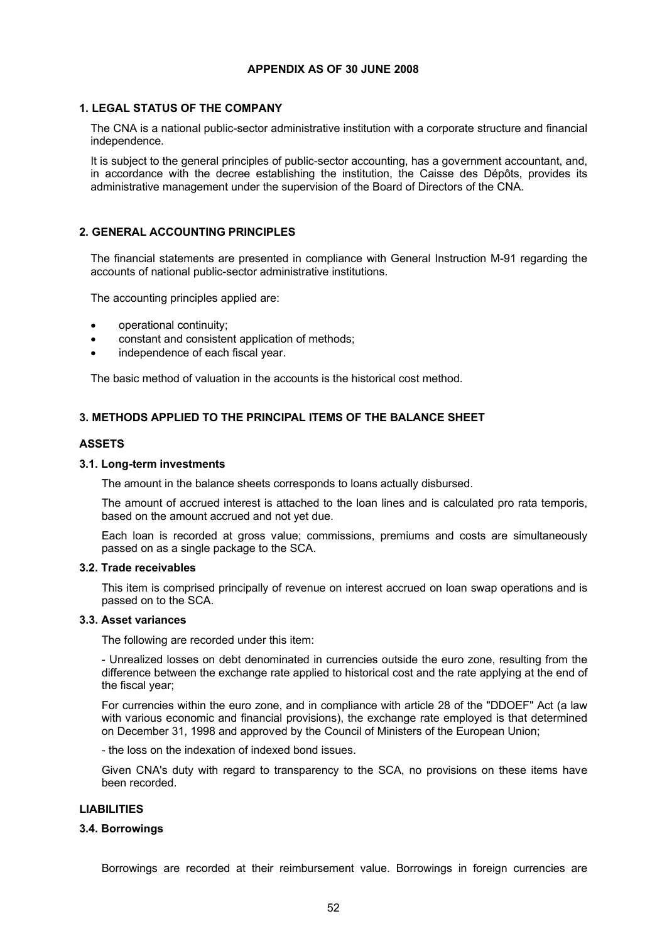# **APPENDIX AS OF 30 JUNE 2008**

# **1. LEGAL STATUS OF THE COMPANY**

The CNA is a national public-sector administrative institution with a corporate structure and financial independence.

It is subject to the general principles of public-sector accounting, has a government accountant, and, in accordance with the decree establishing the institution, the Caisse des Dépôts, provides its administrative management under the supervision of the Board of Directors of the CNA.

# **2. GENERAL ACCOUNTING PRINCIPLES**

The financial statements are presented in compliance with General Instruction M-91 regarding the accounts of national public-sector administrative institutions.

The accounting principles applied are:

- · operational continuity;
- constant and consistent application of methods;
- independence of each fiscal year.

The basic method of valuation in the accounts is the historical cost method.

# **3. METHODS APPLIED TO THE PRINCIPAL ITEMS OF THE BALANCE SHEET**

# **ASSETS**

#### **3.1. Long-term investments**

The amount in the balance sheets corresponds to loans actually disbursed.

The amount of accrued interest is attached to the loan lines and is calculated pro rata temporis, based on the amount accrued and not yet due.

Each loan is recorded at gross value; commissions, premiums and costs are simultaneously passed on as a single package to the SCA.

# **3.2. Trade receivables**

This item is comprised principally of revenue on interest accrued on loan swap operations and is passed on to the SCA.

#### **3.3. Asset variances**

The following are recorded under this item:

- Unrealized losses on debt denominated in currencies outside the euro zone, resulting from the difference between the exchange rate applied to historical cost and the rate applying at the end of the fiscal year;

For currencies within the euro zone, and in compliance with article 28 of the "DDOEF" Act (a law with various economic and financial provisions), the exchange rate employed is that determined on December 31, 1998 and approved by the Council of Ministers of the European Union;

- the loss on the indexation of indexed bond issues.

Given CNA's duty with regard to transparency to the SCA, no provisions on these items have been recorded.

# **LIABILITIES**

### **3.4. Borrowings**

Borrowings are recorded at their reimbursement value. Borrowings in foreign currencies are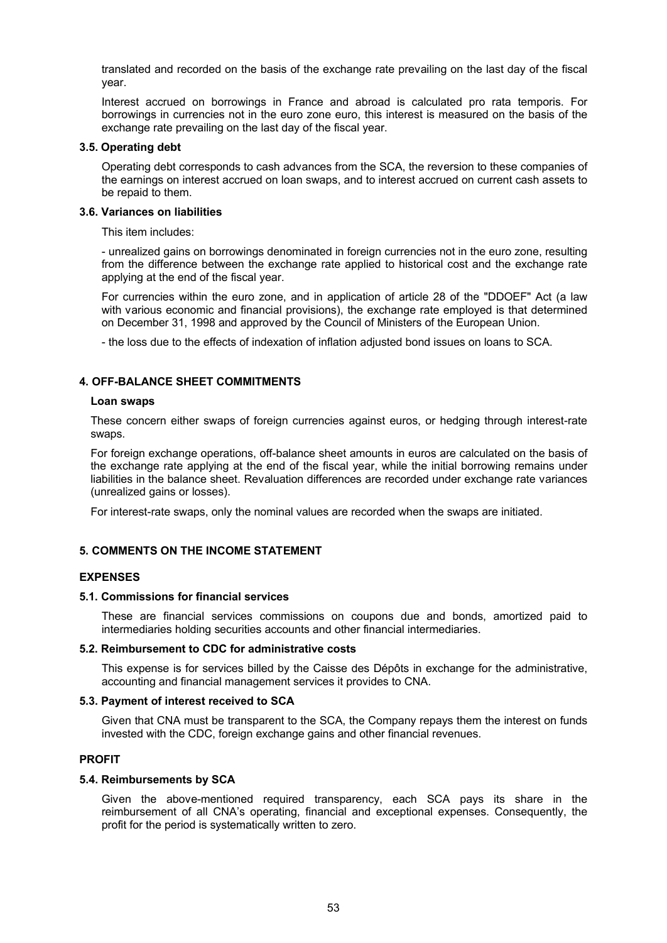translated and recorded on the basis of the exchange rate prevailing on the last day of the fiscal year.

Interest accrued on borrowings in France and abroad is calculated pro rata temporis. For borrowings in currencies not in the euro zone euro, this interest is measured on the basis of the exchange rate prevailing on the last day of the fiscal year.

### **3.5. Operating debt**

Operating debt corresponds to cash advances from the SCA, the reversion to these companies of the earnings on interest accrued on loan swaps, and to interest accrued on current cash assets to be repaid to them.

# **3.6. Variances on liabilities**

This item includes:

- unrealized gains on borrowings denominated in foreign currencies not in the euro zone, resulting from the difference between the exchange rate applied to historical cost and the exchange rate applying at the end of the fiscal year.

For currencies within the euro zone, and in application of article 28 of the "DDOEF" Act (a law with various economic and financial provisions), the exchange rate employed is that determined on December 31, 1998 and approved by the Council of Ministers of the European Union.

- the loss due to the effects of indexation of inflation adjusted bond issues on loans to SCA.

# **4. OFF-BALANCE SHEET COMMITMENTS**

# **Loan swaps**

These concern either swaps of foreign currencies against euros, or hedging through interest-rate swaps.

For foreign exchange operations, off-balance sheet amounts in euros are calculated on the basis of the exchange rate applying at the end of the fiscal year, while the initial borrowing remains under liabilities in the balance sheet. Revaluation differences are recorded under exchange rate variances (unrealized gains or losses).

For interest-rate swaps, only the nominal values are recorded when the swaps are initiated.

# **5. COMMENTS ON THE INCOME STATEMENT**

# **EXPENSES**

### **5.1. Commissions for financial services**

These are financial services commissions on coupons due and bonds, amortized paid to intermediaries holding securities accounts and other financial intermediaries.

### **5.2. Reimbursement to CDC for administrative costs**

This expense is for services billed by the Caisse des Dépôts in exchange for the administrative, accounting and financial management services it provides to CNA.

### **5.3. Payment of interest received to SCA**

Given that CNA must be transparent to the SCA, the Company repays them the interest on funds invested with the CDC, foreign exchange gains and other financial revenues.

# **PROFIT**

### **5.4. Reimbursements by SCA**

Given the above-mentioned required transparency, each SCA pays its share in the reimbursement of all CNA's operating, financial and exceptional expenses. Consequently, the profit for the period is systematically written to zero.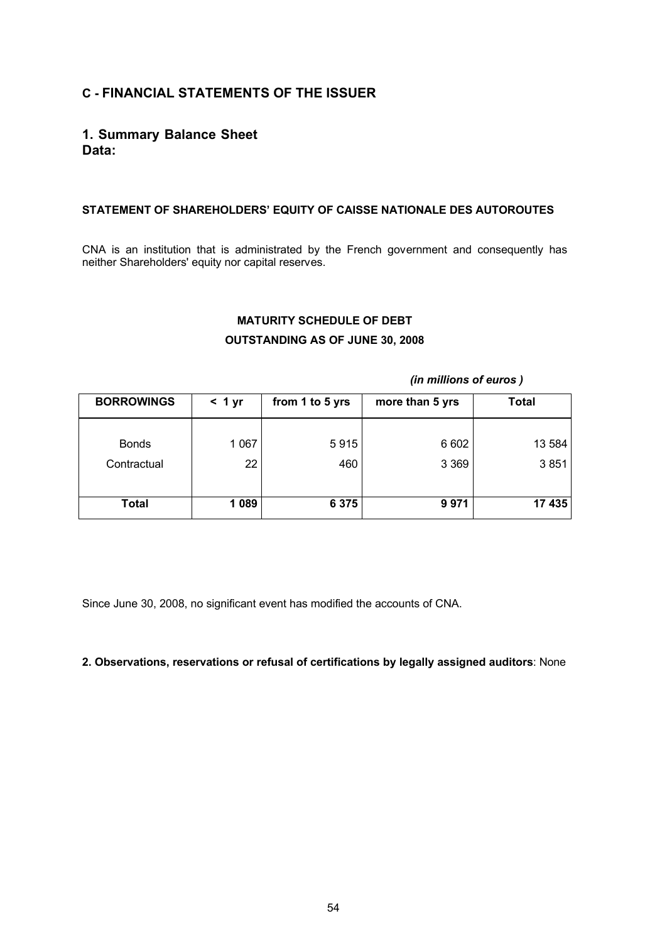# **C - FINANCIAL STATEMENTS OF THE ISSUER**

# **1. Summary Balance Sheet Data:**

# **STATEMENT OF SHAREHOLDERS' EQUITY OF CAISSE NATIONALE DES AUTOROUTES**

CNA is an institution that is administrated by the French government and consequently has neither Shareholders' equity nor capital reserves.

# **MATURITY SCHEDULE OF DEBT OUTSTANDING AS OF JUNE 30, 2008**

### *(in millions of euros )*

| <b>BORROWINGS</b> | < 1 yr  | from 1 to 5 yrs | more than 5 yrs | <b>Total</b> |
|-------------------|---------|-----------------|-----------------|--------------|
| <b>Bonds</b>      | 1 0 6 7 | 5915            | 6 6 0 2         | 13 584       |
| Contractual       | 22      | 460             | 3 3 6 9         | 3851         |
| <b>Total</b>      | 1 0 8 9 | 6 3 7 5         | 9971            | 17 435       |

Since June 30, 2008, no significant event has modified the accounts of CNA.

# **2. Observations, reservations or refusal of certifications by legally assigned auditors**: None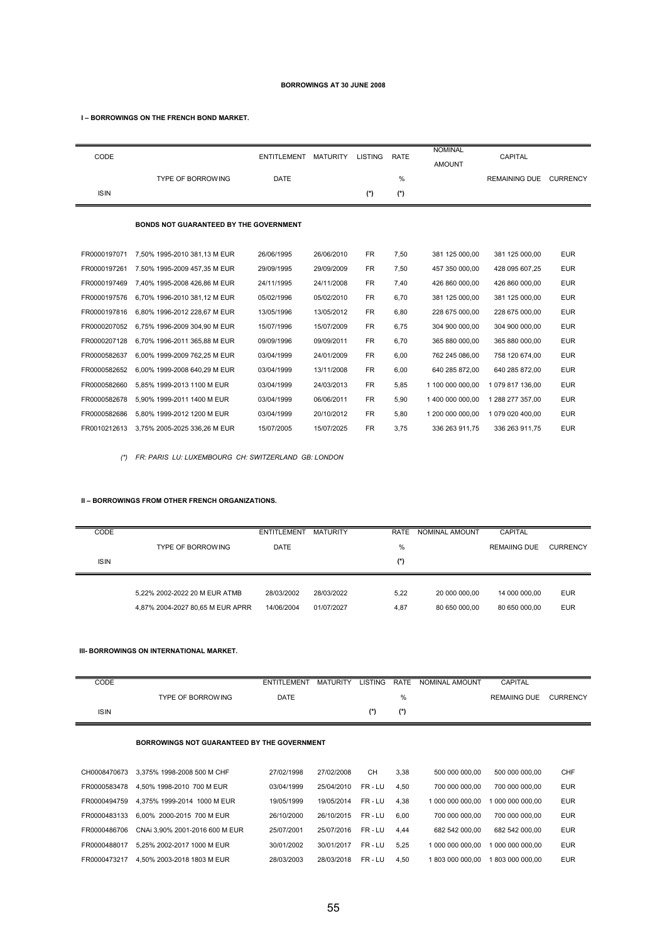#### **BORROWINGS AT 30 JUNE 2008**

**I – BORROWINGS ON THE FRENCH BOND MARKET.** 

| CODE<br><b>ISIN</b> | <b>TYPE OF BORROWING</b>                      | <b>ENTITLEMENT</b><br>DATE | <b>MATURITY</b> | <b>LISTING</b><br>$(*)$ | <b>RATE</b><br>$\frac{0}{0}$<br>$(*)$ | <b>NOMINAL</b><br><b>AMOUNT</b> | CAPITAL<br><b>REMAINING DUE</b> | <b>CURRENCY</b> |
|---------------------|-----------------------------------------------|----------------------------|-----------------|-------------------------|---------------------------------------|---------------------------------|---------------------------------|-----------------|
|                     | <b>BONDS NOT GUARANTEED BY THE GOVERNMENT</b> |                            |                 |                         |                                       |                                 |                                 |                 |
| FR0000197071        | 7,50% 1995-2010 381,13 M EUR                  | 26/06/1995                 | 26/06/2010      | <b>FR</b>               | 7,50                                  | 381 125 000,00                  | 381 125 000,00                  | <b>EUR</b>      |
| FR0000197261        | 7.50% 1995-2009 457.35 M EUR                  | 29/09/1995                 | 29/09/2009      | <b>FR</b>               | 7,50                                  | 457 350 000.00                  | 428 095 607.25                  | <b>EUR</b>      |
| FR0000197469        | 7,40% 1995-2008 426,86 M EUR                  | 24/11/1995                 | 24/11/2008      | <b>FR</b>               | 7,40                                  | 426 860 000,00                  | 426 860 000,00                  | <b>EUR</b>      |
| FR0000197576        | 6.70% 1996-2010 381.12 M EUR                  | 05/02/1996                 | 05/02/2010      | <b>FR</b>               | 6,70                                  | 381 125 000,00                  | 381 125 000,00                  | <b>EUR</b>      |
| FR0000197816        | 6,80% 1996-2012 228,67 M EUR                  | 13/05/1996                 | 13/05/2012      | <b>FR</b>               | 6,80                                  | 228 675 000,00                  | 228 675 000,00                  | <b>EUR</b>      |
| FR0000207052        | 6,75% 1996-2009 304,90 M EUR                  | 15/07/1996                 | 15/07/2009      | <b>FR</b>               | 6,75                                  | 304 900 000,00                  | 304 900 000,00                  | <b>EUR</b>      |
| FR0000207128        | 6.70% 1996-2011 365.88 M EUR                  | 09/09/1996                 | 09/09/2011      | <b>FR</b>               | 6.70                                  | 365 880 000,00                  | 365 880 000,00                  | <b>EUR</b>      |
| FR0000582637        | 6,00% 1999-2009 762,25 M EUR                  | 03/04/1999                 | 24/01/2009      | <b>FR</b>               | 6,00                                  | 762 245 086,00                  | 758 120 674,00                  | <b>EUR</b>      |
| FR0000582652        | 6.00% 1999-2008 640.29 M EUR                  | 03/04/1999                 | 13/11/2008      | <b>FR</b>               | 6,00                                  | 640 285 872.00                  | 640 285 872.00                  | <b>EUR</b>      |
| FR0000582660        | 5.85% 1999-2013 1100 M EUR                    | 03/04/1999                 | 24/03/2013      | <b>FR</b>               | 5,85                                  | 1 100 000 000,00                | 1079 817 136.00                 | <b>EUR</b>      |
| FR0000582678        | 5,90% 1999-2011 1400 M EUR                    | 03/04/1999                 | 06/06/2011      | <b>FR</b>               | 5,90                                  | 1 400 000 000,00                | 1 288 277 357,00                | <b>EUR</b>      |
| FR0000582686        | 5,80% 1999-2012 1200 M EUR                    | 03/04/1999                 | 20/10/2012      | <b>FR</b>               | 5,80                                  | 1 200 000 000,00                | 1 079 020 400,00                | <b>EUR</b>      |
| FR0010212613        | 3.75% 2005-2025 336.26 M EUR                  | 15/07/2005                 | 15/07/2025      | <b>FR</b>               | 3.75                                  | 336 263 911,75                  | 336 263 911,75                  | <b>EUR</b>      |

*(\*) FR: PARIS LU: LUXEMBOURG CH: SWITZERLAND GB: LONDON*

#### **II – BORROWINGS FROM OTHER FRENCH ORGANIZATIONS.**

| CODE        |                                  | <b>ENTITLEMENT</b> | <b>MATURITY</b> | RATE | NOMINAL AMOUNT | CAPITAL             |                 |
|-------------|----------------------------------|--------------------|-----------------|------|----------------|---------------------|-----------------|
|             | <b>TYPE OF BORROWING</b>         | <b>DATE</b>        |                 | %    |                | <b>REMAIING DUE</b> | <b>CURRENCY</b> |
| <b>ISIN</b> |                                  |                    |                 | (*)  |                |                     |                 |
|             |                                  |                    |                 |      |                |                     |                 |
|             | 5.22% 2002-2022 20 M EUR ATMB    | 28/03/2002         | 28/03/2022      | 5.22 | 20 000 000.00  | 14 000 000.00       | <b>EUR</b>      |
|             | 4,87% 2004-2027 80,65 M EUR APRR | 14/06/2004         | 01/07/2027      | 4,87 | 80 650 000.00  | 80 650 000.00       | <b>EUR</b>      |

#### **III- BORROWINGS ON INTERNATIONAL MARKET.**

| CODE        |                          | ENTITLEMENT | MATURITY | LISTING RATE |       | NOMINAL AMOUNT | CAPITAL             |                 |
|-------------|--------------------------|-------------|----------|--------------|-------|----------------|---------------------|-----------------|
|             | <b>TYPE OF BORROWING</b> | DATE        |          |              | %     |                | <b>REMAIING DUE</b> | <b>CURRENCY</b> |
| <b>ISIN</b> |                          |             |          |              | $(*)$ |                |                     |                 |

#### **BORROWINGS NOT GUARANTEED BY THE GOVERNMENT**

| CH0008470673 | 3.375% 1998-2008 500 M CHF     | 27/02/1998 | 27/02/2008 | <b>CH</b> | 3.38 | 500 000 000.00   | 500 000 000.00   | CHF        |
|--------------|--------------------------------|------------|------------|-----------|------|------------------|------------------|------------|
| FR0000583478 | 4.50% 1998-2010 700 M EUR      | 03/04/1999 | 25/04/2010 | FR-LU     | 4.50 | 700 000 000.00   | 700 000 000.00   | <b>EUR</b> |
| FR0000494759 | 4.375% 1999-2014 1000 M EUR    | 19/05/1999 | 19/05/2014 | FR-LU     | 4.38 | 1 000 000 000.00 | 1 000 000 000 00 | <b>EUR</b> |
| FR0000483133 | 6.00% 2000-2015 700 M EUR      | 26/10/2000 | 26/10/2015 | FR-LU     | 6.00 | 700 000 000.00   | 700 000 000.00   | <b>EUR</b> |
| FR0000486706 | CNAi 3.90% 2001-2016 600 M EUR | 25/07/2001 | 25/07/2016 | FR-LU     | 4.44 | 682 542 000.00   | 682 542 000.00   | <b>EUR</b> |
| FR0000488017 | 5.25% 2002-2017 1000 M EUR     | 30/01/2002 | 30/01/2017 | FR-LU     | 5.25 | 1 000 000 000 00 | 1 000 000 000 00 | <b>EUR</b> |
| FR0000473217 | 4.50% 2003-2018 1803 M EUR     | 28/03/2003 | 28/03/2018 | FR-LU     | 4.50 | 1 803 000 000 00 | 803 000 000.00   | <b>EUR</b> |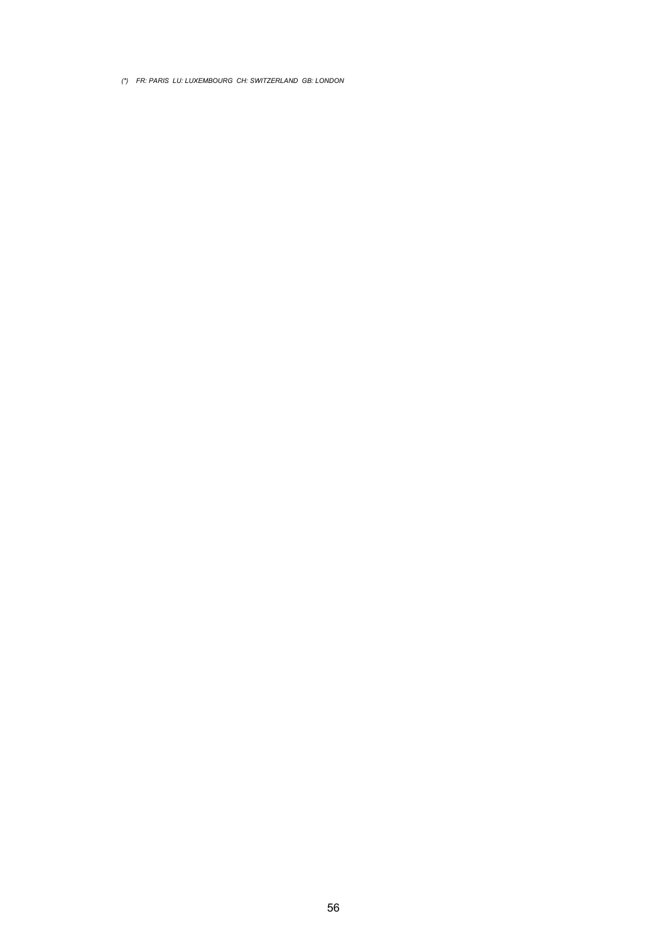*(\*) FR: PARIS LU: LUXEMBOURG CH: SWITZERLAND GB: LONDON*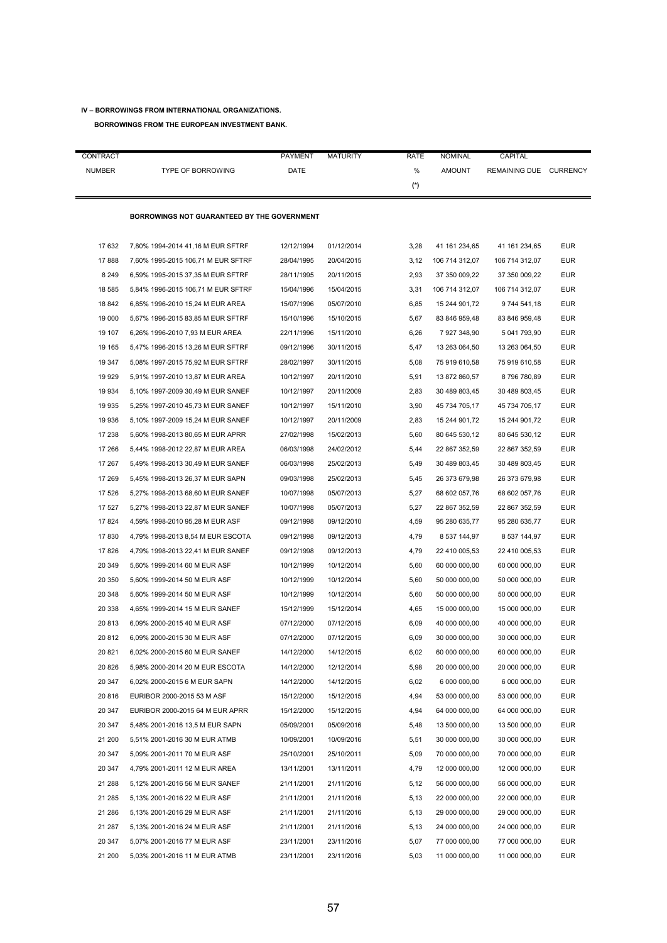# **IV – BORROWINGS FROM INTERNATIONAL ORGANIZATIONS.**

### **BORROWINGS FROM THE EUROPEAN INVESTMENT BANK.**

| CONTRACT      |                                             | <b>PAYMENT</b> | <b>MATURITY</b> | RATE | <b>NOMINAL</b> | CAPITAL                |            |
|---------------|---------------------------------------------|----------------|-----------------|------|----------------|------------------------|------------|
| <b>NUMBER</b> | <b>TYPE OF BORROWING</b>                    | DATE           |                 | %    | <b>AMOUNT</b>  | REMAINING DUE CURRENCY |            |
|               |                                             |                |                 | (*)  |                |                        |            |
|               |                                             |                |                 |      |                |                        |            |
|               | BORROWINGS NOT GUARANTEED BY THE GOVERNMENT |                |                 |      |                |                        |            |
|               |                                             |                |                 |      |                |                        |            |
| 17 632        | 7,80% 1994-2014 41,16 M EUR SFTRF           | 12/12/1994     | 01/12/2014      | 3,28 | 41 161 234,65  | 41 161 234,65          | <b>EUR</b> |
| 17888         | 7,60% 1995-2015 106,71 M EUR SFTRF          | 28/04/1995     | 20/04/2015      | 3,12 | 106 714 312,07 | 106 714 312,07         | <b>EUR</b> |
| 8 2 4 9       | 6,59% 1995-2015 37,35 M EUR SFTRF           | 28/11/1995     | 20/11/2015      | 2,93 | 37 350 009,22  | 37 350 009,22          | <b>EUR</b> |
| 18 585        | 5,84% 1996-2015 106,71 M EUR SFTRF          | 15/04/1996     | 15/04/2015      | 3,31 | 106 714 312,07 | 106 714 312,07         | <b>EUR</b> |
| 18 842        | 6,85% 1996-2010 15,24 M EUR AREA            | 15/07/1996     | 05/07/2010      | 6,85 | 15 244 901,72  | 9744 541,18            | <b>EUR</b> |
| 19 000        | 5,67% 1996-2015 83,85 M EUR SFTRF           | 15/10/1996     | 15/10/2015      | 5,67 | 83 846 959,48  | 83 846 959,48          | <b>EUR</b> |
| 19 107        | 6,26% 1996-2010 7,93 M EUR AREA             | 22/11/1996     | 15/11/2010      | 6,26 | 7 927 348,90   | 5 041 793,90           | <b>EUR</b> |
| 19 165        | 5,47% 1996-2015 13,26 M EUR SFTRF           | 09/12/1996     | 30/11/2015      | 5,47 | 13 263 064,50  | 13 263 064,50          | <b>EUR</b> |
| 19 347        | 5,08% 1997-2015 75,92 M EUR SFTRF           | 28/02/1997     | 30/11/2015      | 5,08 | 75 919 610,58  | 75 919 610,58          | <b>EUR</b> |
| 19 929        | 5,91% 1997-2010 13,87 M EUR AREA            | 10/12/1997     | 20/11/2010      | 5,91 | 13 872 860,57  | 8796780,89             | <b>EUR</b> |
| 19 934        | 5,10% 1997-2009 30,49 M EUR SANEF           | 10/12/1997     | 20/11/2009      | 2,83 | 30 489 803,45  | 30 489 803,45          | <b>EUR</b> |
| 19 935        | 5,25% 1997-2010 45,73 M EUR SANEF           | 10/12/1997     | 15/11/2010      | 3,90 | 45 734 705,17  | 45 734 705,17          | <b>EUR</b> |
| 19 936        | 5,10% 1997-2009 15,24 M EUR SANEF           | 10/12/1997     | 20/11/2009      | 2,83 | 15 244 901,72  | 15 244 901,72          | <b>EUR</b> |
| 17 238        | 5,60% 1998-2013 80,65 M EUR APRR            | 27/02/1998     | 15/02/2013      | 5,60 | 80 645 530,12  | 80 645 530,12          | <b>EUR</b> |
| 17 266        | 5,44% 1998-2012 22,87 M EUR AREA            | 06/03/1998     | 24/02/2012      | 5,44 | 22 867 352,59  | 22 867 352,59          | <b>EUR</b> |
| 17 267        | 5,49% 1998-2013 30,49 M EUR SANEF           | 06/03/1998     | 25/02/2013      | 5,49 | 30 489 803,45  | 30 489 803,45          | EUR        |
| 17 269        | 5,45% 1998-2013 26,37 M EUR SAPN            | 09/03/1998     | 25/02/2013      | 5,45 | 26 373 679,98  | 26 373 679,98          | <b>EUR</b> |
| 17 526        | 5,27% 1998-2013 68,60 M EUR SANEF           | 10/07/1998     | 05/07/2013      | 5,27 | 68 602 057,76  | 68 602 057,76          | <b>EUR</b> |
| 17 527        | 5,27% 1998-2013 22,87 M EUR SANEF           | 10/07/1998     | 05/07/2013      | 5,27 | 22 867 352,59  | 22 867 352,59          | EUR        |
| 17824         | 4,59% 1998-2010 95,28 M EUR ASF             | 09/12/1998     | 09/12/2010      | 4,59 | 95 280 635,77  | 95 280 635,77          | <b>EUR</b> |
| 17830         | 4,79% 1998-2013 8,54 M EUR ESCOTA           | 09/12/1998     | 09/12/2013      | 4,79 | 8 537 144,97   | 8 537 144,97           | <b>EUR</b> |
| 17826         | 4,79% 1998-2013 22,41 M EUR SANEF           | 09/12/1998     | 09/12/2013      | 4,79 | 22 410 005,53  | 22 410 005,53          | <b>EUR</b> |
| 20 349        | 5,60% 1999-2014 60 M EUR ASF                | 10/12/1999     | 10/12/2014      | 5,60 | 60 000 000,00  | 60 000 000,00          | <b>EUR</b> |
| 20 350        | 5,60% 1999-2014 50 M EUR ASF                | 10/12/1999     | 10/12/2014      | 5,60 | 50 000 000,00  | 50 000 000,00          | <b>EUR</b> |
| 20 348        | 5,60% 1999-2014 50 M EUR ASF                | 10/12/1999     | 10/12/2014      | 5,60 | 50 000 000,00  | 50 000 000,00          | <b>EUR</b> |
| 20 338        | 4,65% 1999-2014 15 M EUR SANEF              | 15/12/1999     | 15/12/2014      | 4,65 | 15 000 000,00  | 15 000 000,00          | EUR        |
| 20 813        | 6,09% 2000-2015 40 M EUR ASF                | 07/12/2000     | 07/12/2015      | 6,09 | 40 000 000,00  | 40 000 000,00          | <b>EUR</b> |
| 20 812        | 6,09% 2000-2015 30 M EUR ASF                | 07/12/2000     | 07/12/2015      | 6,09 | 30 000 000,00  | 30 000 000,00          | EUR        |
| 20 821        | 6,02% 2000-2015 60 M EUR SANEF              | 14/12/2000     | 14/12/2015      | 6,02 | 60 000 000,00  | 60 000 000,00          | <b>EUR</b> |
| 20 8 26       | 5,98% 2000-2014 20 M EUR ESCOTA             | 14/12/2000     | 12/12/2014      | 5,98 | 20 000 000,00  | 20 000 000,00          | <b>EUR</b> |
| 20 347        | 6,02% 2000-2015 6 M EUR SAPN                | 14/12/2000     | 14/12/2015      | 6,02 | 6 000 000,00   | 6 000 000,00           | <b>EUR</b> |
| 20 816        | EURIBOR 2000-2015 53 M ASF                  | 15/12/2000     | 15/12/2015      | 4,94 | 53 000 000,00  | 53 000 000,00          | <b>EUR</b> |
| 20 347        | EURIBOR 2000-2015 64 M EUR APRR             | 15/12/2000     | 15/12/2015      | 4,94 | 64 000 000,00  | 64 000 000,00          | <b>EUR</b> |
| 20 347        | 5,48% 2001-2016 13,5 M EUR SAPN             | 05/09/2001     | 05/09/2016      | 5,48 | 13 500 000,00  | 13 500 000,00          | <b>EUR</b> |
| 21 200        | 5,51% 2001-2016 30 M EUR ATMB               | 10/09/2001     | 10/09/2016      | 5,51 | 30 000 000,00  | 30 000 000,00          | <b>EUR</b> |
| 20 347        | 5,09% 2001-2011 70 M EUR ASF                | 25/10/2001     | 25/10/2011      | 5,09 | 70 000 000,00  | 70 000 000,00          | <b>EUR</b> |
| 20 347        | 4,79% 2001-2011 12 M EUR AREA               | 13/11/2001     | 13/11/2011      | 4,79 | 12 000 000,00  | 12 000 000,00          | <b>EUR</b> |
| 21 288        | 5,12% 2001-2016 56 M EUR SANEF              | 21/11/2001     | 21/11/2016      | 5,12 | 56 000 000,00  | 56 000 000,00          | <b>EUR</b> |
| 21 285        | 5,13% 2001-2016 22 M EUR ASF                | 21/11/2001     | 21/11/2016      | 5,13 | 22 000 000,00  | 22 000 000,00          | <b>EUR</b> |
| 21 286        | 5,13% 2001-2016 29 M EUR ASF                | 21/11/2001     | 21/11/2016      | 5,13 | 29 000 000,00  | 29 000 000,00          | <b>EUR</b> |
| 21 287        | 5,13% 2001-2016 24 M EUR ASF                | 21/11/2001     | 21/11/2016      | 5,13 | 24 000 000,00  | 24 000 000,00          | <b>EUR</b> |
| 20 347        | 5,07% 2001-2016 77 M EUR ASF                | 23/11/2001     | 23/11/2016      | 5,07 | 77 000 000,00  | 77 000 000,00          | <b>EUR</b> |
| 21 200        | 5,03% 2001-2016 11 M EUR ATMB               | 23/11/2001     | 23/11/2016      | 5,03 | 11 000 000,00  | 11 000 000,00          | <b>EUR</b> |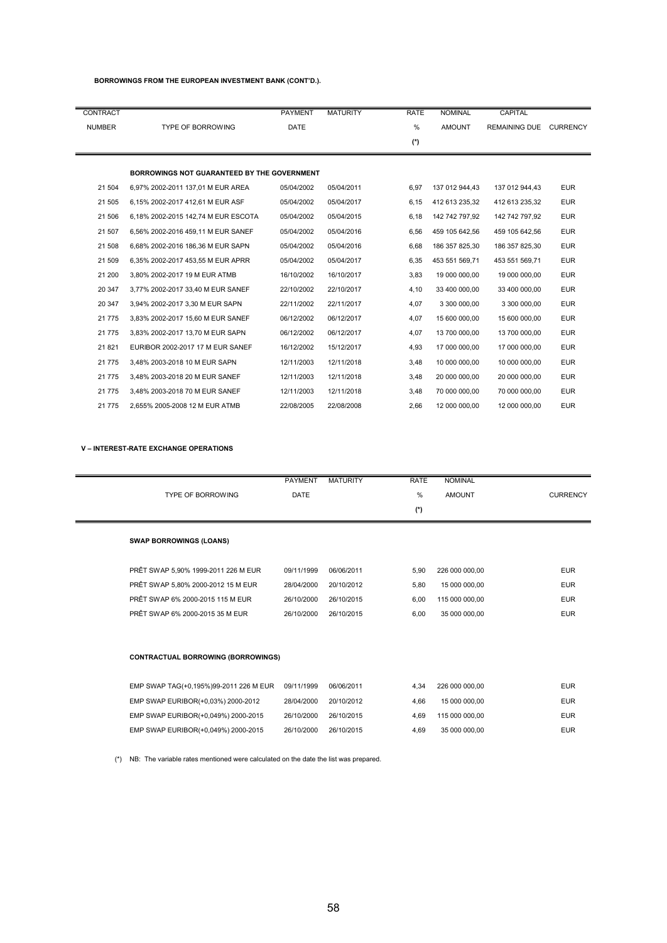### **BORROWINGS FROM THE EUROPEAN INVESTMENT BANK (CONT'D.).**

| CONTRACT      |                                             | <b>PAYMENT</b> | <b>MATURITY</b> | <b>RATE</b> | <b>NOMINAL</b> | <b>CAPITAL</b>       |                 |
|---------------|---------------------------------------------|----------------|-----------------|-------------|----------------|----------------------|-----------------|
| <b>NUMBER</b> | <b>TYPE OF BORROWING</b>                    | <b>DATE</b>    |                 | %           | <b>AMOUNT</b>  | <b>REMAINING DUE</b> | <b>CURRENCY</b> |
|               |                                             |                |                 | $(*)$       |                |                      |                 |
|               |                                             |                |                 |             |                |                      |                 |
|               | BORROWINGS NOT GUARANTEED BY THE GOVERNMENT |                |                 |             |                |                      |                 |
| 21 504        | 6,97% 2002-2011 137,01 M EUR AREA           | 05/04/2002     | 05/04/2011      | 6,97        | 137 012 944,43 | 137 012 944,43       | <b>EUR</b>      |
| 21 505        | 6,15% 2002-2017 412,61 M EUR ASF            | 05/04/2002     | 05/04/2017      | 6,15        | 412 613 235,32 | 412 613 235,32       | <b>EUR</b>      |
| 21 506        | 6.18% 2002-2015 142.74 M EUR ESCOTA         | 05/04/2002     | 05/04/2015      | 6.18        | 142 742 797.92 | 142 742 797.92       | <b>EUR</b>      |
| 21 507        | 6,56% 2002-2016 459,11 M EUR SANEF          | 05/04/2002     | 05/04/2016      | 6,56        | 459 105 642,56 | 459 105 642,56       | <b>EUR</b>      |
| 21 508        | 6.68% 2002-2016 186.36 M EUR SAPN           | 05/04/2002     | 05/04/2016      | 6,68        | 186 357 825.30 | 186 357 825,30       | <b>EUR</b>      |
| 21 509        | 6,35% 2002-2017 453,55 M EUR APRR           | 05/04/2002     | 05/04/2017      | 6,35        | 453 551 569,71 | 453 551 569,71       | <b>EUR</b>      |
| 21 200        | 3.80% 2002-2017 19 M EUR ATMB               | 16/10/2002     | 16/10/2017      | 3,83        | 19 000 000.00  | 19 000 000,00        | <b>EUR</b>      |
| 20 347        | 3,77% 2002-2017 33,40 M EUR SANEF           | 22/10/2002     | 22/10/2017      | 4,10        | 33 400 000,00  | 33 400 000,00        | <b>EUR</b>      |
| 20 347        | 3,94% 2002-2017 3,30 M EUR SAPN             | 22/11/2002     | 22/11/2017      | 4,07        | 3 300 000,00   | 3 300 000,00         | <b>EUR</b>      |
| 21 775        | 3,83% 2002-2017 15,60 M EUR SANEF           | 06/12/2002     | 06/12/2017      | 4,07        | 15 600 000,00  | 15 600 000,00        | <b>EUR</b>      |
| 21 775        | 3,83% 2002-2017 13,70 M EUR SAPN            | 06/12/2002     | 06/12/2017      | 4,07        | 13 700 000,00  | 13 700 000,00        | <b>EUR</b>      |
| 21 821        | EURIBOR 2002-2017 17 M EUR SANEF            | 16/12/2002     | 15/12/2017      | 4,93        | 17 000 000,00  | 17 000 000,00        | <b>EUR</b>      |
| 21 775        | 3,48% 2003-2018 10 M EUR SAPN               | 12/11/2003     | 12/11/2018      | 3,48        | 10 000 000,00  | 10 000 000,00        | <b>EUR</b>      |
| 21 7 7 5      | 3.48% 2003-2018 20 M EUR SANEF              | 12/11/2003     | 12/11/2018      | 3,48        | 20 000 000.00  | 20 000 000.00        | <b>EUR</b>      |
| 21 7 7 5      | 3,48% 2003-2018 70 M EUR SANEF              | 12/11/2003     | 12/11/2018      | 3,48        | 70 000 000.00  | 70 000 000,00        | <b>EUR</b>      |
| 21 7 7 5      | 2.655% 2005-2008 12 M EUR ATMB              | 22/08/2005     | 22/08/2008      | 2,66        | 12 000 000,00  | 12 000 000,00        | <b>EUR</b>      |
|               |                                             |                |                 |             |                |                      |                 |

### **V – INTEREST-RATE EXCHANGE OPERATIONS**

|                                           | <b>PAYMENT</b> | <b>MATURITY</b> | <b>RATE</b>   | <b>NOMINAL</b> |                 |
|-------------------------------------------|----------------|-----------------|---------------|----------------|-----------------|
| <b>TYPE OF BORROWING</b>                  | <b>DATE</b>    |                 | $\frac{0}{0}$ | <b>AMOUNT</b>  | <b>CURRENCY</b> |
|                                           |                |                 | $(*)$         |                |                 |
| <b>SWAP BORROWINGS (LOANS)</b>            |                |                 |               |                |                 |
| PRÊT SWAP 5,90% 1999-2011 226 M EUR       | 09/11/1999     | 06/06/2011      | 5,90          | 226 000 000,00 | <b>EUR</b>      |
| PRÊT SWAP 5,80% 2000-2012 15 M EUR        | 28/04/2000     | 20/10/2012      | 5,80          | 15 000 000,00  | <b>EUR</b>      |
| PRÊT SWAP 6% 2000-2015 115 M EUR          | 26/10/2000     | 26/10/2015      | 6.00          | 115 000 000,00 | <b>EUR</b>      |
| PRÊT SWAP 6% 2000-2015 35 M EUR           | 26/10/2000     | 26/10/2015      | 6.00          | 35 000 000,00  | <b>EUR</b>      |
| <b>CONTRACTUAL BORROWING (BORROWINGS)</b> |                |                 |               |                |                 |
| EMP SWAP TAG(+0,195%)99-2011 226 M EUR    | 09/11/1999     | 06/06/2011      | 4.34          | 226 000 000,00 | <b>EUR</b>      |
| EMP SWAP EURIBOR(+0,03%) 2000-2012        | 28/04/2000     | 20/10/2012      | 4,66          | 15 000 000,00  | <b>EUR</b>      |
| EMP SWAP EURIBOR(+0,049%) 2000-2015       | 26/10/2000     | 26/10/2015      | 4,69          | 115 000 000,00 | <b>EUR</b>      |
| EMP SWAP EURIBOR(+0,049%) 2000-2015       | 26/10/2000     | 26/10/2015      | 4,69          | 35 000 000,00  | <b>EUR</b>      |

(\*) NB: The variable rates mentioned were calculated on the date the list was prepared.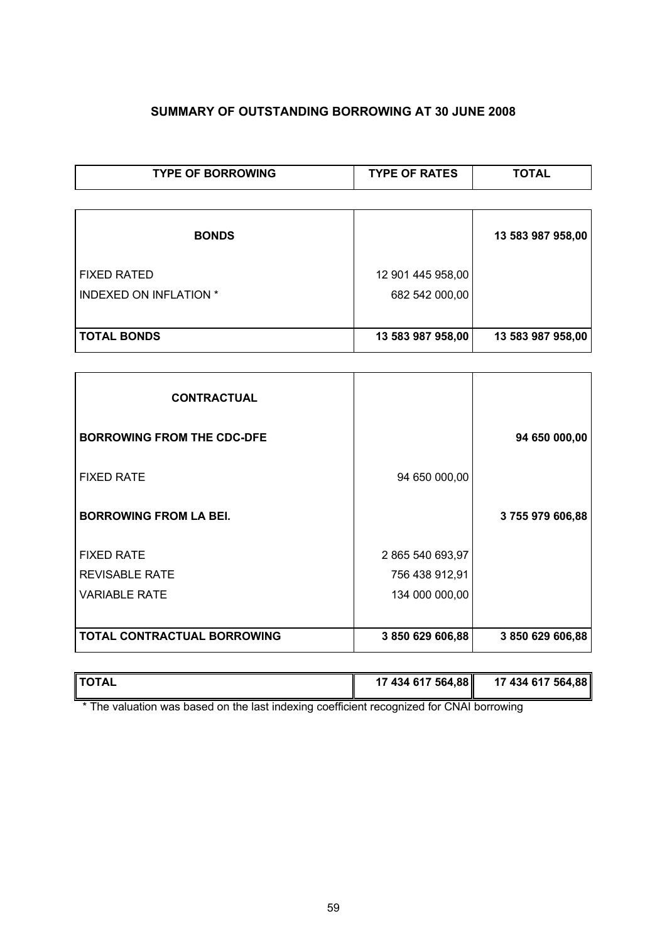# **SUMMARY OF OUTSTANDING BORROWING AT 30 JUNE 2008**

ヿ

| <b>TYPE OF BORROWING</b> | <b>TYPE OF RATES</b> |                   |
|--------------------------|----------------------|-------------------|
|                          |                      |                   |
| <b>BONDS</b>             |                      | 13 583 987 958,00 |
| <b>FIXED RATED</b>       | 12 901 445 958,00    |                   |
| INDEXED ON INFLATION *   | 682 542 000,00       |                   |
|                          |                      |                   |
| <b>TOTAL BONDS</b>       | 13 583 987 958,00    | 13 583 987 958,00 |

| <b>CONTRACTUAL</b>                |                  |                  |
|-----------------------------------|------------------|------------------|
| <b>BORROWING FROM THE CDC-DFE</b> |                  | 94 650 000,00    |
| <b>FIXED RATE</b>                 | 94 650 000,00    |                  |
| <b>BORROWING FROM LA BEI.</b>     |                  | 3755979606,88    |
| <b>FIXED RATE</b>                 | 2 865 540 693,97 |                  |
| <b>REVISABLE RATE</b>             | 756 438 912,91   |                  |
| <b>VARIABLE RATE</b>              | 134 000 000,00   |                  |
| TOTAL CONTRACTUAL BORROWING       | 3 850 629 606,88 | 3 850 629 606,88 |

| ∥TOTAL | 17 434 617 564,88 | 17 434 617 564,88 |
|--------|-------------------|-------------------|
| ___    | .                 |                   |

\* The valuation was based on the last indexing coefficient recognized for CNAI borrowing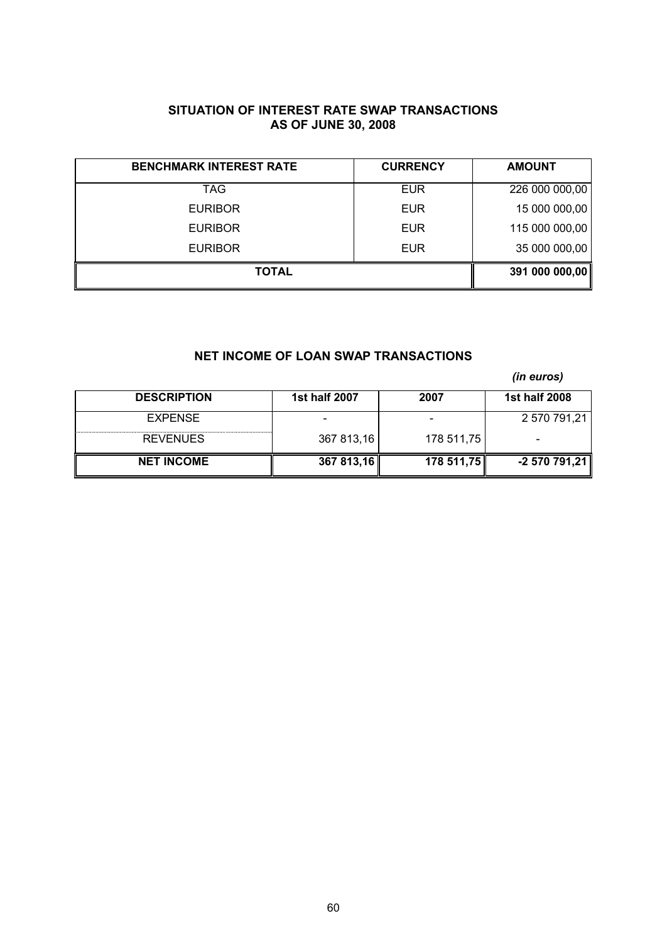# **SITUATION OF INTEREST RATE SWAP TRANSACTIONS AS OF JUNE 30, 2008**

| <b>BENCHMARK INTEREST RATE</b> | <b>CURRENCY</b> | <b>AMOUNT</b>  |
|--------------------------------|-----------------|----------------|
| TAG.                           | <b>EUR</b>      | 226 000 000,00 |
| <b>EURIBOR</b>                 | <b>EUR</b>      | 15 000 000,00  |
| <b>EURIBOR</b>                 | <b>EUR</b>      | 115 000 000,00 |
| <b>EURIBOR</b>                 | <b>EUR</b>      | 35 000 000,00  |
| <b>TOTAL</b>                   |                 | 391 000 000,00 |

# **NET INCOME OF LOAN SWAP TRANSACTIONS**

*(in euros)*

| <b>DESCRIPTION</b> | 1st half 2007 | 2007       | 1st half 2008 |
|--------------------|---------------|------------|---------------|
| <b>EXPENSE</b>     |               |            | 2 570 791,21  |
| <b>REVENUES</b>    | 367 813,16    | 178 511,75 |               |
| <b>NET INCOME</b>  | 367 813,16    | 178,511,75 | $-2570791,21$ |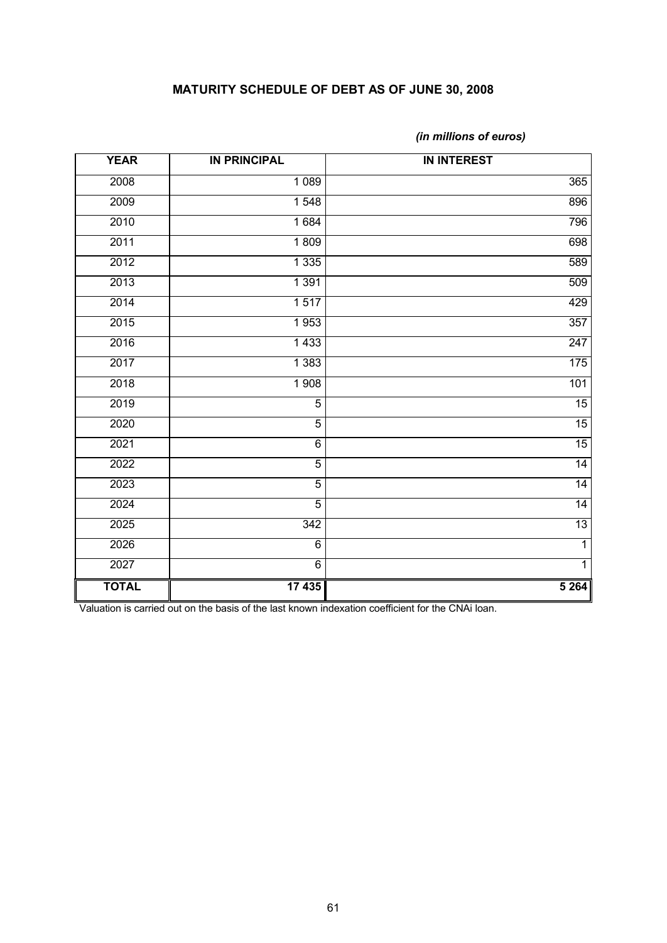# **MATURITY SCHEDULE OF DEBT AS OF JUNE 30, 2008**

| <b>YEAR</b>  | <b>IN PRINCIPAL</b> | <b>IN INTEREST</b> |
|--------------|---------------------|--------------------|
| 2008         | 1 0 8 9             | 365                |
| 2009         | $\overline{1}$ 548  | 896                |
| 2010         | 1684                | 796                |
| 2011         | 1809                | 698                |
| 2012         | 1 3 3 5             | 589                |
| 2013         | 1 3 9 1             | 509                |
| 2014         | 1517                | 429                |
| 2015         | 1953                | 357                |
| 2016         | 1433                | 247                |
| 2017         | 1 3 8 3             | 175                |
| 2018         | 1 908               | 101                |
| 2019         | $\overline{5}$      | 15                 |
| 2020         | $\overline{5}$      | 15                 |
| 2021         | 6                   | 15                 |
| 2022         | $\overline{5}$      | 14                 |
| 2023         | $\overline{5}$      | 14                 |
| 2024         | $\overline{5}$      | 14                 |
| 2025         | 342                 | 13                 |
| 2026         | 6                   | $\overline{1}$     |
| 2027         | $\overline{6}$      | $\overline{1}$     |
| <b>TOTAL</b> | $\overline{17435}$  | 5 2 64             |

*(in millions of euros)*

Valuation is carried out on the basis of the last known indexation coefficient for the CNAi loan.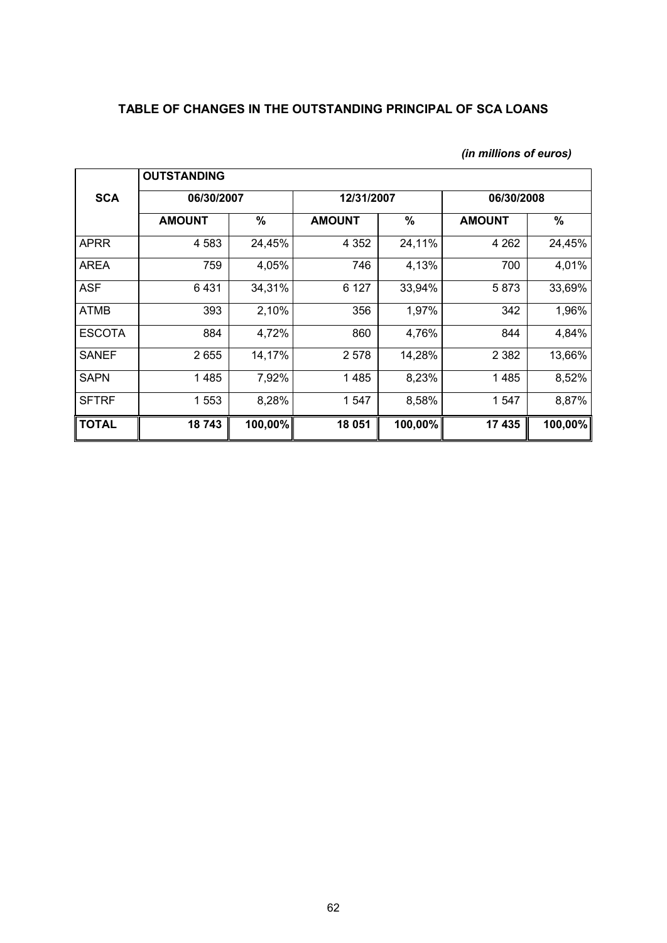# **TABLE OF CHANGES IN THE OUTSTANDING PRINCIPAL OF SCA LOANS**

|               | <b>OUTSTANDING</b> |         |               |               |               |         |
|---------------|--------------------|---------|---------------|---------------|---------------|---------|
| <b>SCA</b>    | 06/30/2007         |         | 12/31/2007    |               | 06/30/2008    |         |
|               | <b>AMOUNT</b>      | $\%$    | <b>AMOUNT</b> | $\frac{9}{6}$ | <b>AMOUNT</b> | $\%$    |
| <b>APRR</b>   | 4 5 8 3            | 24,45%  | 4 3 5 2       | 24,11%        | 4 2 6 2       | 24,45%  |
| <b>AREA</b>   | 759                | 4,05%   | 746           | 4,13%         | 700           | 4,01%   |
| <b>ASF</b>    | 6431               | 34,31%  | 6 1 2 7       | 33,94%        | 5873          | 33,69%  |
| <b>ATMB</b>   | 393                | 2,10%   | 356           | 1,97%         | 342           | 1,96%   |
| <b>ESCOTA</b> | 884                | 4,72%   | 860           | 4,76%         | 844           | 4,84%   |
| <b>SANEF</b>  | 2655               | 14,17%  | 2 5 7 8       | 14,28%        | 2 3 8 2       | 13,66%  |
| <b>SAPN</b>   | 1485               | 7,92%   | 1485          | 8,23%         | 1485          | 8,52%   |
| <b>SFTRF</b>  | 1 553              | 8,28%   | 1 547         | 8,58%         | 1 547         | 8,87%   |
| <b>TOTAL</b>  | 18743              | 100,00% | 18 051        | 100,00%       | 17 435        | 100,00% |

# *(in millions of euros)*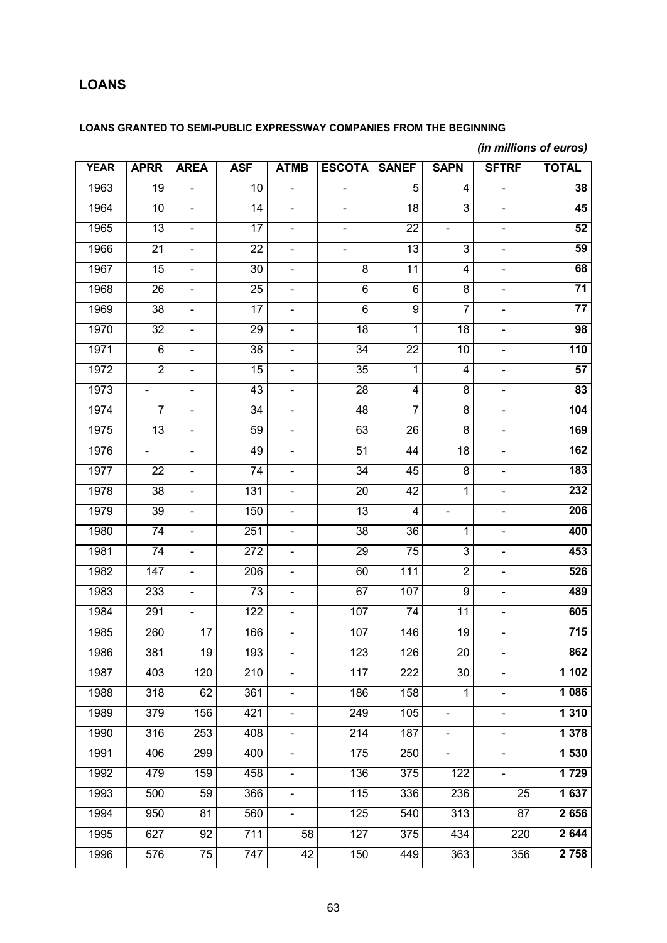# **LOANS**

# **LOANS GRANTED TO SEMI-PUBLIC EXPRESSWAY COMPANIES FROM THE BEGINNING**

# *(in millions of euros)*

| <b>YEAR</b> | <b>APRR</b>                  | <b>AREA</b>                  | <b>ASF</b>      | <b>ATMB</b>                  | <b>ESCOTA</b>                | <b>SANEF</b>    | <b>SAPN</b>                  | <b>SFTRF</b>                 | <b>TOTAL</b>    |
|-------------|------------------------------|------------------------------|-----------------|------------------------------|------------------------------|-----------------|------------------------------|------------------------------|-----------------|
| 1963        | 19                           | $\blacksquare$               | 10              | $\frac{1}{2}$                | $\qquad \qquad \blacksquare$ | 5               | 4                            | $\frac{1}{2}$                | 38              |
| 1964        | 10                           | $\blacksquare$               | 14              | $\frac{1}{2}$                | $\overline{\phantom{0}}$     | $\overline{18}$ | $\overline{3}$               | $\overline{\phantom{0}}$     | 45              |
| 1965        | $\overline{13}$              | $\blacksquare$               | $\overline{17}$ | $\frac{1}{2}$                | $\qquad \qquad \blacksquare$ | $\overline{22}$ | $\qquad \qquad \blacksquare$ | $\frac{1}{2}$                | 52              |
| 1966        | $\overline{21}$              | $\blacksquare$               | $\overline{22}$ | $\frac{1}{2}$                | $\qquad \qquad \blacksquare$ | 13              | 3                            | $\overline{\phantom{0}}$     | 59              |
| 1967        | $\overline{15}$              | $\blacksquare$               | $\overline{30}$ | $\frac{1}{2}$                | $\overline{\infty}$          | 11              | 4                            | $\frac{1}{2}$                | 68              |
| 1968        | $\overline{26}$              | $\blacksquare$               | $\overline{25}$ | $\frac{1}{2}$                | $\overline{6}$               | $\overline{6}$  | $\overline{8}$               | $\frac{1}{2}$                | $\overline{71}$ |
| 1969        | $\overline{38}$              | $\blacksquare$               | $\overline{17}$ | $\frac{1}{2}$                | $\overline{6}$               | $\overline{9}$  | 7                            | $\frac{1}{2}$                | $\overline{77}$ |
| 1970        | $\overline{32}$              | $\blacksquare$               | 29              | $\frac{1}{2}$                | 18                           | 1               | $\overline{18}$              | $\qquad \qquad \blacksquare$ | 98              |
| 1971        | $\overline{6}$               | $\blacksquare$               | $\overline{38}$ | $\frac{1}{2}$                | 34                           | $\overline{22}$ | 10                           | $\blacksquare$               | 110             |
| 1972        | $\overline{2}$               | $\qquad \qquad \blacksquare$ | 15              | $\frac{1}{2}$                | $\overline{35}$              | 1               | $\overline{4}$               | $\qquad \qquad \blacksquare$ | 57              |
| 1973        | $\qquad \qquad \blacksquare$ | $\blacksquare$               | 43              | $\frac{1}{2}$                | 28                           | $\overline{4}$  | $\overline{8}$               | $\frac{1}{2}$                | 83              |
| 1974        | 7                            | $\blacksquare$               | 34              | $\frac{1}{2}$                | 48                           | 7               | $\overline{8}$               | $\qquad \qquad \blacksquare$ | 104             |
| 1975        | $\overline{13}$              | $\blacksquare$               | 59              | $\frac{1}{2}$                | 63                           | $\overline{26}$ | $\overline{8}$               | $\frac{1}{2}$                | 169             |
| 1976        | $\qquad \qquad \blacksquare$ | $\blacksquare$               | 49              | $\frac{1}{2}$                | 51                           | 44              | $\overline{18}$              | $\qquad \qquad \blacksquare$ | 162             |
| 1977        | $\overline{22}$              | $\blacksquare$               | $\overline{74}$ | $\frac{1}{2}$                | 34                           | 45              | $\overline{8}$               | $\blacksquare$               | 183             |
| 1978        | 38                           | $\blacksquare$               | 131             | $\frac{1}{2}$                | $\overline{20}$              | 42              | 1                            | $\qquad \qquad \blacksquare$ | 232             |
| 1979        | 39                           | $\blacksquare$               | 150             | $\frac{1}{2}$                | 13                           | 4               | $\blacksquare$               | $\frac{1}{2}$                | 206             |
| 1980        | $\overline{74}$              | $\blacksquare$               | 251             | $\frac{1}{2}$                | $\overline{38}$              | 36              | 1                            | $\qquad \qquad \blacksquare$ | 400             |
| 1981        | $\overline{74}$              | $\blacksquare$               | 272             | $\frac{1}{2}$                | 29                           | $\overline{75}$ | $\overline{3}$               | $\frac{1}{2}$                | 453             |
| 1982        | $\overline{147}$             | $\blacksquare$               | 206             | $\frac{1}{2}$                | 60                           | 111             | $\overline{2}$               | $\qquad \qquad \blacksquare$ | 526             |
| 1983        | 233                          | $\blacksquare$               | $\overline{73}$ | $\frac{1}{2}$                | 67                           | 107             | $\overline{9}$               | $\blacksquare$               | 489             |
| 1984        | 291                          | $\blacksquare$               | 122             | $\frac{1}{2}$                | 107                          | $\overline{74}$ | $\overline{11}$              | $\qquad \qquad \blacksquare$ | 605             |
| 1985        | 260                          | $\overline{17}$              | 166             | $\frac{1}{2}$                | 107                          | 146             | $\overline{19}$              | $\blacksquare$               | 715             |
| 1986        | 381                          | 19                           | 193             | $\frac{1}{2}$                | 123                          | 126             | 20                           | $\frac{1}{2}$                | 862             |
| 1987        | 403                          | 120                          | 210             | $\blacksquare$               | 117                          | 222             | $\overline{30}$              | $\frac{1}{2}$                | 1 1 0 2         |
| 1988        | 318                          | 62                           | 361             | $\frac{1}{2}$                | 186                          | 158             | 1                            | $\overline{\phantom{0}}$     | 1 0 8 6         |
| 1989        | 379                          | 156                          | 421             | $\frac{1}{2}$                | 249                          | 105             | $\blacksquare$               | $\overline{\phantom{0}}$     | 1 3 1 0         |
| 1990        | 316                          | 253                          | 408             | $\qquad \qquad \blacksquare$ | 214                          | 187             | $\blacksquare$               | $\blacksquare$               | 1378            |
| 1991        | 406                          | 299                          | 400             | $\frac{1}{2}$                | 175                          | 250             | $\blacksquare$               | $\frac{1}{2}$                | 1 530           |
| 1992        | 479                          | 159                          | 458             | $\qquad \qquad \blacksquare$ | $\overline{136}$             | 375             | $\overline{122}$             | $\overline{\phantom{0}}$     | 1729            |
| 1993        | 500                          | 59                           | 366             | $\qquad \qquad \blacksquare$ | 115                          | 336             | 236                          | $\overline{25}$              | 1 637           |
| 1994        | 950                          | $\overline{81}$              | 560             | $\overline{\phantom{0}}$     | 125                          | 540             | 313                          | 87                           | 2656            |
| 1995        | 627                          | 92                           | 711             | 58                           | 127                          | 375             | 434                          | 220                          | 2 644           |
| 1996        | 576                          | $\overline{75}$              | 747             | 42                           | 150                          | 449             | 363                          | 356                          | 2 7 5 8         |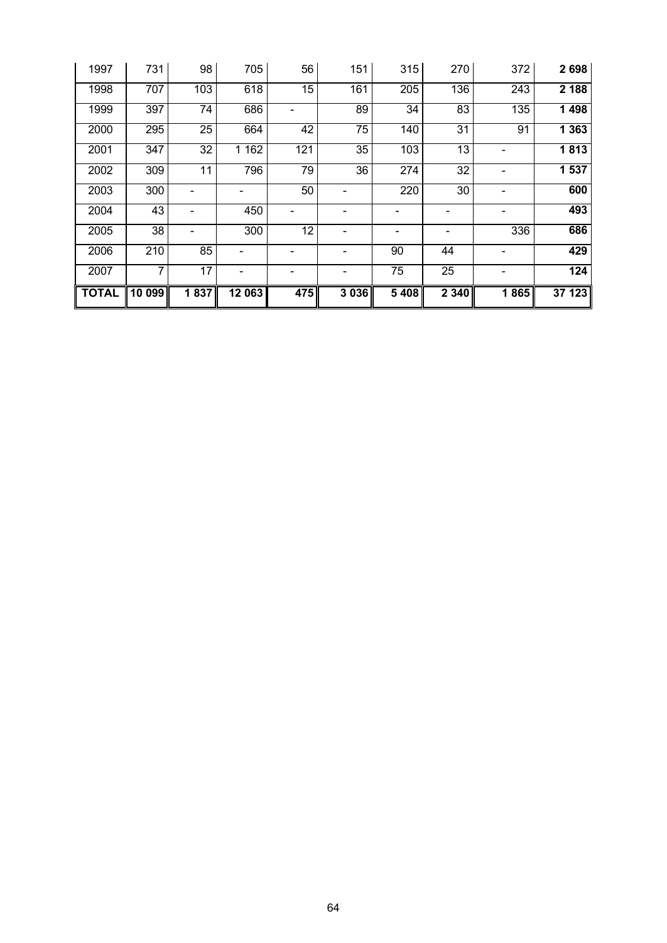| 1997         | 731                | 98              | 705                 | 56  | 151             | 315     | 270             | 372  | 2698    |
|--------------|--------------------|-----------------|---------------------|-----|-----------------|---------|-----------------|------|---------|
| 1998         | 707                | 103             | 618                 | 15  | 161             | 205     | 136             | 243  | 2 1 8 8 |
| 1999         | 397                | 74              | 686                 |     | 89              | 34      | 83              | 135  | 1 4 9 8 |
| 2000         | 295                | $\overline{25}$ | 664                 | 42  | $\overline{75}$ | 140     | $\overline{31}$ | 91   | 1 3 6 3 |
| 2001         | 347                | 32              | 1 1 6 2             | 121 | 35              | 103     | 13              | -    | 1813    |
| 2002         | 309                | 11              | 796                 | 79  | 36              | 274     | 32              | -    | 1 537   |
| 2003         | 300                |                 |                     | 50  |                 | 220     | 30              | -    | 600     |
| 2004         | 43                 |                 | 450                 |     |                 |         |                 |      | 493     |
| 2005         | 38                 |                 | 300                 | 12  |                 |         |                 | 336  | 686     |
| 2006         | 210                | 85              |                     |     |                 | 90      | 44              |      | 429     |
| 2007         | 7                  | $\overline{17}$ |                     |     |                 | 75      | 25              |      | 124     |
| <b>TOTAL</b> | $\overline{10099}$ | 1837            | $\overline{12}$ 063 | 475 | 3 0 3 6         | 5 4 0 8 | $\sqrt{2340}$   | 1865 | 37 123  |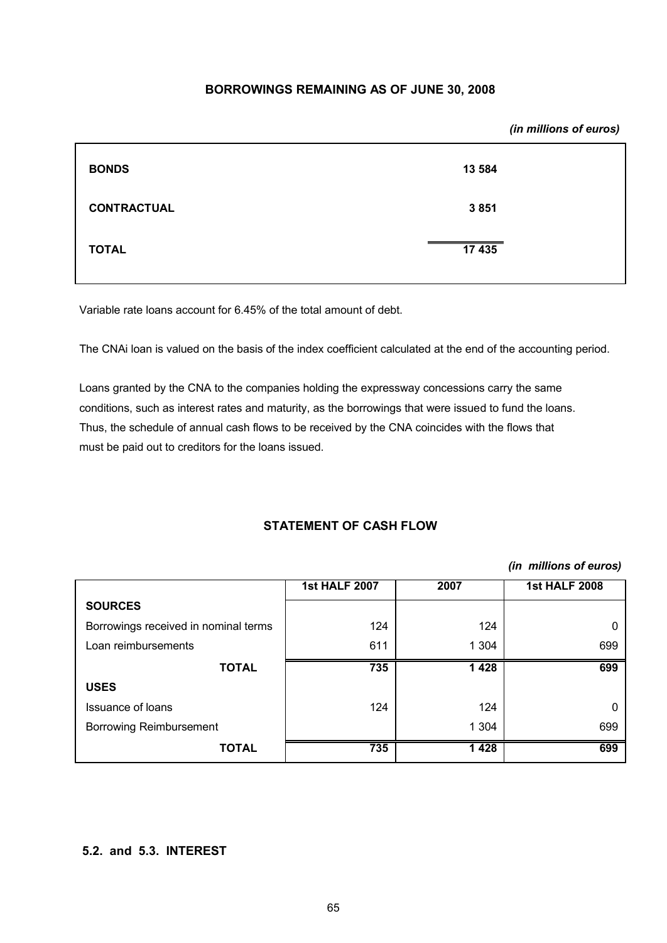# **BORROWINGS REMAINING AS OF JUNE 30, 2008**

|                    | (in millions of euros) |
|--------------------|------------------------|
| <b>BONDS</b>       | 13 5 84                |
| <b>CONTRACTUAL</b> | 3851                   |
| <b>TOTAL</b>       | 17 435                 |
|                    |                        |

Variable rate loans account for 6.45% of the total amount of debt.

The CNAi loan is valued on the basis of the index coefficient calculated at the end of the accounting period.

Loans granted by the CNA to the companies holding the expressway concessions carry the same conditions, such as interest rates and maturity, as the borrowings that were issued to fund the loans. Thus, the schedule of annual cash flows to be received by the CNA coincides with the flows that must be paid out to creditors for the loans issued.

# **STATEMENT OF CASH FLOW**

# *(in millions of euros)*

|                                      | <b>1st HALF 2007</b> | 2007    | <b>1st HALF 2008</b> |
|--------------------------------------|----------------------|---------|----------------------|
| <b>SOURCES</b>                       |                      |         |                      |
| Borrowings received in nominal terms | 124                  | 124     |                      |
| Loan reimbursements                  | 611                  | 1 304   | 699                  |
| <b>TOTAL</b>                         | 735                  | 1428    | 699                  |
| <b>USES</b>                          |                      |         |                      |
| Issuance of loans                    | 124                  | 124     |                      |
| <b>Borrowing Reimbursement</b>       |                      | 1 3 0 4 | 699                  |
| <b>TOTAL</b>                         | 735                  | 1428    | 699                  |

# **5.2. and 5.3. INTEREST**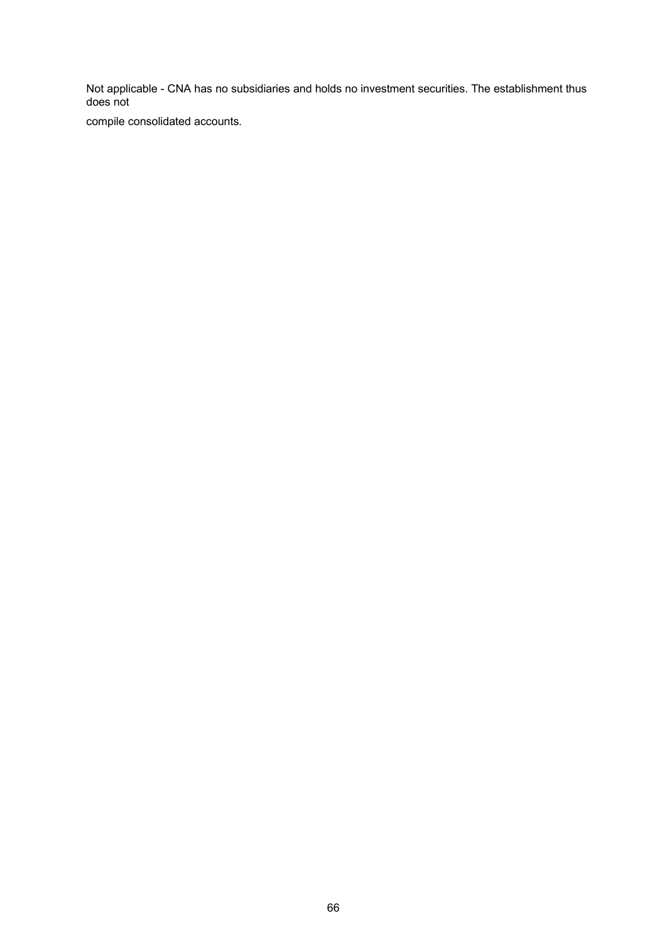Not applicable - CNA has no subsidiaries and holds no investment securities. The establishment thus does not

compile consolidated accounts.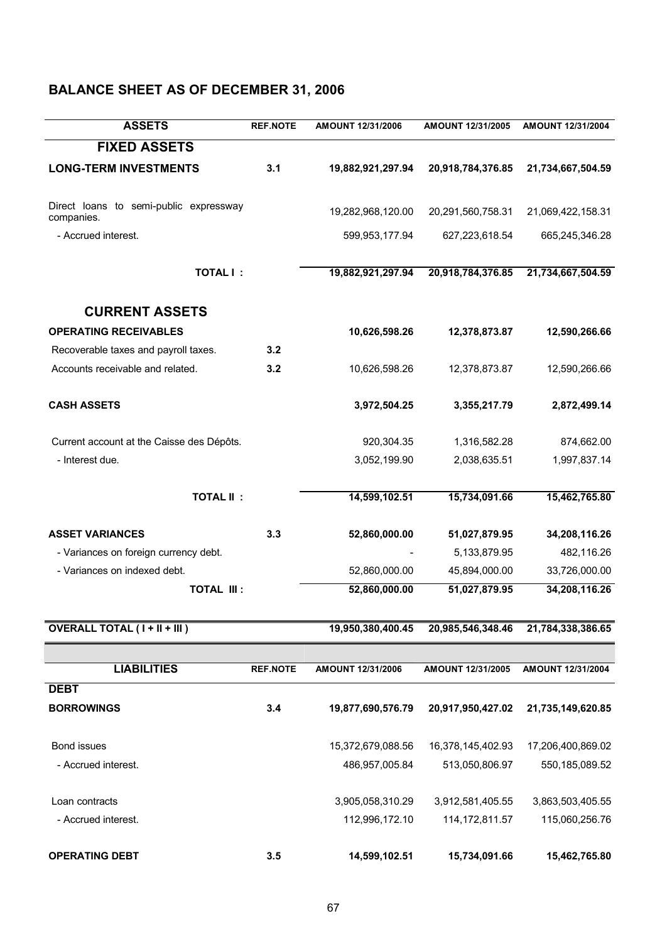# **BALANCE SHEET AS OF DECEMBER 31, 2006**

| <b>ASSETS</b>                                        | <b>REF.NOTE</b> | AMOUNT 12/31/2006 | AMOUNT 12/31/2005 | AMOUNT 12/31/2004 |
|------------------------------------------------------|-----------------|-------------------|-------------------|-------------------|
| <b>FIXED ASSETS</b>                                  |                 |                   |                   |                   |
| <b>LONG-TERM INVESTMENTS</b>                         | 3.1             | 19,882,921,297.94 | 20,918,784,376.85 | 21,734,667,504.59 |
| Direct loans to semi-public expressway<br>companies. |                 | 19,282,968,120.00 | 20,291,560,758.31 | 21,069,422,158.31 |
| - Accrued interest.                                  |                 | 599,953,177.94    | 627,223,618.54    | 665,245,346.28    |
| <b>TOTAL I:</b>                                      |                 | 19,882,921,297.94 | 20,918,784,376.85 | 21,734,667,504.59 |
| <b>CURRENT ASSETS</b>                                |                 |                   |                   |                   |
| <b>OPERATING RECEIVABLES</b>                         |                 | 10,626,598.26     | 12,378,873.87     | 12,590,266.66     |
| Recoverable taxes and payroll taxes.                 | 3.2             |                   |                   |                   |
| Accounts receivable and related.                     | 3.2             | 10,626,598.26     | 12,378,873.87     | 12,590,266.66     |
| <b>CASH ASSETS</b>                                   |                 | 3,972,504.25      | 3,355,217.79      | 2,872,499.14      |
| Current account at the Caisse des Dépôts.            |                 | 920,304.35        | 1,316,582.28      | 874,662.00        |
| - Interest due.                                      |                 | 3,052,199.90      | 2,038,635.51      | 1,997,837.14      |
| <b>TOTAL II:</b>                                     |                 | 14,599,102.51     | 15,734,091.66     | 15,462,765.80     |
| <b>ASSET VARIANCES</b>                               | 3.3             | 52,860,000.00     | 51,027,879.95     | 34,208,116.26     |
| - Variances on foreign currency debt.                |                 |                   | 5,133,879.95      | 482,116.26        |
| - Variances on indexed debt.                         |                 | 52,860,000.00     | 45,894,000.00     | 33,726,000.00     |
| <b>TOTAL III:</b>                                    |                 | 52,860,000.00     | 51,027,879.95     | 34,208,116.26     |
| <b>OVERALL TOTAL (I + II + III)</b>                  |                 | 19,950,380,400.45 | 20,985,546,348.46 | 21,784,338,386.65 |
|                                                      |                 |                   |                   |                   |
| <b>LIABILITIES</b>                                   | <b>REF.NOTE</b> | AMOUNT 12/31/2006 | AMOUNT 12/31/2005 | AMOUNT 12/31/2004 |
| <b>DEBT</b>                                          |                 |                   |                   |                   |
| <b>BORROWINGS</b>                                    | 3.4             | 19,877,690,576.79 | 20,917,950,427.02 | 21,735,149,620.85 |
| Bond issues                                          |                 | 15,372,679,088.56 | 16,378,145,402.93 | 17,206,400,869.02 |
| - Accrued interest.                                  |                 | 486,957,005.84    | 513,050,806.97    | 550, 185, 089.52  |
| Loan contracts                                       |                 | 3,905,058,310.29  | 3,912,581,405.55  | 3,863,503,405.55  |
| - Accrued interest.                                  |                 | 112,996,172.10    | 114, 172, 811.57  | 115,060,256.76    |
| <b>OPERATING DEBT</b>                                | 3.5             | 14,599,102.51     | 15,734,091.66     | 15,462,765.80     |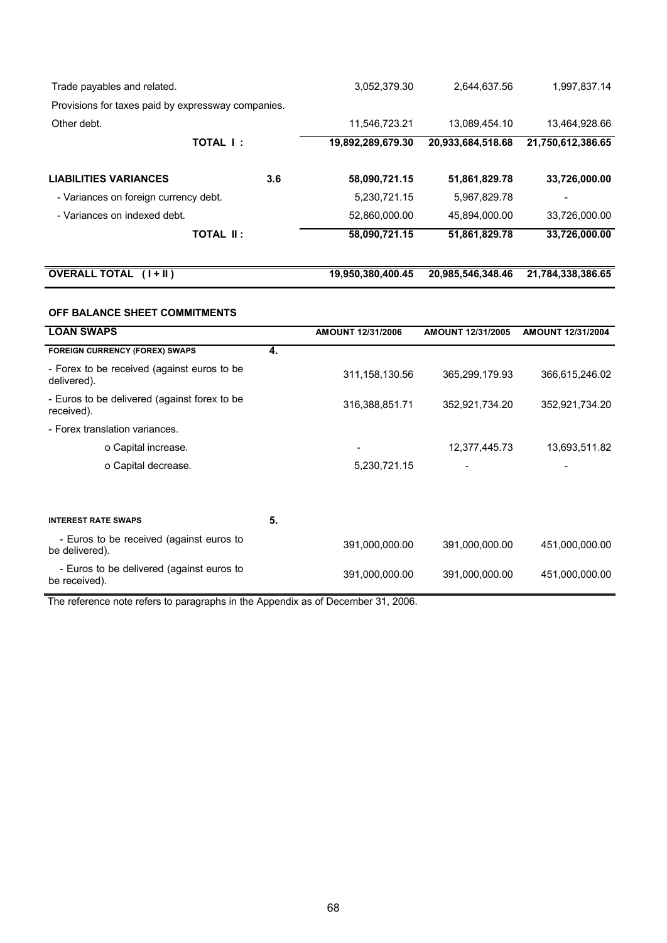| Trade payables and related.                        |                  | 3,052,379.30      | 2,644,637.56      | 1,997,837.14      |
|----------------------------------------------------|------------------|-------------------|-------------------|-------------------|
| Provisions for taxes paid by expressway companies. |                  |                   |                   |                   |
| Other debt.                                        |                  | 11,546,723.21     | 13,089,454.10     | 13,464,928.66     |
|                                                    | TOTAL I:         | 19,892,289,679.30 | 20,933,684,518.68 | 21,750,612,386.65 |
| <b>LIABILITIES VARIANCES</b>                       | 3.6              | 58,090,721.15     | 51,861,829.78     | 33,726,000.00     |
| - Variances on foreign currency debt.              |                  | 5,230,721.15      | 5,967,829.78      |                   |
| - Variances on indexed debt.                       |                  | 52,860,000.00     | 45.894.000.00     | 33.726.000.00     |
|                                                    | <b>TOTAL II:</b> | 58,090,721.15     | 51,861,829.78     | 33,726,000.00     |
|                                                    |                  |                   |                   |                   |

**OVERALL TOTAL ( I + II ) 19,950,380,400.45 20,985,546,348.46 21,784,338,386.65**

# **OFF BALANCE SHEET COMMITMENTS**

| <b>LOAN SWAPS</b>                                          |    | AMOUNT 12/31/2006 | AMOUNT 12/31/2005 | AMOUNT 12/31/2004 |
|------------------------------------------------------------|----|-------------------|-------------------|-------------------|
| <b>FOREIGN CURRENCY (FOREX) SWAPS</b>                      | 4. |                   |                   |                   |
| - Forex to be received (against euros to be<br>delivered). |    | 311, 158, 130.56  | 365,299,179.93    | 366,615,246.02    |
| - Euros to be delivered (against forex to be<br>received). |    | 316,388,851.71    | 352,921,734.20    | 352,921,734.20    |
| - Forex translation variances.                             |    |                   |                   |                   |
| o Capital increase.                                        |    |                   | 12,377,445.73     | 13,693,511.82     |
| o Capital decrease.                                        |    | 5,230,721.15      |                   |                   |
|                                                            |    |                   |                   |                   |
| <b>INTEREST RATE SWAPS</b>                                 | 5. |                   |                   |                   |
| - Euros to be received (against euros to<br>be delivered). |    | 391,000,000.00    | 391,000,000.00    | 451,000,000.00    |
| - Euros to be delivered (against euros to<br>be received). |    | 391,000,000.00    | 391,000,000.00    | 451,000,000.00    |

The reference note refers to paragraphs in the Appendix as of December 31, 2006.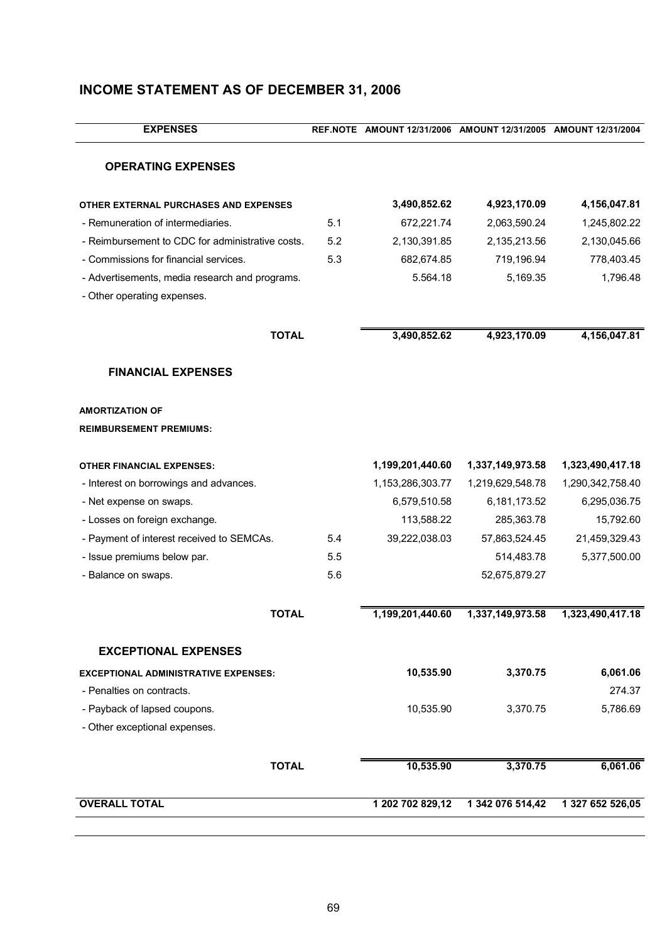| <b>EXPENSES</b>                                  |     | REF.NOTE AMOUNT 12/31/2006 AMOUNT 12/31/2005 AMOUNT 12/31/2004 |                  |                  |
|--------------------------------------------------|-----|----------------------------------------------------------------|------------------|------------------|
| <b>OPERATING EXPENSES</b>                        |     |                                                                |                  |                  |
| OTHER EXTERNAL PURCHASES AND EXPENSES            |     | 3,490,852.62                                                   | 4,923,170.09     | 4,156,047.81     |
| - Remuneration of intermediaries.                | 5.1 | 672,221.74                                                     | 2,063,590.24     | 1,245,802.22     |
| - Reimbursement to CDC for administrative costs. | 5.2 | 2,130,391.85                                                   | 2,135,213.56     | 2,130,045.66     |
| - Commissions for financial services.            | 5.3 | 682,674.85                                                     | 719,196.94       | 778,403.45       |
| - Advertisements, media research and programs.   |     | 5.564.18                                                       | 5,169.35         | 1,796.48         |
| - Other operating expenses.                      |     |                                                                |                  |                  |
| <b>TOTAL</b>                                     |     | 3,490,852.62                                                   | 4,923,170.09     | 4,156,047.81     |
| <b>FINANCIAL EXPENSES</b>                        |     |                                                                |                  |                  |
| <b>AMORTIZATION OF</b>                           |     |                                                                |                  |                  |
| <b>REIMBURSEMENT PREMIUMS:</b>                   |     |                                                                |                  |                  |
| <b>OTHER FINANCIAL EXPENSES:</b>                 |     | 1,199,201,440.60                                               | 1,337,149,973.58 | 1,323,490,417.18 |
| - Interest on borrowings and advances.           |     | 1,153,286,303.77                                               | 1,219,629,548.78 | 1,290,342,758.40 |
| - Net expense on swaps.                          |     | 6,579,510.58                                                   | 6,181,173.52     | 6,295,036.75     |
| - Losses on foreign exchange.                    |     | 113,588.22                                                     | 285,363.78       | 15,792.60        |
| - Payment of interest received to SEMCAs.        | 5.4 | 39,222,038.03                                                  | 57,863,524.45    | 21,459,329.43    |
| - Issue premiums below par.                      | 5.5 |                                                                | 514,483.78       | 5,377,500.00     |
| - Balance on swaps.                              | 5.6 |                                                                | 52,675,879.27    |                  |
| <b>TOTAL</b>                                     |     | 1,199,201,440.60                                               | 1,337,149,973.58 | 1,323,490,417.18 |
| <b>EXCEPTIONAL EXPENSES</b>                      |     |                                                                |                  |                  |
| <b>EXCEPTIONAL ADMINISTRATIVE EXPENSES:</b>      |     | 10,535.90                                                      | 3,370.75         | 6,061.06         |
| - Penalties on contracts.                        |     |                                                                |                  | 274.37           |
| - Payback of lapsed coupons.                     |     | 10,535.90                                                      | 3,370.75         | 5,786.69         |
| - Other exceptional expenses.                    |     |                                                                |                  |                  |
| <b>TOTAL</b>                                     |     | 10,535.90                                                      | 3,370.75         | 6,061.06         |
| <b>OVERALL TOTAL</b>                             |     | 1 202 702 829,12                                               | 1 342 076 514,42 | 1 327 652 526,05 |
|                                                  |     |                                                                |                  |                  |

# **INCOME STATEMENT AS OF DECEMBER 31, 2006**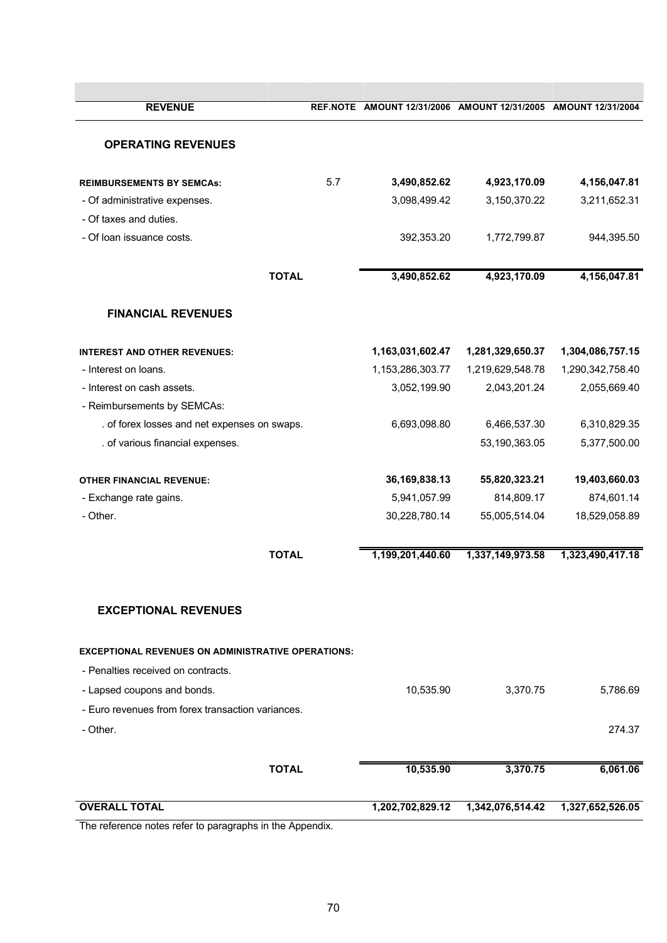| <b>REVENUE</b>                                            |     | REF.NOTE AMOUNT 12/31/2006 AMOUNT 12/31/2005 AMOUNT 12/31/2004 |                  |                  |
|-----------------------------------------------------------|-----|----------------------------------------------------------------|------------------|------------------|
| <b>OPERATING REVENUES</b>                                 |     |                                                                |                  |                  |
|                                                           |     |                                                                |                  |                  |
| <b>REIMBURSEMENTS BY SEMCAS:</b>                          | 5.7 | 3,490,852.62                                                   | 4,923,170.09     | 4,156,047.81     |
| - Of administrative expenses.                             |     | 3,098,499.42                                                   | 3,150,370.22     | 3,211,652.31     |
| - Of taxes and duties.                                    |     |                                                                |                  |                  |
| - Of loan issuance costs.                                 |     | 392,353.20                                                     | 1,772,799.87     | 944,395.50       |
| <b>TOTAL</b>                                              |     | 3,490,852.62                                                   | 4,923,170.09     | 4,156,047.81     |
|                                                           |     |                                                                |                  |                  |
| <b>FINANCIAL REVENUES</b>                                 |     |                                                                |                  |                  |
| <b>INTEREST AND OTHER REVENUES:</b>                       |     | 1,163,031,602.47                                               | 1,281,329,650.37 | 1,304,086,757.15 |
| - Interest on loans.                                      |     | 1,153,286,303.77                                               | 1,219,629,548.78 | 1,290,342,758.40 |
| - Interest on cash assets.                                |     | 3,052,199.90                                                   | 2,043,201.24     | 2,055,669.40     |
| - Reimbursements by SEMCAs:                               |     |                                                                |                  |                  |
| . of forex losses and net expenses on swaps.              |     | 6,693,098.80                                                   | 6,466,537.30     | 6,310,829.35     |
| . of various financial expenses.                          |     |                                                                | 53,190,363.05    | 5,377,500.00     |
| <b>OTHER FINANCIAL REVENUE:</b>                           |     | 36, 169, 838. 13                                               | 55,820,323.21    | 19,403,660.03    |
| - Exchange rate gains.                                    |     | 5,941,057.99                                                   | 814,809.17       | 874,601.14       |
| - Other.                                                  |     | 30,228,780.14                                                  | 55,005,514.04    | 18,529,058.89    |
| <b>TOTAL</b>                                              |     | 1,199,201,440.60                                               | 1,337,149,973.58 | 1,323,490,417.18 |
| <b>EXCEPTIONAL REVENUES</b>                               |     |                                                                |                  |                  |
| <b>EXCEPTIONAL REVENUES ON ADMINISTRATIVE OPERATIONS:</b> |     |                                                                |                  |                  |
| - Penalties received on contracts.                        |     |                                                                |                  |                  |
| - Lapsed coupons and bonds.                               |     | 10,535.90                                                      | 3,370.75         | 5,786.69         |
| - Euro revenues from forex transaction variances.         |     |                                                                |                  |                  |
| - Other.                                                  |     |                                                                |                  | 274.37           |
|                                                           |     |                                                                |                  |                  |
| <b>TOTAL</b>                                              |     | 10,535.90                                                      | 3,370.75         | 6,061.06         |
| <b>OVERALL TOTAL</b>                                      |     | 1,202,702,829.12                                               | 1,342,076,514.42 | 1,327,652,526.05 |

The reference notes refer to paragraphs in the Appendix.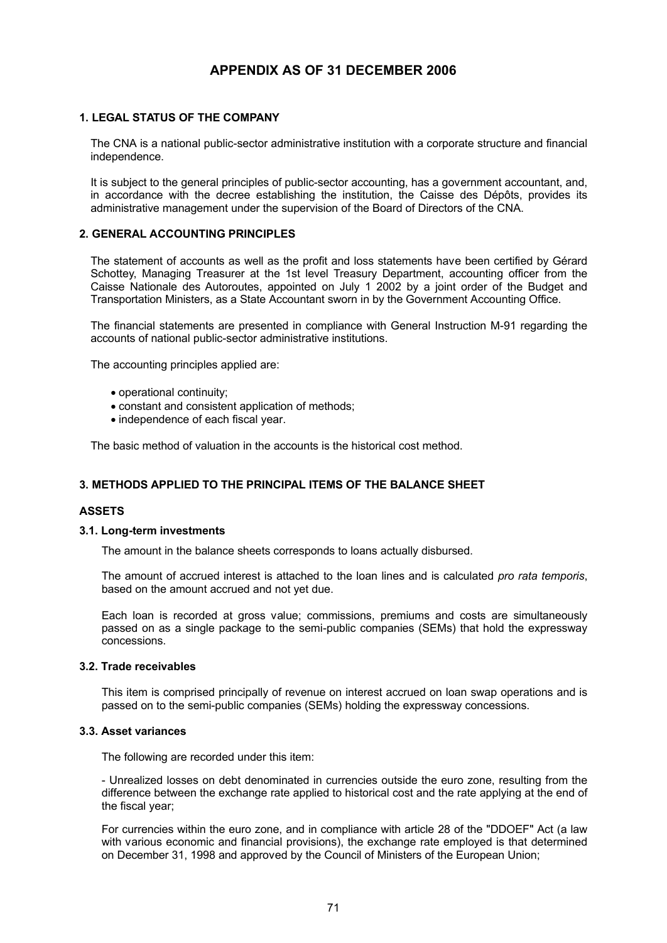# **APPENDIX AS OF 31 DECEMBER 2006**

# **1. LEGAL STATUS OF THE COMPANY**

The CNA is a national public-sector administrative institution with a corporate structure and financial independence.

It is subject to the general principles of public-sector accounting, has a government accountant, and, in accordance with the decree establishing the institution, the Caisse des Dépôts, provides its administrative management under the supervision of the Board of Directors of the CNA.

# **2. GENERAL ACCOUNTING PRINCIPLES**

The statement of accounts as well as the profit and loss statements have been certified by Gérard Schottey, Managing Treasurer at the 1st level Treasury Department, accounting officer from the Caisse Nationale des Autoroutes, appointed on July 1 2002 by a joint order of the Budget and Transportation Ministers, as a State Accountant sworn in by the Government Accounting Office.

The financial statements are presented in compliance with General Instruction M-91 regarding the accounts of national public-sector administrative institutions.

The accounting principles applied are:

- · operational continuity;
- · constant and consistent application of methods;
- · independence of each fiscal year.

The basic method of valuation in the accounts is the historical cost method.

# **3. METHODS APPLIED TO THE PRINCIPAL ITEMS OF THE BALANCE SHEET**

### **ASSETS**

### **3.1. Long-term investments**

The amount in the balance sheets corresponds to loans actually disbursed.

The amount of accrued interest is attached to the loan lines and is calculated *pro rata temporis*, based on the amount accrued and not yet due.

Each loan is recorded at gross value; commissions, premiums and costs are simultaneously passed on as a single package to the semi-public companies (SEMs) that hold the expressway concessions.

#### **3.2. Trade receivables**

This item is comprised principally of revenue on interest accrued on loan swap operations and is passed on to the semi-public companies (SEMs) holding the expressway concessions.

# **3.3. Asset variances**

The following are recorded under this item:

- Unrealized losses on debt denominated in currencies outside the euro zone, resulting from the difference between the exchange rate applied to historical cost and the rate applying at the end of the fiscal year;

For currencies within the euro zone, and in compliance with article 28 of the "DDOEF" Act (a law with various economic and financial provisions), the exchange rate employed is that determined on December 31, 1998 and approved by the Council of Ministers of the European Union;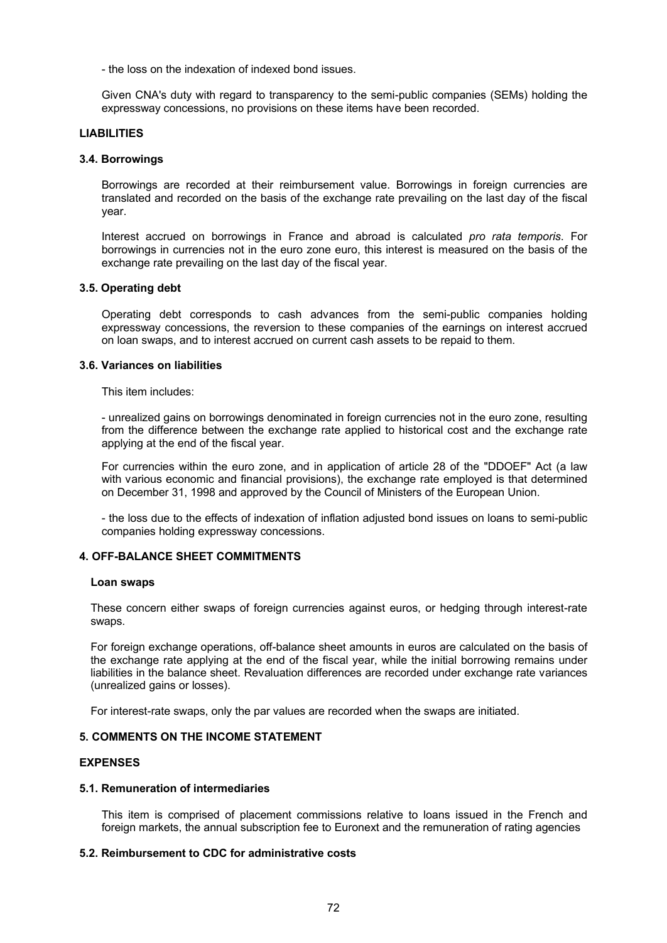- the loss on the indexation of indexed bond issues.

Given CNA's duty with regard to transparency to the semi-public companies (SEMs) holding the expressway concessions, no provisions on these items have been recorded.

### **LIABILITIES**

#### **3.4. Borrowings**

Borrowings are recorded at their reimbursement value. Borrowings in foreign currencies are translated and recorded on the basis of the exchange rate prevailing on the last day of the fiscal year.

Interest accrued on borrowings in France and abroad is calculated *pro rata temporis*. For borrowings in currencies not in the euro zone euro, this interest is measured on the basis of the exchange rate prevailing on the last day of the fiscal year.

### **3.5. Operating debt**

Operating debt corresponds to cash advances from the semi-public companies holding expressway concessions, the reversion to these companies of the earnings on interest accrued on loan swaps, and to interest accrued on current cash assets to be repaid to them.

#### **3.6. Variances on liabilities**

This item includes:

- unrealized gains on borrowings denominated in foreign currencies not in the euro zone, resulting from the difference between the exchange rate applied to historical cost and the exchange rate applying at the end of the fiscal year.

For currencies within the euro zone, and in application of article 28 of the "DDOEF" Act (a law with various economic and financial provisions), the exchange rate employed is that determined on December 31, 1998 and approved by the Council of Ministers of the European Union.

- the loss due to the effects of indexation of inflation adjusted bond issues on loans to semi-public companies holding expressway concessions.

### **4. OFF-BALANCE SHEET COMMITMENTS**

#### **Loan swaps**

These concern either swaps of foreign currencies against euros, or hedging through interest-rate swaps.

For foreign exchange operations, off-balance sheet amounts in euros are calculated on the basis of the exchange rate applying at the end of the fiscal year, while the initial borrowing remains under liabilities in the balance sheet. Revaluation differences are recorded under exchange rate variances (unrealized gains or losses).

For interest-rate swaps, only the par values are recorded when the swaps are initiated.

# **5. COMMENTS ON THE INCOME STATEMENT**

### **EXPENSES**

### **5.1. Remuneration of intermediaries**

This item is comprised of placement commissions relative to loans issued in the French and foreign markets, the annual subscription fee to Euronext and the remuneration of rating agencies

# **5.2. Reimbursement to CDC for administrative costs**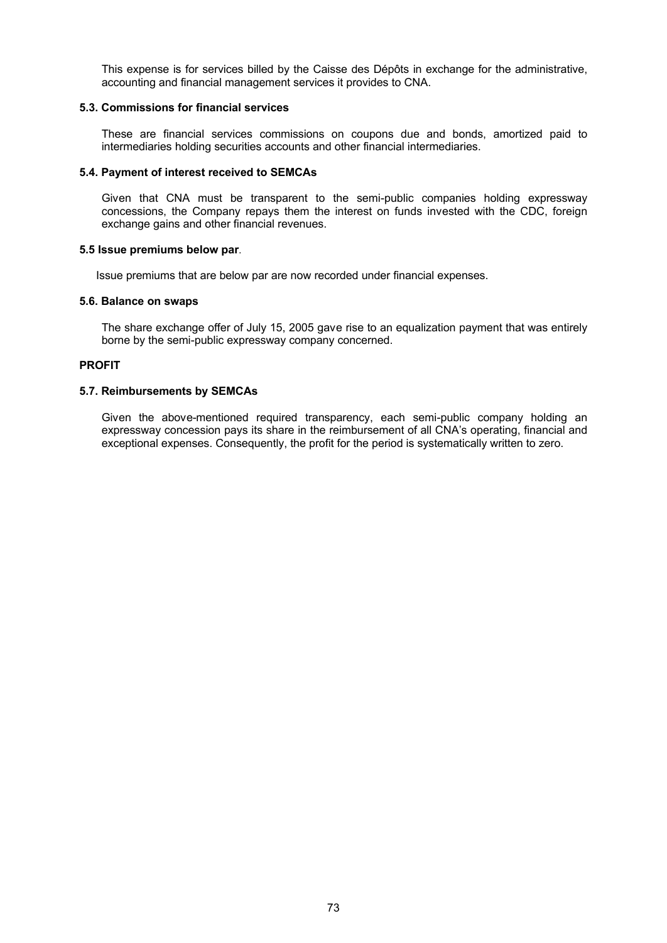This expense is for services billed by the Caisse des Dépôts in exchange for the administrative, accounting and financial management services it provides to CNA.

## **5.3. Commissions for financial services**

These are financial services commissions on coupons due and bonds, amortized paid to intermediaries holding securities accounts and other financial intermediaries.

## **5.4. Payment of interest received to SEMCAs**

Given that CNA must be transparent to the semi-public companies holding expressway concessions, the Company repays them the interest on funds invested with the CDC, foreign exchange gains and other financial revenues.

## **5.5 Issue premiums below par**.

Issue premiums that are below par are now recorded under financial expenses.

## **5.6. Balance on swaps**

The share exchange offer of July 15, 2005 gave rise to an equalization payment that was entirely borne by the semi-public expressway company concerned.

## **PROFIT**

## **5.7. Reimbursements by SEMCAs**

Given the above-mentioned required transparency, each semi-public company holding an expressway concession pays its share in the reimbursement of all CNA's operating, financial and exceptional expenses. Consequently, the profit for the period is systematically written to zero.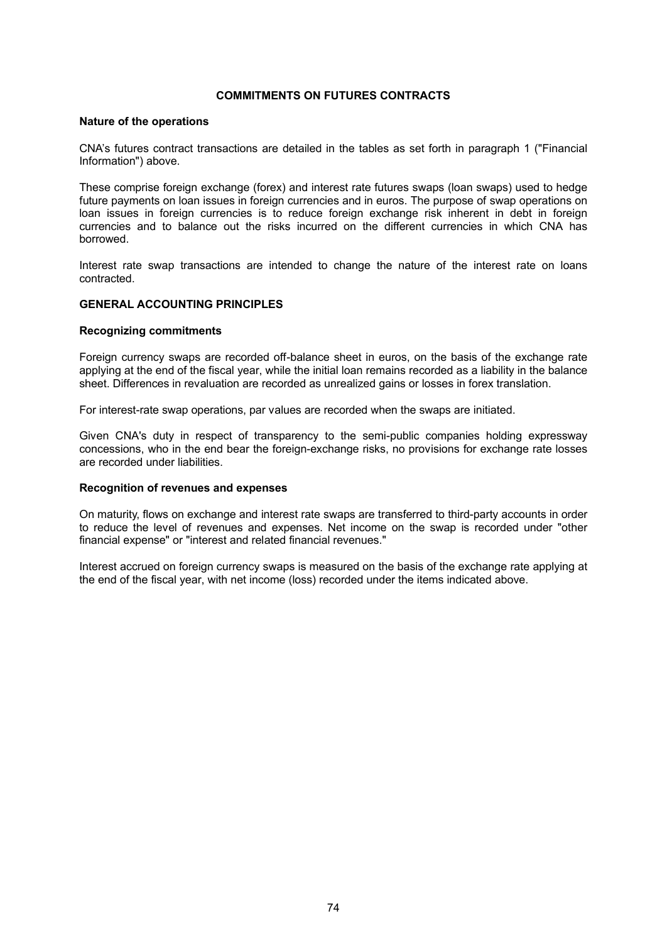## **COMMITMENTS ON FUTURES CONTRACTS**

#### **Nature of the operations**

CNA's futures contract transactions are detailed in the tables as set forth in paragraph 1 ("Financial Information") above.

These comprise foreign exchange (forex) and interest rate futures swaps (loan swaps) used to hedge future payments on loan issues in foreign currencies and in euros. The purpose of swap operations on loan issues in foreign currencies is to reduce foreign exchange risk inherent in debt in foreign currencies and to balance out the risks incurred on the different currencies in which CNA has borrowed.

Interest rate swap transactions are intended to change the nature of the interest rate on loans contracted.

#### **GENERAL ACCOUNTING PRINCIPLES**

#### **Recognizing commitments**

Foreign currency swaps are recorded off-balance sheet in euros, on the basis of the exchange rate applying at the end of the fiscal year, while the initial loan remains recorded as a liability in the balance sheet. Differences in revaluation are recorded as unrealized gains or losses in forex translation.

For interest-rate swap operations, par values are recorded when the swaps are initiated.

Given CNA's duty in respect of transparency to the semi-public companies holding expressway concessions, who in the end bear the foreign-exchange risks, no provisions for exchange rate losses are recorded under liabilities.

#### **Recognition of revenues and expenses**

On maturity, flows on exchange and interest rate swaps are transferred to third-party accounts in order to reduce the level of revenues and expenses. Net income on the swap is recorded under "other financial expense" or "interest and related financial revenues."

Interest accrued on foreign currency swaps is measured on the basis of the exchange rate applying at the end of the fiscal year, with net income (loss) recorded under the items indicated above.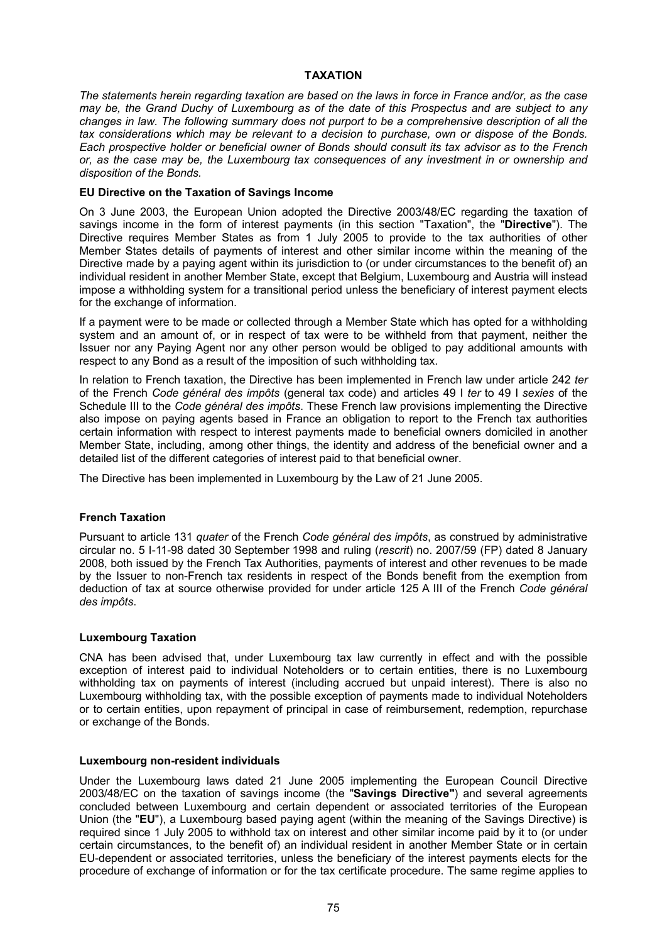## **TAXATION**

*The statements herein regarding taxation are based on the laws in force in France and/or, as the case may be, the Grand Duchy of Luxembourg as of the date of this Prospectus and are subject to any changes in law. The following summary does not purport to be a comprehensive description of all the tax considerations which may be relevant to a decision to purchase, own or dispose of the Bonds. Each prospective holder or beneficial owner of Bonds should consult its tax advisor as to the French or, as the case may be, the Luxembourg tax consequences of any investment in or ownership and disposition of the Bonds.*

#### **EU Directive on the Taxation of Savings Income**

On 3 June 2003, the European Union adopted the Directive 2003/48/EC regarding the taxation of savings income in the form of interest payments (in this section "Taxation", the "**Directive**"). The Directive requires Member States as from 1 July 2005 to provide to the tax authorities of other Member States details of payments of interest and other similar income within the meaning of the Directive made by a paying agent within its jurisdiction to (or under circumstances to the benefit of) an individual resident in another Member State, except that Belgium, Luxembourg and Austria will instead impose a withholding system for a transitional period unless the beneficiary of interest payment elects for the exchange of information.

If a payment were to be made or collected through a Member State which has opted for a withholding system and an amount of, or in respect of tax were to be withheld from that payment, neither the Issuer nor any Paying Agent nor any other person would be obliged to pay additional amounts with respect to any Bond as a result of the imposition of such withholding tax.

In relation to French taxation, the Directive has been implemented in French law under article 242 *ter* of the French *Code général des impôts* (general tax code) and articles 49 I *ter* to 49 I *sexies* of the Schedule III to the *Code général des impôts*. These French law provisions implementing the Directive also impose on paying agents based in France an obligation to report to the French tax authorities certain information with respect to interest payments made to beneficial owners domiciled in another Member State, including, among other things, the identity and address of the beneficial owner and a detailed list of the different categories of interest paid to that beneficial owner.

The Directive has been implemented in Luxembourg by the Law of 21 June 2005.

# **French Taxation**

Pursuant to article 131 *quater* of the French *Code général des impôts*, as construed by administrative circular no. 5 I-11-98 dated 30 September 1998 and ruling (*rescrit*) no. 2007/59 (FP) dated 8 January 2008, both issued by the French Tax Authorities, payments of interest and other revenues to be made by the Issuer to non-French tax residents in respect of the Bonds benefit from the exemption from deduction of tax at source otherwise provided for under article 125 A III of the French *Code général des impôts*.

#### **Luxembourg Taxation**

CNA has been advised that, under Luxembourg tax law currently in effect and with the possible exception of interest paid to individual Noteholders or to certain entities, there is no Luxembourg withholding tax on payments of interest (including accrued but unpaid interest). There is also no Luxembourg withholding tax, with the possible exception of payments made to individual Noteholders or to certain entities, upon repayment of principal in case of reimbursement, redemption, repurchase or exchange of the Bonds.

#### **Luxembourg non-resident individuals**

Under the Luxembourg laws dated 21 June 2005 implementing the European Council Directive 2003/48/EC on the taxation of savings income (the "**Savings Directive"**) and several agreements concluded between Luxembourg and certain dependent or associated territories of the European Union (the "**EU**"), a Luxembourg based paying agent (within the meaning of the Savings Directive) is required since 1 July 2005 to withhold tax on interest and other similar income paid by it to (or under certain circumstances, to the benefit of) an individual resident in another Member State or in certain EU-dependent or associated territories, unless the beneficiary of the interest payments elects for the procedure of exchange of information or for the tax certificate procedure. The same regime applies to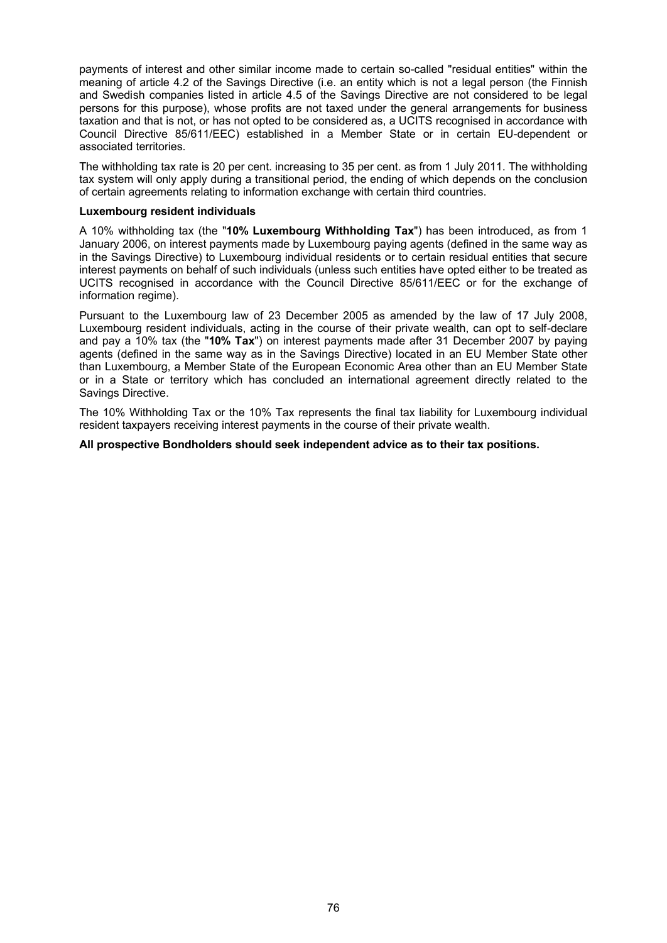payments of interest and other similar income made to certain so-called "residual entities" within the meaning of article 4.2 of the Savings Directive (i.e. an entity which is not a legal person (the Finnish and Swedish companies listed in article 4.5 of the Savings Directive are not considered to be legal persons for this purpose), whose profits are not taxed under the general arrangements for business taxation and that is not, or has not opted to be considered as, a UCITS recognised in accordance with Council Directive 85/611/EEC) established in a Member State or in certain EU-dependent or associated territories.

The withholding tax rate is 20 per cent. increasing to 35 per cent. as from 1 July 2011. The withholding tax system will only apply during a transitional period, the ending of which depends on the conclusion of certain agreements relating to information exchange with certain third countries.

#### **Luxembourg resident individuals**

A 10% withholding tax (the "**10% Luxembourg Withholding Tax**") has been introduced, as from 1 January 2006, on interest payments made by Luxembourg paying agents (defined in the same way as in the Savings Directive) to Luxembourg individual residents or to certain residual entities that secure interest payments on behalf of such individuals (unless such entities have opted either to be treated as UCITS recognised in accordance with the Council Directive 85/611/EEC or for the exchange of information regime).

Pursuant to the Luxembourg law of 23 December 2005 as amended by the law of 17 July 2008, Luxembourg resident individuals, acting in the course of their private wealth, can opt to self-declare and pay a 10% tax (the "**10% Tax**") on interest payments made after 31 December 2007 by paying agents (defined in the same way as in the Savings Directive) located in an EU Member State other than Luxembourg, a Member State of the European Economic Area other than an EU Member State or in a State or territory which has concluded an international agreement directly related to the Savings Directive.

The 10% Withholding Tax or the 10% Tax represents the final tax liability for Luxembourg individual resident taxpayers receiving interest payments in the course of their private wealth.

**All prospective Bondholders should seek independent advice as to their tax positions.**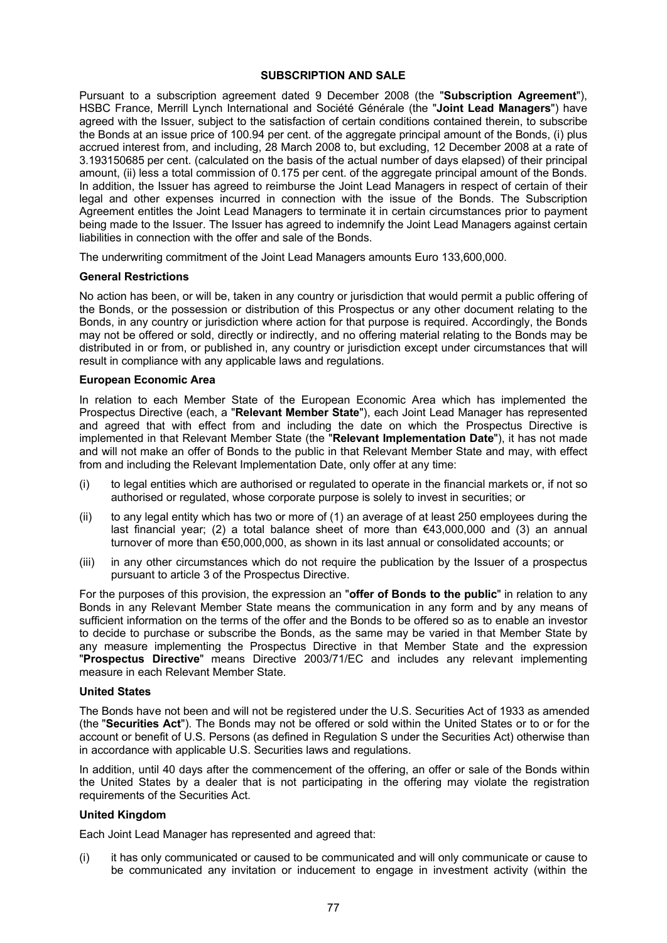## **SUBSCRIPTION AND SALE**

Pursuant to a subscription agreement dated 9 December 2008 (the "**Subscription Agreement**"), HSBC France, Merrill Lynch International and Société Générale (the "**Joint Lead Managers**") have agreed with the Issuer, subject to the satisfaction of certain conditions contained therein, to subscribe the Bonds at an issue price of 100.94 per cent. of the aggregate principal amount of the Bonds, (i) plus accrued interest from, and including, 28 March 2008 to, but excluding, 12 December 2008 at a rate of 3.193150685 per cent. (calculated on the basis of the actual number of days elapsed) of their principal amount, (ii) less a total commission of 0.175 per cent. of the aggregate principal amount of the Bonds. In addition, the Issuer has agreed to reimburse the Joint Lead Managers in respect of certain of their legal and other expenses incurred in connection with the issue of the Bonds. The Subscription Agreement entitles the Joint Lead Managers to terminate it in certain circumstances prior to payment being made to the Issuer. The Issuer has agreed to indemnify the Joint Lead Managers against certain liabilities in connection with the offer and sale of the Bonds.

The underwriting commitment of the Joint Lead Managers amounts Euro 133,600,000.

## **General Restrictions**

No action has been, or will be, taken in any country or jurisdiction that would permit a public offering of the Bonds, or the possession or distribution of this Prospectus or any other document relating to the Bonds, in any country or jurisdiction where action for that purpose is required. Accordingly, the Bonds may not be offered or sold, directly or indirectly, and no offering material relating to the Bonds may be distributed in or from, or published in, any country or jurisdiction except under circumstances that will result in compliance with any applicable laws and regulations.

## **European Economic Area**

In relation to each Member State of the European Economic Area which has implemented the Prospectus Directive (each, a "**Relevant Member State**"), each Joint Lead Manager has represented and agreed that with effect from and including the date on which the Prospectus Directive is implemented in that Relevant Member State (the "**Relevant Implementation Date**"), it has not made and will not make an offer of Bonds to the public in that Relevant Member State and may, with effect from and including the Relevant Implementation Date, only offer at any time:

- (i) to legal entities which are authorised or regulated to operate in the financial markets or, if not so authorised or regulated, whose corporate purpose is solely to invest in securities; or
- (ii) to any legal entity which has two or more of (1) an average of at least 250 employees during the last financial year; (2) a total balance sheet of more than  $\epsilon$ 43,000,000 and (3) an annual turnover of more than €50,000,000, as shown in its last annual or consolidated accounts; or
- (iii) in any other circumstances which do not require the publication by the Issuer of a prospectus pursuant to article 3 of the Prospectus Directive.

For the purposes of this provision, the expression an "**offer of Bonds to the public**" in relation to any Bonds in any Relevant Member State means the communication in any form and by any means of sufficient information on the terms of the offer and the Bonds to be offered so as to enable an investor to decide to purchase or subscribe the Bonds, as the same may be varied in that Member State by any measure implementing the Prospectus Directive in that Member State and the expression "**Prospectus Directive**" means Directive 2003/71/EC and includes any relevant implementing measure in each Relevant Member State.

#### **United States**

The Bonds have not been and will not be registered under the U.S. Securities Act of 1933 as amended (the "**Securities Act**"). The Bonds may not be offered or sold within the United States or to or for the account or benefit of U.S. Persons (as defined in Regulation S under the Securities Act) otherwise than in accordance with applicable U.S. Securities laws and regulations.

In addition, until 40 days after the commencement of the offering, an offer or sale of the Bonds within the United States by a dealer that is not participating in the offering may violate the registration requirements of the Securities Act.

#### **United Kingdom**

Each Joint Lead Manager has represented and agreed that:

(i) it has only communicated or caused to be communicated and will only communicate or cause to be communicated any invitation or inducement to engage in investment activity (within the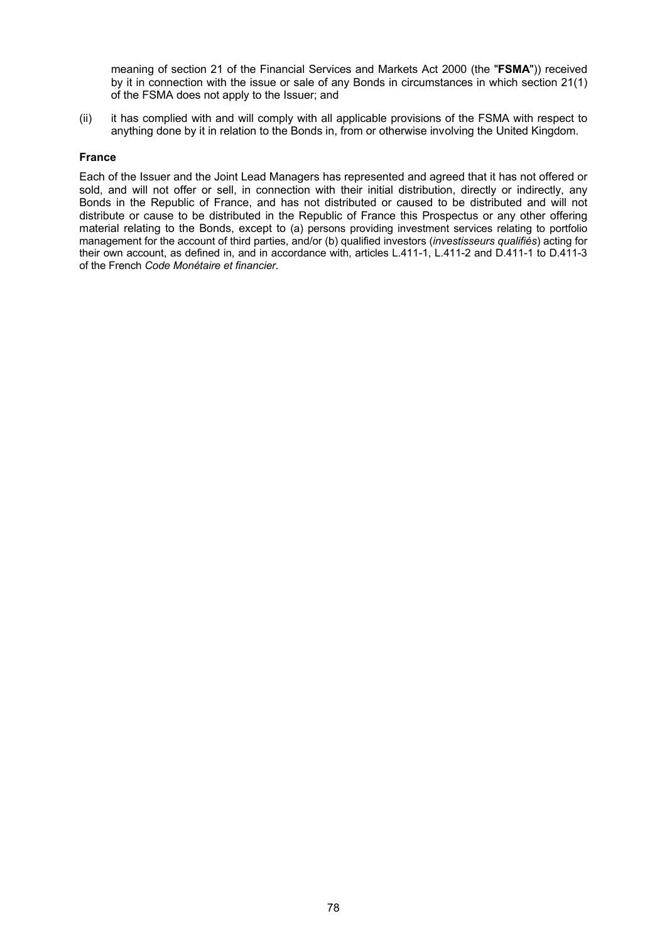meaning of section 21 of the Financial Services and Markets Act 2000 (the "**FSMA**")) received by it in connection with the issue or sale of any Bonds in circumstances in which section 21(1) of the FSMA does not apply to the Issuer; and

(ii) it has complied with and will comply with all applicable provisions of the FSMA with respect to anything done by it in relation to the Bonds in, from or otherwise involving the United Kingdom.

## **France**

Each of the Issuer and the Joint Lead Managers has represented and agreed that it has not offered or sold, and will not offer or sell, in connection with their initial distribution, directly or indirectly, any Bonds in the Republic of France, and has not distributed or caused to be distributed and will not distribute or cause to be distributed in the Republic of France this Prospectus or any other offering material relating to the Bonds, except to (a) persons providing investment services relating to portfolio management for the account of third parties, and/or (b) qualified investors (*investisseurs qualifiés*) acting for their own account, as defined in, and in accordance with, articles L.411-1, L.411-2 and D.411-1 to D.411-3 of the French *Code Monétaire et financier.*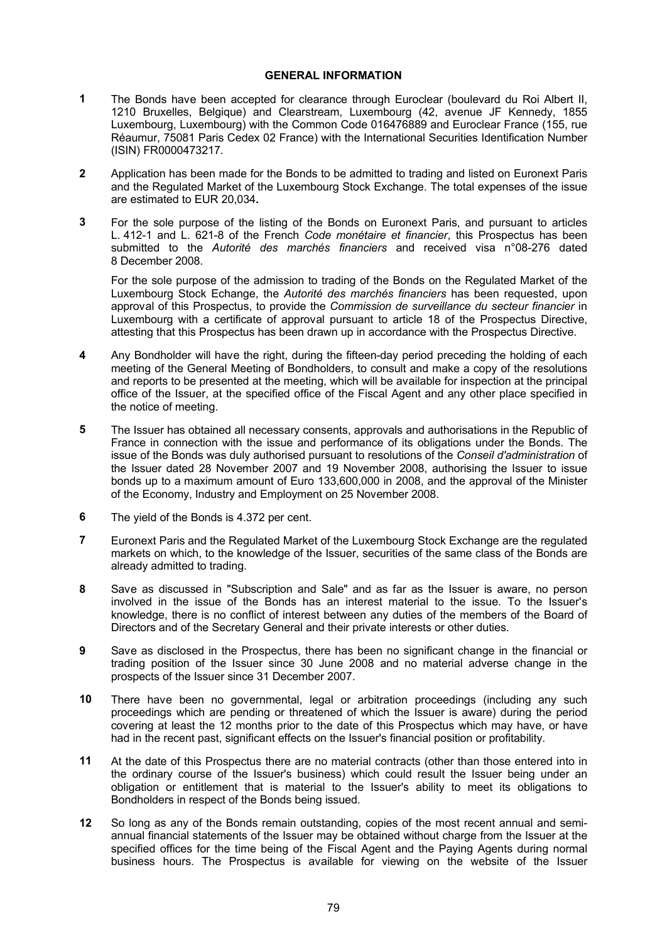## **GENERAL INFORMATION**

- **1** The Bonds have been accepted for clearance through Euroclear (boulevard du Roi Albert II, 1210 Bruxelles, Belgique) and Clearstream, Luxembourg (42, avenue JF Kennedy, 1855 Luxembourg, Luxembourg) with the Common Code 016476889 and Euroclear France (155, rue Réaumur, 75081 Paris Cedex 02 France) with the International Securities Identification Number (ISIN) FR0000473217.
- **2** Application has been made for the Bonds to be admitted to trading and listed on Euronext Paris and the Regulated Market of the Luxembourg Stock Exchange. The total expenses of the issue are estimated to EUR 20,034**.**
- **3** For the sole purpose of the listing of the Bonds on Euronext Paris, and pursuant to articles L. 412-1 and L. 621-8 of the French *Code monétaire et financier*, this Prospectus has been submitted to the *Autorité des marchés financiers* and received visa n°08-276 dated 8 December 2008.

For the sole purpose of the admission to trading of the Bonds on the Regulated Market of the Luxembourg Stock Echange, the *Autorité des marchés financiers* has been requested, upon approval of this Prospectus, to provide the *Commission de surveillance du secteur financier* in Luxembourg with a certificate of approval pursuant to article 18 of the Prospectus Directive, attesting that this Prospectus has been drawn up in accordance with the Prospectus Directive.

- **4** Any Bondholder will have the right, during the fifteen-day period preceding the holding of each meeting of the General Meeting of Bondholders, to consult and make a copy of the resolutions and reports to be presented at the meeting, which will be available for inspection at the principal office of the Issuer, at the specified office of the Fiscal Agent and any other place specified in the notice of meeting.
- **5** The Issuer has obtained all necessary consents, approvals and authorisations in the Republic of France in connection with the issue and performance of its obligations under the Bonds. The issue of the Bonds was duly authorised pursuant to resolutions of the *Conseil d'administration* of the Issuer dated 28 November 2007 and 19 November 2008, authorising the Issuer to issue bonds up to a maximum amount of Euro 133,600,000 in 2008, and the approval of the Minister of the Economy, Industry and Employment on 25 November 2008.
- **6** The yield of the Bonds is 4.372 per cent.
- **7** Euronext Paris and the Regulated Market of the Luxembourg Stock Exchange are the regulated markets on which, to the knowledge of the Issuer, securities of the same class of the Bonds are already admitted to trading.
- **8** Save as discussed in "Subscription and Sale" and as far as the Issuer is aware, no person involved in the issue of the Bonds has an interest material to the issue. To the Issuer's knowledge, there is no conflict of interest between any duties of the members of the Board of Directors and of the Secretary General and their private interests or other duties.
- **9** Save as disclosed in the Prospectus, there has been no significant change in the financial or trading position of the Issuer since 30 June 2008 and no material adverse change in the prospects of the Issuer since 31 December 2007.
- **10** There have been no governmental, legal or arbitration proceedings (including any such proceedings which are pending or threatened of which the Issuer is aware) during the period covering at least the 12 months prior to the date of this Prospectus which may have, or have had in the recent past, significant effects on the Issuer's financial position or profitability.
- **11** At the date of this Prospectus there are no material contracts (other than those entered into in the ordinary course of the Issuer's business) which could result the Issuer being under an obligation or entitlement that is material to the Issuer's ability to meet its obligations to Bondholders in respect of the Bonds being issued.
- **12** So long as any of the Bonds remain outstanding, copies of the most recent annual and semiannual financial statements of the Issuer may be obtained without charge from the Issuer at the specified offices for the time being of the Fiscal Agent and the Paying Agents during normal business hours. The Prospectus is available for viewing on the website of the Issuer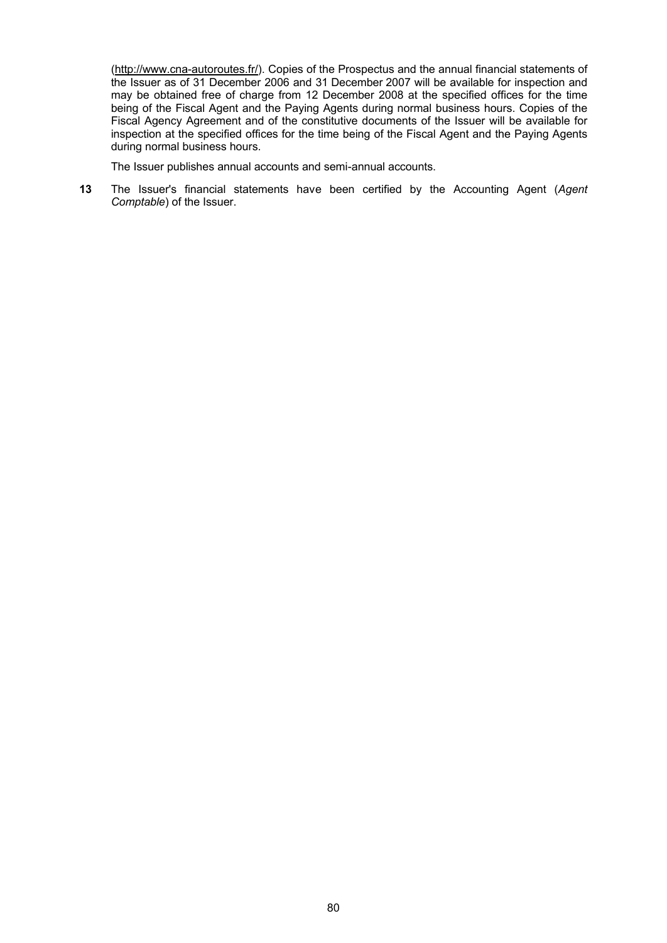[\(http://](http://www.cna-autoroutes.fr/)<www.cna-autoroutes.fr/>). Copies of the Prospectus and the annual financial statements of the Issuer as of 31 December 2006 and 31 December 2007 will be available for inspection and may be obtained free of charge from 12 December 2008 at the specified offices for the time being of the Fiscal Agent and the Paying Agents during normal business hours. Copies of the Fiscal Agency Agreement and of the constitutive documents of the Issuer will be available for inspection at the specified offices for the time being of the Fiscal Agent and the Paying Agents during normal business hours.

The Issuer publishes annual accounts and semi-annual accounts.

**13** The Issuer's financial statements have been certified by the Accounting Agent (*Agent Comptable*) of the Issuer.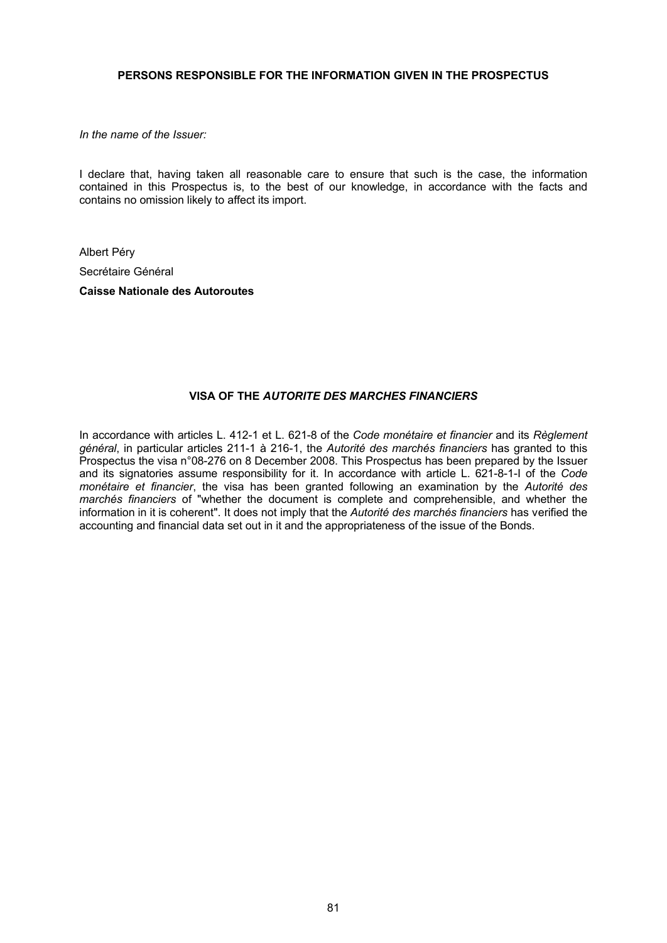## **PERSONS RESPONSIBLE FOR THE INFORMATION GIVEN IN THE PROSPECTUS**

*In the name of the Issuer:*

I declare that, having taken all reasonable care to ensure that such is the case, the information contained in this Prospectus is, to the best of our knowledge, in accordance with the facts and contains no omission likely to affect its import.

Albert Péry Secrétaire Général **Caisse Nationale des Autoroutes**

# **VISA OF THE** *AUTORITE DES MARCHES FINANCIERS*

In accordance with articles L. 412-1 et L. 621-8 of the *Code monétaire et financier* and its *Règlement général*, in particular articles 211-1 à 216-1, the *Autorité des marchés financiers* has granted to this Prospectus the visa n°08-276 on 8 December 2008. This Prospectus has been prepared by the Issuer and its signatories assume responsibility for it. In accordance with article L. 621-8-1-I of the *Code monétaire et financier*, the visa has been granted following an examination by the *Autorité des marchés financiers* of "whether the document is complete and comprehensible, and whether the information in it is coherent". It does not imply that the *Autorité des marchés financiers* has verified the accounting and financial data set out in it and the appropriateness of the issue of the Bonds.